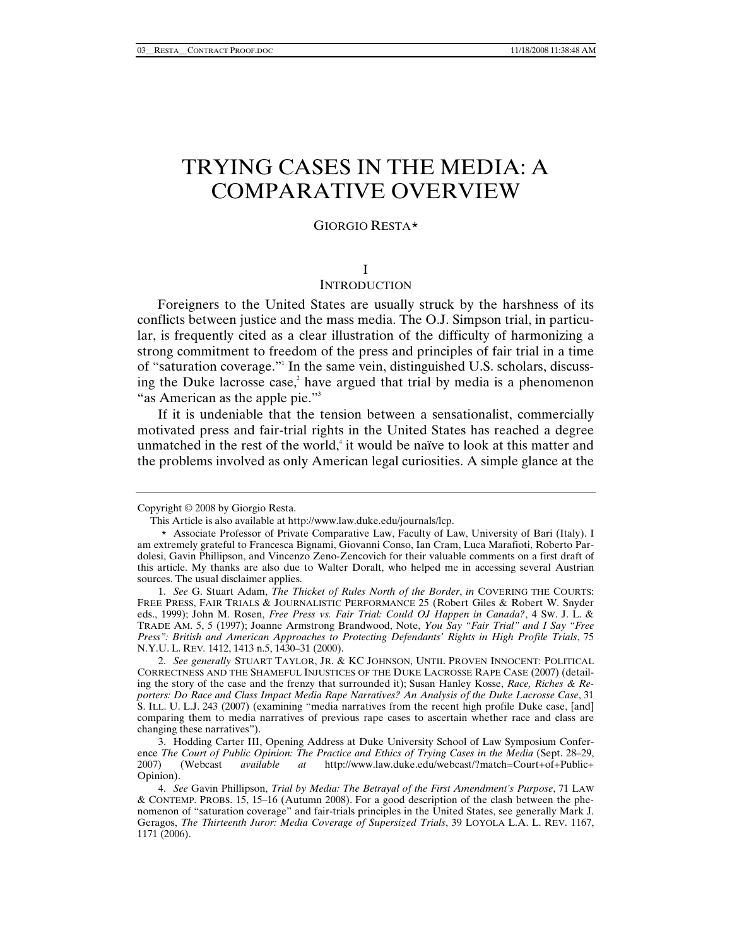# TRYING CASES IN THE MEDIA: A COMPARATIVE OVERVIEW

# GIORGIO RESTA\*

# I

# **INTRODUCTION**

Foreigners to the United States are usually struck by the harshness of its conflicts between justice and the mass media. The O.J. Simpson trial, in particular, is frequently cited as a clear illustration of the difficulty of harmonizing a strong commitment to freedom of the press and principles of fair trial in a time of "saturation coverage."1 In the same vein, distinguished U.S. scholars, discussing the Duke lacrosse case,<sup>2</sup> have argued that trial by media is a phenomenon "as American as the apple pie."<sup>3</sup>

If it is undeniable that the tension between a sensationalist, commercially motivated press and fair-trial rights in the United States has reached a degree unmatched in the rest of the world,<sup> $4$ </sup> it would be naïve to look at this matter and the problems involved as only American legal curiosities. A simple glance at the

Copyright © 2008 by Giorgio Resta.

This Article is also available at http://www.law.duke.edu/journals/lcp.

<sup>\*</sup> Associate Professor of Private Comparative Law, Faculty of Law, University of Bari (Italy). I am extremely grateful to Francesca Bignami, Giovanni Conso, Ian Cram, Luca Marafioti, Roberto Pardolesi, Gavin Phillipson, and Vincenzo Zeno-Zencovich for their valuable comments on a first draft of this article. My thanks are also due to Walter Doralt, who helped me in accessing several Austrian sources. The usual disclaimer applies.

<sup>1.</sup> *See* G. Stuart Adam, *The Thicket of Rules North of the Border*, *in* COVERING THE COURTS: FREE PRESS, FAIR TRIALS & JOURNALISTIC PERFORMANCE 25 (Robert Giles & Robert W. Snyder eds., 1999); John M. Rosen, *Free Press vs. Fair Trial: Could OJ Happen in Canada?*, 4 SW. J. L. & TRADE AM. 5, 5 (1997); Joanne Armstrong Brandwood, Note, *You Say "Fair Trial" and I Say "Free Press": British and American Approaches to Protecting Defendants' Rights in High Profile Trials*, 75 N.Y.U. L. REV*.* 1412, 1413 n.5, 1430–31 (2000).

<sup>2.</sup> *See generally* STUART TAYLOR, JR. & KC JOHNSON, UNTIL PROVEN INNOCENT: POLITICAL CORRECTNESS AND THE SHAMEFUL INJUSTICES OF THE DUKE LACROSSE RAPE CASE (2007) (detailing the story of the case and the frenzy that surrounded it); Susan Hanley Kosse, *Race, Riches & Reporters: Do Race and Class Impact Media Rape Narratives? An Analysis of the Duke Lacrosse Case*, 31 S. ILL. U. L.J. 243 (2007) (examining "media narratives from the recent high profile Duke case, [and] comparing them to media narratives of previous rape cases to ascertain whether race and class are changing these narratives").

 <sup>3.</sup> Hodding Carter III, Opening Address at Duke University School of Law Symposium Conference *The Court of Public Opinion: The Practice and Ethics of Trying Cases in the Media* (Sept. 28–29, 2007) (Webcast *available at* http://www.law.duke.edu/webcast/?match=Court+of+Public+ 2007) (Webcast *available at* http://www.law.duke.edu/webcast/?match=Court+of+Public+ Opinion).

<sup>4.</sup> *See* Gavin Phillipson, *Trial by Media: The Betrayal of the First Amendment's Purpose*, 71 LAW & CONTEMP. PROBS. 15, 15–16 (Autumn 2008). For a good description of the clash between the phenomenon of "saturation coverage" and fair-trials principles in the United States, see generally Mark J. Geragos, *The Thirteenth Juror: Media Coverage of Supersized Trials*, 39 LOYOLA L.A. L. REV. 1167, 1171 (2006).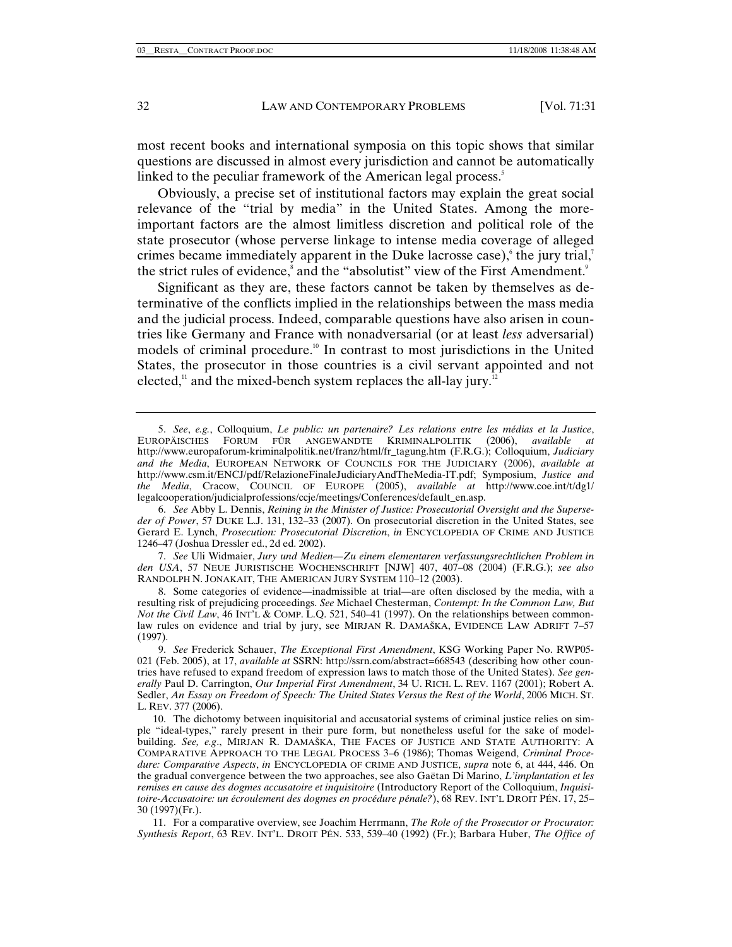most recent books and international symposia on this topic shows that similar questions are discussed in almost every jurisdiction and cannot be automatically linked to the peculiar framework of the American legal process.<sup>5</sup>

Obviously, a precise set of institutional factors may explain the great social relevance of the "trial by media" in the United States. Among the moreimportant factors are the almost limitless discretion and political role of the state prosecutor (whose perverse linkage to intense media coverage of alleged crimes became immediately apparent in the Duke lacrosse case), the jury trial,<sup>7</sup> the strict rules of evidence,<sup>8</sup> and the "absolutist" view of the First Amendment.<sup>9</sup>

Significant as they are, these factors cannot be taken by themselves as determinative of the conflicts implied in the relationships between the mass media and the judicial process. Indeed, comparable questions have also arisen in countries like Germany and France with nonadversarial (or at least *less* adversarial) models of criminal procedure.<sup>10</sup> In contrast to most jurisdictions in the United States, the prosecutor in those countries is a civil servant appointed and not elected, $11$  and the mixed-bench system replaces the all-lay jury.<sup>12</sup>

7. *See* Uli Widmaier, *Jury und Medien—Zu einem elementaren verfassungsrechtlichen Problem in den USA*, 57 NEUE JURISTISCHE WOCHENSCHRIFT [NJW] 407, 407–08 (2004) (F.R.G.); *see also* RANDOLPH N. JONAKAIT, THE AMERICAN JURY SYSTEM 110–12 (2003).

 8. Some categories of evidence—inadmissible at trial—are often disclosed by the media, with a resulting risk of prejudicing proceedings. *See* Michael Chesterman, *Contempt: In the Common Law, But Not the Civil Law*, 46 INT'L & COMP. L.Q. 521, 540–41 (1997). On the relationships between commonlaw rules on evidence and trial by jury, see MIRJAN R. DAMAŠKA, EVIDENCE LAW ADRIFT 7–57 (1997).

 11. For a comparative overview, see Joachim Herrmann, *The Role of the Prosecutor or Procurator: Synthesis Report*, 63 REV. INT'L. DROIT PÉN. 533, 539–40 (1992) (Fr.); Barbara Huber, *The Office of* 

<sup>5.</sup> *See*, *e.g.*, Colloquium, *Le public: un partenaire? Les relations entre les médias et la Justice*, EUROPÄISCHES FORUM FÜR ANGEWANDTE KRIMINALPOLITIK (2006), *available at*  http://www.europaforum-kriminalpolitik.net/franz/html/fr\_tagung.htm (F.R.G.); Colloquium, *Judiciary and the Media*, EUROPEAN NETWORK OF COUNCILS FOR THE JUDICIARY (2006), *available at*  http://www.csm.it/ENCJ/pdf/RelazioneFinaleJudiciaryAndTheMedia-IT.pdf; Symposium, *Justice and the Media*, Cracow, COUNCIL OF EUROPE (2005), *available at* http://www.coe.int/t/dg1/ legalcooperation/judicialprofessions/ccje/meetings/Conferences/default\_en.asp.

<sup>6.</sup> *See* Abby L. Dennis, *Reining in the Minister of Justice: Prosecutorial Oversight and the Superseder of Power*, 57 DUKE L.J. 131, 132–33 (2007). On prosecutorial discretion in the United States, see Gerard E. Lynch, *Prosecution: Prosecutorial Discretion*, *in* ENCYCLOPEDIA OF CRIME AND JUSTICE 1246–47 (Joshua Dressler ed., 2d ed. 2002).

<sup>9.</sup> *See* Frederick Schauer, *The Exceptional First Amendment*, KSG Working Paper No. RWP05- 021 (Feb. 2005), at 17, *available at* SSRN: http://ssrn.com/abstract=668543 (describing how other countries have refused to expand freedom of expression laws to match those of the United States). *See generally* Paul D. Carrington, *Our Imperial First Amendment*, 34 U. RICH. L. REV. 1167 (2001); Robert A. Sedler, *An Essay on Freedom of Speech: The United States Versus the Rest of the World*, 2006 MICH. ST. L. REV. 377 (2006).

 <sup>10.</sup> The dichotomy between inquisitorial and accusatorial systems of criminal justice relies on simple "ideal-types," rarely present in their pure form, but nonetheless useful for the sake of modelbuilding. *See, e.g*., MIRJAN R. DAMAŠKA, THE FACES OF JUSTICE AND STATE AUTHORITY: A COMPARATIVE APPROACH TO THE LEGAL PROCESS 3–6 (1986); Thomas Weigend, *Criminal Procedure: Comparative Aspects*, *in* ENCYCLOPEDIA OF CRIME AND JUSTICE, *supra* note 6, at 444, 446. On the gradual convergence between the two approaches, see also Gaëtan Di Marino, *L'implantation et les remises en cause des dogmes accusatoire et inquisitoire* (Introductory Report of the Colloquium, *Inquisitoire-Accusatoire: un écroulement des dogmes en procédure pénale?*), 68 REV. INT'L DROIT PÉN. 17, 25– 30 (1997)(Fr.).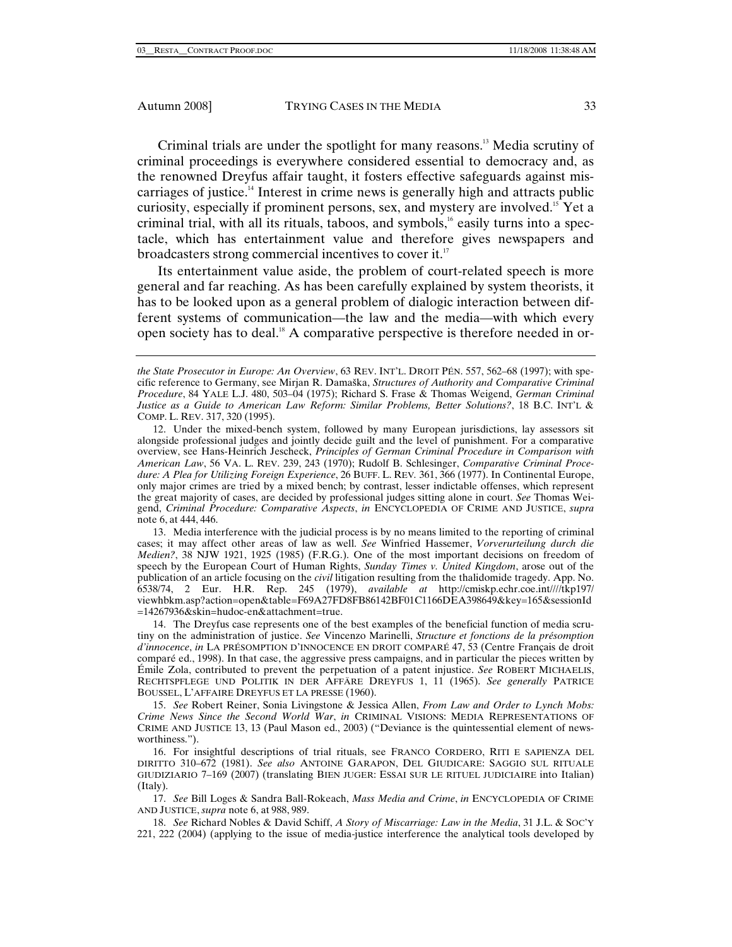Criminal trials are under the spotlight for many reasons.13 Media scrutiny of criminal proceedings is everywhere considered essential to democracy and, as the renowned Dreyfus affair taught, it fosters effective safeguards against miscarriages of justice.14 Interest in crime news is generally high and attracts public curiosity, especially if prominent persons, sex, and mystery are involved.15 Yet a criminal trial, with all its rituals, taboos, and symbols, $<sup>16</sup>$  easily turns into a spec-</sup> tacle, which has entertainment value and therefore gives newspapers and broadcasters strong commercial incentives to cover it.<sup>17</sup>

Its entertainment value aside, the problem of court-related speech is more general and far reaching. As has been carefully explained by system theorists, it has to be looked upon as a general problem of dialogic interaction between different systems of communication—the law and the media—with which every open society has to deal.<sup>18</sup> A comparative perspective is therefore needed in or-

 13. Media interference with the judicial process is by no means limited to the reporting of criminal cases; it may affect other areas of law as well. *See* Winfried Hassemer, *Vorverurteilung durch die Medien?*, 38 NJW 1921, 1925 (1985) (F.R.G.). One of the most important decisions on freedom of speech by the European Court of Human Rights, *Sunday Times v. United Kingdom*, arose out of the publication of an article focusing on the *civil* litigation resulting from the thalidomide tragedy. App. No. 6538/74, 2 Eur. H.R. Rep. 245 (1979), *available at* http://cmiskp.echr.coe.int////tkp197/ viewhbkm.asp?action=open&table=F69A27FD8FB86142BF01C1166DEA398649&key=165&sessionId =14267936&skin=hudoc-en&attachment=true.

 14. The Dreyfus case represents one of the best examples of the beneficial function of media scrutiny on the administration of justice. *See* Vincenzo Marinelli, *Structure et fonctions de la présomption d'innocence*, *in* LA PRÉSOMPTION D'INNOCENCE EN DROIT COMPARÉ 47, 53 (Centre Français de droit comparé ed., 1998). In that case, the aggressive press campaigns, and in particular the pieces written by Émile Zola, contributed to prevent the perpetuation of a patent injustice. *See* ROBERT MICHAELIS, RECHTSPFLEGE UND POLITIK IN DER AFFÄRE DREYFUS 1, 11 (1965). *See generally* PATRICE BOUSSEL, L'AFFAIRE DREYFUS ET LA PRESSE (1960).

15. *See* Robert Reiner, Sonia Livingstone & Jessica Allen, *From Law and Order to Lynch Mobs: Crime News Since the Second World War*, *in* CRIMINAL VISIONS: MEDIA REPRESENTATIONS OF CRIME AND JUSTICE 13, 13 (Paul Mason ed., 2003) ("Deviance is the quintessential element of newsworthiness.").

 16. For insightful descriptions of trial rituals, see FRANCO CORDERO, RITI E SAPIENZA DEL DIRITTO 310–672 (1981). *See also* ANTOINE GARAPON, DEL GIUDICARE: SAGGIO SUL RITUALE GIUDIZIARIO 7–169 (2007) (translating BIEN JUGER: ESSAI SUR LE RITUEL JUDICIAIRE into Italian) (Italy).

17. *See* Bill Loges & Sandra Ball-Rokeach, *Mass Media and Crime*, *in* ENCYCLOPEDIA OF CRIME AND JUSTICE, *supra* note 6, at 988, 989.

18. *See* Richard Nobles & David Schiff, *A Story of Miscarriage: Law in the Media*, 31 J.L. & SOC'Y 221, 222 (2004) (applying to the issue of media-justice interference the analytical tools developed by

*the State Prosecutor in Europe: An Overview*, 63 REV. INT'L. DROIT PÉN. 557, 562–68 (1997); with specific reference to Germany, see Mirjan R. Damaška, *Structures of Authority and Comparative Criminal Procedure*, 84 YALE L.J. 480, 503–04 (1975); Richard S. Frase & Thomas Weigend, *German Criminal Justice as a Guide to American Law Reform: Similar Problems, Better Solutions?*, 18 B.C. INT'L & COMP. L. REV. 317, 320 (1995).

 <sup>12.</sup> Under the mixed-bench system, followed by many European jurisdictions, lay assessors sit alongside professional judges and jointly decide guilt and the level of punishment. For a comparative overview, see Hans-Heinrich Jescheck, *Principles of German Criminal Procedure in Comparison with American Law*, 56 VA. L. REV. 239, 243 (1970); Rudolf B. Schlesinger, *Comparative Criminal Procedure: A Plea for Utilizing Foreign Experience*, 26 BUFF. L. REV*.* 361, 366 (1977). In Continental Europe, only major crimes are tried by a mixed bench; by contrast, lesser indictable offenses, which represent the great majority of cases, are decided by professional judges sitting alone in court. *See* Thomas Weigend, *Criminal Procedure: Comparative Aspects*, *in* ENCYCLOPEDIA OF CRIME AND JUSTICE, *supra*  note 6, at 444, 446.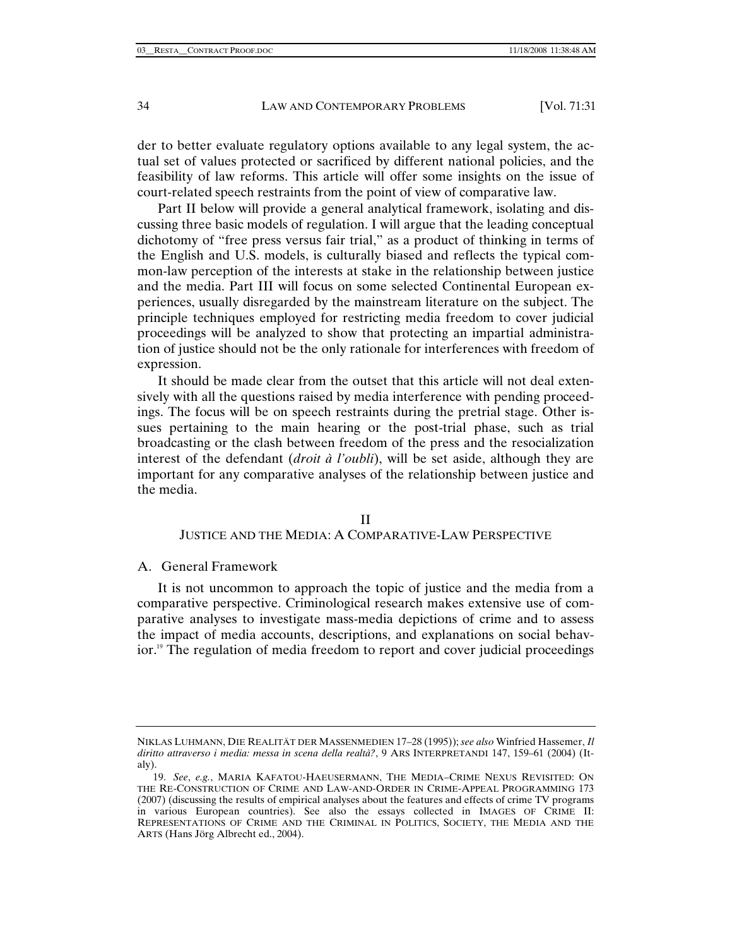der to better evaluate regulatory options available to any legal system, the actual set of values protected or sacrificed by different national policies, and the feasibility of law reforms. This article will offer some insights on the issue of court-related speech restraints from the point of view of comparative law.

Part II below will provide a general analytical framework, isolating and discussing three basic models of regulation. I will argue that the leading conceptual dichotomy of "free press versus fair trial," as a product of thinking in terms of the English and U.S. models, is culturally biased and reflects the typical common-law perception of the interests at stake in the relationship between justice and the media. Part III will focus on some selected Continental European experiences, usually disregarded by the mainstream literature on the subject. The principle techniques employed for restricting media freedom to cover judicial proceedings will be analyzed to show that protecting an impartial administration of justice should not be the only rationale for interferences with freedom of expression.

It should be made clear from the outset that this article will not deal extensively with all the questions raised by media interference with pending proceedings. The focus will be on speech restraints during the pretrial stage. Other issues pertaining to the main hearing or the post-trial phase, such as trial broadcasting or the clash between freedom of the press and the resocialization interest of the defendant (*droit à l'oubli*), will be set aside, although they are important for any comparative analyses of the relationship between justice and the media.

# II

# JUSTICE AND THE MEDIA: A COMPARATIVE-LAW PERSPECTIVE

# A. General Framework

It is not uncommon to approach the topic of justice and the media from a comparative perspective. Criminological research makes extensive use of comparative analyses to investigate mass-media depictions of crime and to assess the impact of media accounts, descriptions, and explanations on social behavior.<sup>19</sup> The regulation of media freedom to report and cover judicial proceedings

NIKLAS LUHMANN, DIE REALITÄT DER MASSENMEDIEN 17–28 (1995)); *see also* Winfried Hassemer, *Il diritto attraverso i media: messa in scena della realtà?*, 9 ARS INTERPRETANDI 147, 159–61 (2004) (Italy).

<sup>19.</sup> *See*, *e.g.*, MARIA KAFATOU-HAEUSERMANN, THE MEDIA–CRIME NEXUS REVISITED: ON THE RE-CONSTRUCTION OF CRIME AND LAW-AND-ORDER IN CRIME-APPEAL PROGRAMMING 173 (2007) (discussing the results of empirical analyses about the features and effects of crime TV programs in various European countries). See also the essays collected in IMAGES OF CRIME II: REPRESENTATIONS OF CRIME AND THE CRIMINAL IN POLITICS, SOCIETY, THE MEDIA AND THE ARTS (Hans Jörg Albrecht ed., 2004).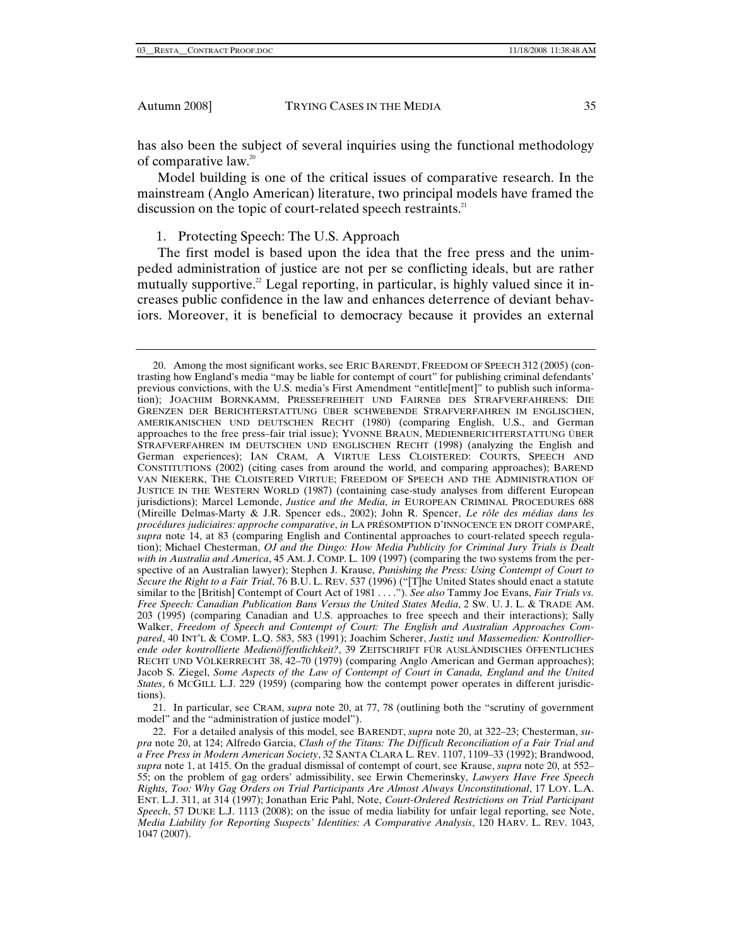has also been the subject of several inquiries using the functional methodology of comparative law.20

Model building is one of the critical issues of comparative research. In the mainstream (Anglo American) literature, two principal models have framed the discussion on the topic of court-related speech restraints.<sup>21</sup>

1. Protecting Speech: The U.S. Approach

The first model is based upon the idea that the free press and the unimpeded administration of justice are not per se conflicting ideals, but are rather mutually supportive.<sup>22</sup> Legal reporting, in particular, is highly valued since it increases public confidence in the law and enhances deterrence of deviant behaviors. Moreover, it is beneficial to democracy because it provides an external

 21. In particular, see CRAM, *supra* note 20, at 77, 78 (outlining both the "scrutiny of government model" and the "administration of justice model").

 <sup>20.</sup> Among the most significant works, see ERIC BARENDT, FREEDOM OF SPEECH 312 (2005) (contrasting how England's media "may be liable for contempt of court" for publishing criminal defendants' previous convictions, with the U.S. media's First Amendment "entitle[ment]" to publish such information); JOACHIM BORNKAMM, PRESSEFREIHEIT UND FAIRNEß DES STRAFVERFAHRENS: DIE GRENZEN DER BERICHTERSTATTUNG ÜBER SCHWEBENDE STRAFVERFAHREN IM ENGLISCHEN, AMERIKANISCHEN UND DEUTSCHEN RECHT (1980) (comparing English, U.S., and German approaches to the free press–fair trial issue); YVONNE BRAUN, MEDIENBERICHTERSTATTUNG ÜBER STRAFVERFAHREN IM DEUTSCHEN UND ENGLISCHEN RECHT (1998) (analyzing the English and German experiences); IAN CRAM, A VIRTUE LESS CLOISTERED: COURTS, SPEECH AND CONSTITUTIONS (2002) (citing cases from around the world, and comparing approaches); BAREND VAN NIEKERK, THE CLOISTERED VIRTUE; FREEDOM OF SPEECH AND THE ADMINISTRATION OF JUSTICE IN THE WESTERN WORLD (1987) (containing case-study analyses from different European jurisdictions); Marcel Lemonde, *Justice and the Media*, *in* EUROPEAN CRIMINAL PROCEDURES 688 (Mireille Delmas-Marty & J.R. Spencer eds., 2002); John R. Spencer, *Le rôle des médias dans les procédures judiciaires: approche comparative*, *in* LA PRÉSOMPTION D'INNOCENCE EN DROIT COMPARÉ, *supra* note 14, at 83 (comparing English and Continental approaches to court-related speech regulation); Michael Chesterman, *OJ and the Dingo: How Media Publicity for Criminal Jury Trials is Dealt with in Australia and America*, 45 AM. J. COMP. L. 109 (1997) (comparing the two systems from the perspective of an Australian lawyer); Stephen J. Krause, *Punishing the Press: Using Contempt of Court to Secure the Right to a Fair Trial*, 76 B.U. L. REV. 537 (1996) ("[T]he United States should enact a statute similar to the [British] Contempt of Court Act of 1981 . . . ."). *See also* Tammy Joe Evans, *Fair Trials vs. Free Speech: Canadian Publication Bans Versus the United States Media*, 2 SW. U. J. L. & TRADE AM. 203 (1995) (comparing Canadian and U.S. approaches to free speech and their interactions); Sally Walker, *Freedom of Speech and Contempt of Court: The English and Australian Approaches Compared*, 40 INT'L & COMP. L.Q. 583, 583 (1991); Joachim Scherer, *Justiz und Massemedien: Kontrollierende oder kontrollierte Medienöffentlichkeit?*, 39 ZEITSCHRIFT FÜR AUSLÄNDISCHES ÖFFENTLICHES RECHT UND VÖLKERRECHT 38, 42–70 (1979) (comparing Anglo American and German approaches); Jacob S. Ziegel, *Some Aspects of the Law of Contempt of Court in Canada, England and the United States*, 6 MCGILL L.J. 229 (1959) (comparing how the contempt power operates in different jurisdictions).

 <sup>22.</sup> For a detailed analysis of this model, see BARENDT, *supra* note 20, at 322–23; Chesterman, *supra* note 20, at 124; Alfredo Garcia, *Clash of the Titans: The Difficult Reconciliation of a Fair Trial and a Free Press in Modern American Society*, 32 SANTA CLARA L. REV. 1107, 1109–33 (1992); Brandwood, *supra* note 1, at 1415. On the gradual dismissal of contempt of court, see Krause, *supra* note 20, at 552– 55; on the problem of gag orders' admissibility, see Erwin Chemerinsky, *Lawyers Have Free Speech Rights, Too: Why Gag Orders on Trial Participants Are Almost Always Unconstitutional*, 17 LOY. L.A. ENT. L.J. 311, at 314 (1997); Jonathan Eric Pahl, Note, *Court-Ordered Restrictions on Trial Participant Speech*, 57 DUKE L.J. 1113 (2008); on the issue of media liability for unfair legal reporting, see Note, *Media Liability for Reporting Suspects' Identities: A Comparative Analysis*, 120 HARV. L. REV. 1043, 1047 (2007).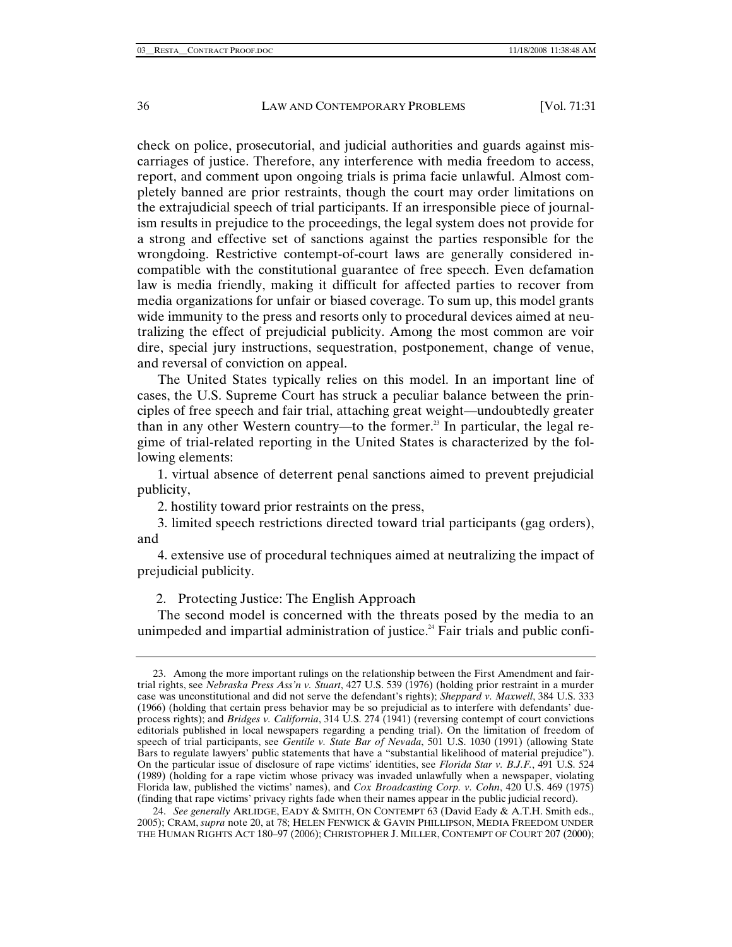check on police, prosecutorial, and judicial authorities and guards against miscarriages of justice. Therefore, any interference with media freedom to access, report, and comment upon ongoing trials is prima facie unlawful. Almost completely banned are prior restraints, though the court may order limitations on the extrajudicial speech of trial participants. If an irresponsible piece of journalism results in prejudice to the proceedings, the legal system does not provide for a strong and effective set of sanctions against the parties responsible for the wrongdoing. Restrictive contempt-of-court laws are generally considered incompatible with the constitutional guarantee of free speech. Even defamation law is media friendly, making it difficult for affected parties to recover from media organizations for unfair or biased coverage. To sum up, this model grants wide immunity to the press and resorts only to procedural devices aimed at neutralizing the effect of prejudicial publicity. Among the most common are voir dire, special jury instructions, sequestration, postponement, change of venue, and reversal of conviction on appeal.

The United States typically relies on this model. In an important line of cases, the U.S. Supreme Court has struck a peculiar balance between the principles of free speech and fair trial, attaching great weight—undoubtedly greater than in any other Western country—to the former.<sup>23</sup> In particular, the legal regime of trial-related reporting in the United States is characterized by the following elements:

1. virtual absence of deterrent penal sanctions aimed to prevent prejudicial publicity,

2. hostility toward prior restraints on the press,

3. limited speech restrictions directed toward trial participants (gag orders), and

4. extensive use of procedural techniques aimed at neutralizing the impact of prejudicial publicity.

2. Protecting Justice: The English Approach

The second model is concerned with the threats posed by the media to an unimpeded and impartial administration of justice.<sup>24</sup> Fair trials and public confi-

 <sup>23.</sup> Among the more important rulings on the relationship between the First Amendment and fairtrial rights, see *Nebraska Press Ass'n v. Stuart*, 427 U.S. 539 (1976) (holding prior restraint in a murder case was unconstitutional and did not serve the defendant's rights); *Sheppard v. Maxwell*, 384 U.S. 333 (1966) (holding that certain press behavior may be so prejudicial as to interfere with defendants' dueprocess rights); and *Bridges v. California*, 314 U.S. 274 (1941) (reversing contempt of court convictions editorials published in local newspapers regarding a pending trial). On the limitation of freedom of speech of trial participants, see *Gentile v. State Bar of Nevada*, 501 U.S. 1030 (1991) (allowing State Bars to regulate lawyers' public statements that have a "substantial likelihood of material prejudice"). On the particular issue of disclosure of rape victims' identities, see *Florida Star v. B.J.F.*, 491 U.S. 524 (1989) (holding for a rape victim whose privacy was invaded unlawfully when a newspaper, violating Florida law, published the victims' names), and *Cox Broadcasting Corp. v. Cohn*, 420 U.S. 469 (1975) (finding that rape victims' privacy rights fade when their names appear in the public judicial record).

<sup>24.</sup> *See generally* ARLIDGE, EADY & SMITH, ON CONTEMPT 63 (David Eady & A.T.H. Smith eds., 2005); CRAM, *supra* note 20, at 78; HELEN FENWICK & GAVIN PHILLIPSON, MEDIA FREEDOM UNDER THE HUMAN RIGHTS ACT 180–97 (2006); CHRISTOPHER J. MILLER, CONTEMPT OF COURT 207 (2000);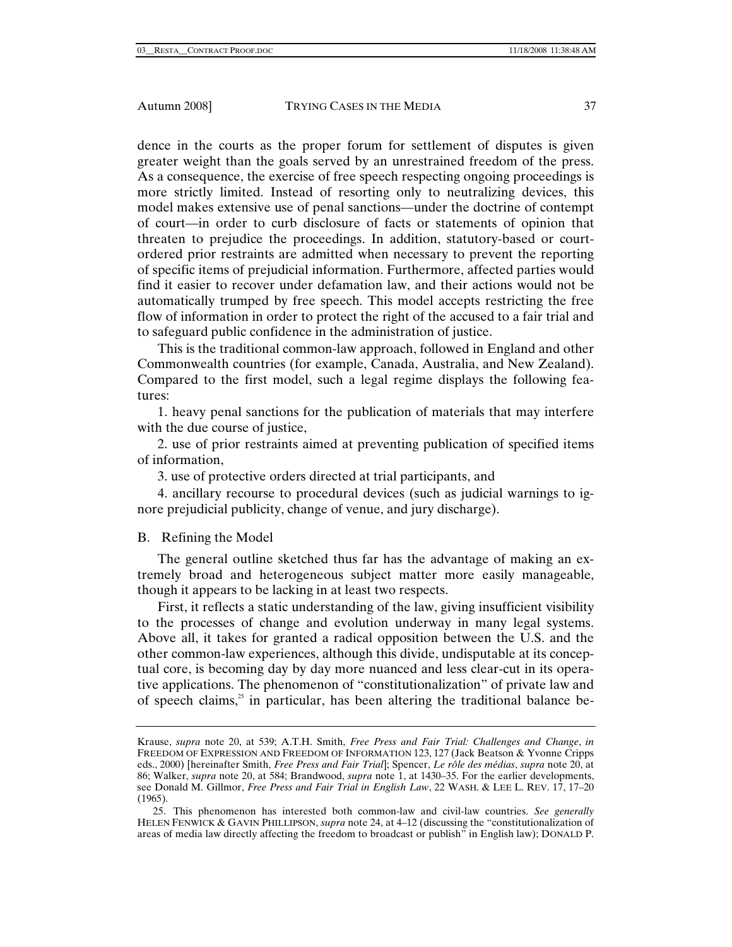dence in the courts as the proper forum for settlement of disputes is given greater weight than the goals served by an unrestrained freedom of the press. As a consequence, the exercise of free speech respecting ongoing proceedings is more strictly limited. Instead of resorting only to neutralizing devices, this model makes extensive use of penal sanctions—under the doctrine of contempt of court—in order to curb disclosure of facts or statements of opinion that threaten to prejudice the proceedings. In addition, statutory-based or courtordered prior restraints are admitted when necessary to prevent the reporting of specific items of prejudicial information. Furthermore, affected parties would find it easier to recover under defamation law, and their actions would not be automatically trumped by free speech. This model accepts restricting the free flow of information in order to protect the right of the accused to a fair trial and to safeguard public confidence in the administration of justice.

This is the traditional common-law approach, followed in England and other Commonwealth countries (for example, Canada, Australia, and New Zealand). Compared to the first model, such a legal regime displays the following features:

1. heavy penal sanctions for the publication of materials that may interfere with the due course of justice,

2. use of prior restraints aimed at preventing publication of specified items of information,

3. use of protective orders directed at trial participants, and

4. ancillary recourse to procedural devices (such as judicial warnings to ignore prejudicial publicity, change of venue, and jury discharge).

# B. Refining the Model

The general outline sketched thus far has the advantage of making an extremely broad and heterogeneous subject matter more easily manageable, though it appears to be lacking in at least two respects.

First, it reflects a static understanding of the law, giving insufficient visibility to the processes of change and evolution underway in many legal systems. Above all, it takes for granted a radical opposition between the U.S. and the other common-law experiences, although this divide, undisputable at its conceptual core, is becoming day by day more nuanced and less clear-cut in its operative applications. The phenomenon of "constitutionalization" of private law and of speech claims, $\beta$  in particular, has been altering the traditional balance be-

Krause, *supra* note 20, at 539; A.T.H. Smith, *Free Press and Fair Trial: Challenges and Change*, *in* FREEDOM OF EXPRESSION AND FREEDOM OF INFORMATION 123, 127 (Jack Beatson & Yvonne Cripps eds., 2000) [hereinafter Smith, *Free Press and Fair Trial*]; Spencer, *Le rôle des médias*, *supra* note 20, at 86; Walker, *supra* note 20, at 584; Brandwood, *supra* note 1, at 1430–35. For the earlier developments, see Donald M. Gillmor, *Free Press and Fair Trial in English Law*, 22 WASH. & LEE L. REV. 17, 17–20 (1965).

 <sup>25.</sup> This phenomenon has interested both common-law and civil-law countries. *See generally* HELEN FENWICK & GAVIN PHILLIPSON, *supra* note 24, at 4–12 (discussing the "constitutionalization of areas of media law directly affecting the freedom to broadcast or publish" in English law); DONALD P.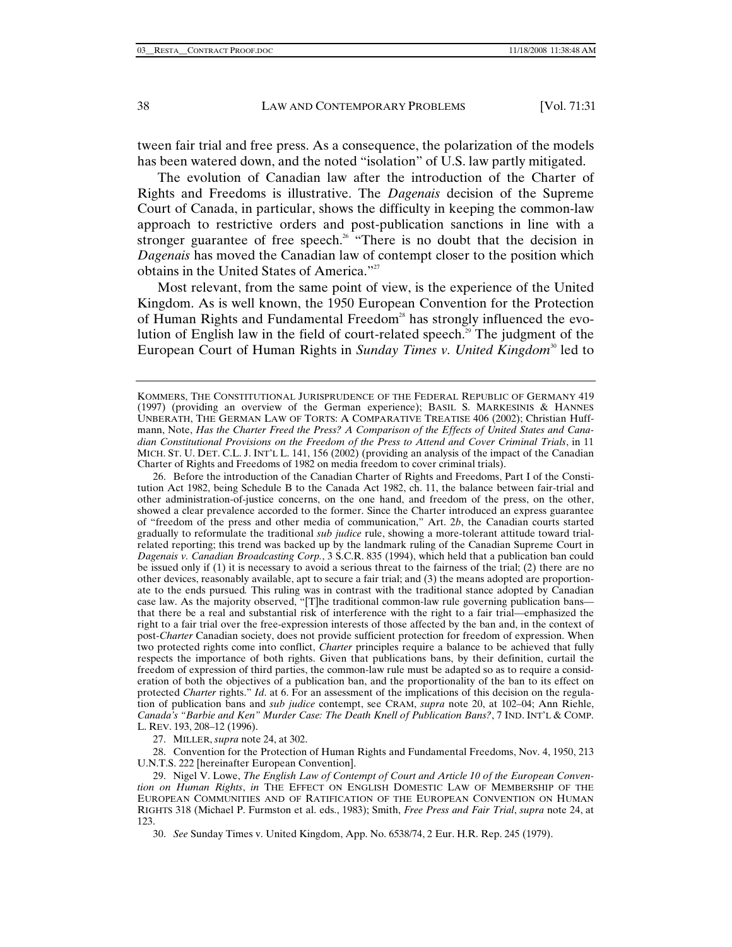tween fair trial and free press. As a consequence, the polarization of the models has been watered down, and the noted "isolation" of U.S. law partly mitigated.

The evolution of Canadian law after the introduction of the Charter of Rights and Freedoms is illustrative. The *Dagenais* decision of the Supreme Court of Canada, in particular, shows the difficulty in keeping the common-law approach to restrictive orders and post-publication sanctions in line with a stronger guarantee of free speech.<sup>26</sup> "There is no doubt that the decision in *Dagenais* has moved the Canadian law of contempt closer to the position which obtains in the United States of America."27

Most relevant, from the same point of view, is the experience of the United Kingdom. As is well known, the 1950 European Convention for the Protection of Human Rights and Fundamental Freedom<sup>28</sup> has strongly influenced the evolution of English law in the field of court-related speech.<sup>29</sup> The judgment of the European Court of Human Rights in *Sunday Times v. United Kingdom*<sup>30</sup> led to

 26. Before the introduction of the Canadian Charter of Rights and Freedoms, Part I of the Constitution Act 1982, being Schedule B to the Canada Act 1982, ch. 11, the balance between fair-trial and other administration-of-justice concerns, on the one hand, and freedom of the press, on the other, showed a clear prevalence accorded to the former. Since the Charter introduced an express guarantee of "freedom of the press and other media of communication," Art. 2*b*, the Canadian courts started gradually to reformulate the traditional *sub judice* rule, showing a more-tolerant attitude toward trialrelated reporting; this trend was backed up by the landmark ruling of the Canadian Supreme Court in *Dagenais v. Canadian Broadcasting Corp.*, 3 S.C.R. 835 (1994), which held that a publication ban could be issued only if (1) it is necessary to avoid a serious threat to the fairness of the trial; (2) there are no other devices, reasonably available, apt to secure a fair trial; and (3) the means adopted are proportionate to the ends pursued*.* This ruling was in contrast with the traditional stance adopted by Canadian case law. As the majority observed, "[T]he traditional common-law rule governing publication bans that there be a real and substantial risk of interference with the right to a fair trial—emphasized the right to a fair trial over the free-expression interests of those affected by the ban and, in the context of post-*Charter* Canadian society, does not provide sufficient protection for freedom of expression. When two protected rights come into conflict, *Charter* principles require a balance to be achieved that fully respects the importance of both rights. Given that publications bans, by their definition, curtail the freedom of expression of third parties, the common-law rule must be adapted so as to require a consideration of both the objectives of a publication ban, and the proportionality of the ban to its effect on protected *Charter* rights." *Id*. at 6. For an assessment of the implications of this decision on the regulation of publication bans and *sub judice* contempt, see CRAM, *supra* note 20, at 102–04; Ann Riehle, *Canada's "Barbie and Ken" Murder Case: The Death Knell of Publication Bans?*, 7 IND. INT'L & COMP. L. REV. 193, 208–12 (1996).

27. MILLER, *supra* note 24, at 302.

 28. Convention for the Protection of Human Rights and Fundamental Freedoms, Nov. 4, 1950, 213 U.N.T.S. 222 [hereinafter European Convention].

 29. Nigel V. Lowe, *The English Law of Contempt of Court and Article 10 of the European Convention on Human Rights*, *in* THE EFFECT ON ENGLISH DOMESTIC LAW OF MEMBERSHIP OF THE EUROPEAN COMMUNITIES AND OF RATIFICATION OF THE EUROPEAN CONVENTION ON HUMAN RIGHTS 318 (Michael P. Furmston et al. eds., 1983); Smith, *Free Press and Fair Trial*, *supra* note 24, at 123.

30. *See* Sunday Times v. United Kingdom, App. No. 6538/74, 2 Eur. H.R. Rep. 245 (1979).

KOMMERS, THE CONSTITUTIONAL JURISPRUDENCE OF THE FEDERAL REPUBLIC OF GERMANY 419 (1997) (providing an overview of the German experience); BASIL S. MARKESINIS & HANNES UNBERATH, THE GERMAN LAW OF TORTS: A COMPARATIVE TREATISE 406 (2002); Christian Huffmann, Note, *Has the Charter Freed the Press? A Comparison of the Effects of United States and Canadian Constitutional Provisions on the Freedom of the Press to Attend and Cover Criminal Trials*, in 11 MICH. ST. U. DET. C.L. J. INT'L L. 141, 156 (2002) (providing an analysis of the impact of the Canadian Charter of Rights and Freedoms of 1982 on media freedom to cover criminal trials).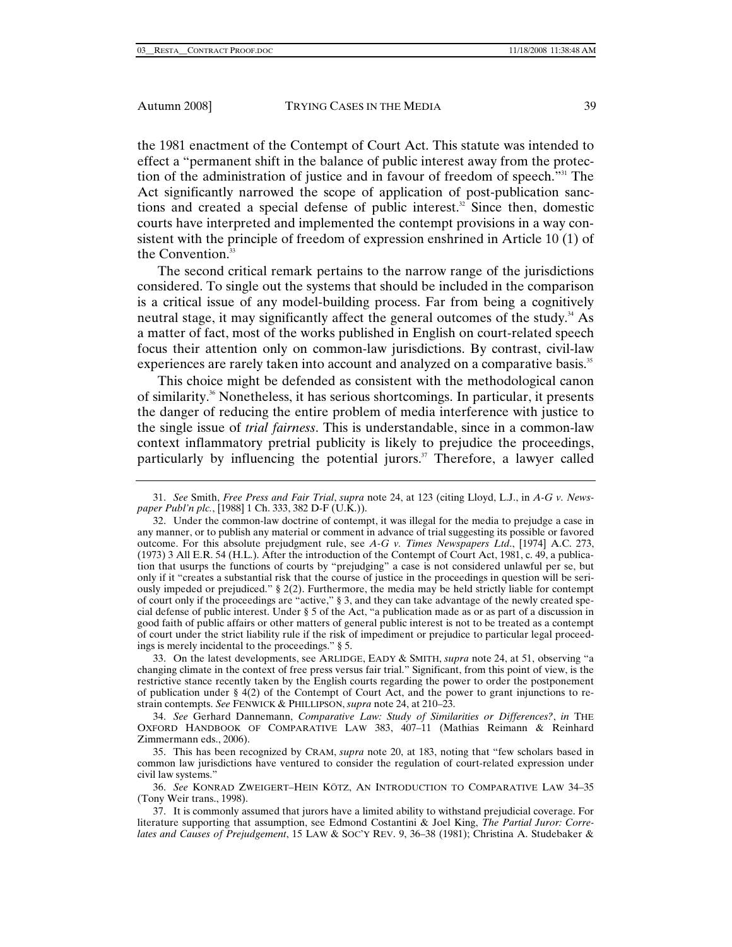the 1981 enactment of the Contempt of Court Act. This statute was intended to effect a "permanent shift in the balance of public interest away from the protection of the administration of justice and in favour of freedom of speech."31 The Act significantly narrowed the scope of application of post-publication sanctions and created a special defense of public interest.<sup>32</sup> Since then, domestic courts have interpreted and implemented the contempt provisions in a way consistent with the principle of freedom of expression enshrined in Article 10 (1) of the Convention.<sup>33</sup>

The second critical remark pertains to the narrow range of the jurisdictions considered. To single out the systems that should be included in the comparison is a critical issue of any model-building process. Far from being a cognitively neutral stage, it may significantly affect the general outcomes of the study.<sup>34</sup> As a matter of fact, most of the works published in English on court-related speech focus their attention only on common-law jurisdictions. By contrast, civil-law experiences are rarely taken into account and analyzed on a comparative basis.<sup>35</sup>

This choice might be defended as consistent with the methodological canon of similarity.36 Nonetheless, it has serious shortcomings. In particular, it presents the danger of reducing the entire problem of media interference with justice to the single issue of *trial fairness*. This is understandable, since in a common-law context inflammatory pretrial publicity is likely to prejudice the proceedings, particularly by influencing the potential jurors. $37$  Therefore, a lawyer called

<sup>31.</sup> *See* Smith, *Free Press and Fair Trial*, *supra* note 24, at 123 (citing Lloyd, L.J., in *A-G v. Newspaper Publ'n plc.*, [1988] 1 Ch. 333, 382 D-F (U.K.)).

 <sup>32.</sup> Under the common-law doctrine of contempt, it was illegal for the media to prejudge a case in any manner, or to publish any material or comment in advance of trial suggesting its possible or favored outcome. For this absolute prejudgment rule, see *A-G v. Times Newspapers Ltd*., [1974] A.C. 273, (1973) 3 All E.R. 54 (H.L.). After the introduction of the Contempt of Court Act, 1981, c. 49, a publication that usurps the functions of courts by "prejudging" a case is not considered unlawful per se, but only if it "creates a substantial risk that the course of justice in the proceedings in question will be seriously impeded or prejudiced." § 2(2). Furthermore, the media may be held strictly liable for contempt of court only if the proceedings are "active," § 3, and they can take advantage of the newly created special defense of public interest. Under § 5 of the Act, "a publication made as or as part of a discussion in good faith of public affairs or other matters of general public interest is not to be treated as a contempt of court under the strict liability rule if the risk of impediment or prejudice to particular legal proceedings is merely incidental to the proceedings." § 5.

 <sup>33.</sup> On the latest developments, see ARLIDGE, EADY & SMITH, *supra* note 24, at 51, observing "a changing climate in the context of free press versus fair trial." Significant, from this point of view, is the restrictive stance recently taken by the English courts regarding the power to order the postponement of publication under § 4(2) of the Contempt of Court Act, and the power to grant injunctions to restrain contempts. *See* FENWICK & PHILLIPSON, *supra* note 24, at 210–23.

 <sup>34.</sup> *See* Gerhard Dannemann, *Comparative Law: Study of Similarities or Differences?*, *in* THE OXFORD HANDBOOK OF COMPARATIVE LAW 383, 407–11 (Mathias Reimann & Reinhard Zimmermann eds., 2006).

 <sup>35.</sup> This has been recognized by CRAM, *supra* note 20, at 183, noting that "few scholars based in common law jurisdictions have ventured to consider the regulation of court-related expression under civil law systems."

<sup>36.</sup> *See* KONRAD ZWEIGERT–HEIN KÖTZ, AN INTRODUCTION TO COMPARATIVE LAW 34–35 (Tony Weir trans., 1998).

 <sup>37.</sup> It is commonly assumed that jurors have a limited ability to withstand prejudicial coverage. For literature supporting that assumption, see Edmond Costantini & Joel King, *The Partial Juror: Correlates and Causes of Prejudgement*, 15 LAW & SOC'Y REV. 9, 36–38 (1981); Christina A. Studebaker &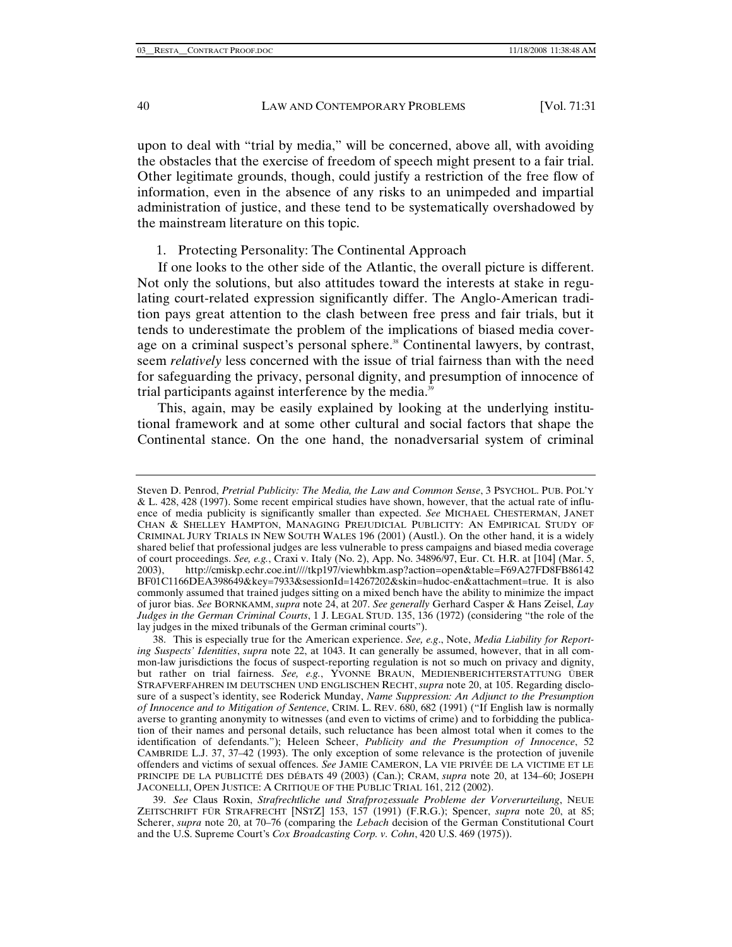upon to deal with "trial by media," will be concerned, above all, with avoiding the obstacles that the exercise of freedom of speech might present to a fair trial. Other legitimate grounds, though, could justify a restriction of the free flow of information, even in the absence of any risks to an unimpeded and impartial administration of justice, and these tend to be systematically overshadowed by the mainstream literature on this topic.

1. Protecting Personality: The Continental Approach

If one looks to the other side of the Atlantic, the overall picture is different. Not only the solutions, but also attitudes toward the interests at stake in regulating court-related expression significantly differ. The Anglo-American tradition pays great attention to the clash between free press and fair trials, but it tends to underestimate the problem of the implications of biased media coverage on a criminal suspect's personal sphere.<sup>38</sup> Continental lawyers, by contrast, seem *relatively* less concerned with the issue of trial fairness than with the need for safeguarding the privacy, personal dignity, and presumption of innocence of trial participants against interference by the media.<sup>39</sup>

This, again, may be easily explained by looking at the underlying institutional framework and at some other cultural and social factors that shape the Continental stance. On the one hand, the nonadversarial system of criminal

Steven D. Penrod, *Pretrial Publicity: The Media, the Law and Common Sense*, 3 PSYCHOL. PUB. POL'Y & L. 428, 428 (1997). Some recent empirical studies have shown, however, that the actual rate of influence of media publicity is significantly smaller than expected. *See* MICHAEL CHESTERMAN, JANET CHAN & SHELLEY HAMPTON, MANAGING PREJUDICIAL PUBLICITY: AN EMPIRICAL STUDY OF CRIMINAL JURY TRIALS IN NEW SOUTH WALES 196 (2001) (Austl.). On the other hand, it is a widely shared belief that professional judges are less vulnerable to press campaigns and biased media coverage of court proceedings. *See, e.g.*, Craxi v. Italy (No. 2), App. No. 34896/97, Eur. Ct. H.R. at [104] (Mar. 5, 2003), http://cmiskp.echr.coe.int////tkp197/viewhbkm.asp?action=open&table=F69A27FD8FB86142 BF01C1166DEA398649&key=7933&sessionId=14267202&skin=hudoc-en&attachment=true. It is also commonly assumed that trained judges sitting on a mixed bench have the ability to minimize the impact of juror bias. *See* BORNKAMM, *supra* note 24, at 207. *See generally* Gerhard Casper & Hans Zeisel, *Lay Judges in the German Criminal Courts*, 1 J. LEGAL STUD. 135, 136 (1972) (considering "the role of the lay judges in the mixed tribunals of the German criminal courts").

 <sup>38.</sup> This is especially true for the American experience. *See, e.g*., Note, *Media Liability for Reporting Suspects' Identities*, *supra* note 22, at 1043. It can generally be assumed, however, that in all common-law jurisdictions the focus of suspect-reporting regulation is not so much on privacy and dignity, but rather on trial fairness. *See, e.g.*, YVONNE BRAUN, MEDIENBERICHTERSTATTUNG ÜBER STRAFVERFAHREN IM DEUTSCHEN UND ENGLISCHEN RECHT, *supra* note 20, at 105. Regarding disclosure of a suspect's identity, see Roderick Munday, *Name Suppression: An Adjunct to the Presumption of Innocence and to Mitigation of Sentence*, CRIM. L. REV. 680, 682 (1991) ("If English law is normally averse to granting anonymity to witnesses (and even to victims of crime) and to forbidding the publication of their names and personal details, such reluctance has been almost total when it comes to the identification of defendants."); Heleen Scheer, *Publicity and the Presumption of Innocence*, 52 CAMBRIDE L.J. 37, 37–42 (1993). The only exception of some relevance is the protection of juvenile offenders and victims of sexual offences. *See* JAMIE CAMERON, LA VIE PRIVÉE DE LA VICTIME ET LE PRINCIPE DE LA PUBLICITÉ DES DÉBATS 49 (2003) (Can.); CRAM, *supra* note 20, at 134–60; JOSEPH JACONELLI, OPEN JUSTICE: A CRITIQUE OF THE PUBLIC TRIAL 161, 212 (2002).

<sup>39.</sup> *See* Claus Roxin, *Strafrechtliche und Strafprozessuale Probleme der Vorverurteilung*, NEUE ZEITSCHRIFT FÜR STRAFRECHT [NSTZ] 153, 157 (1991) (F.R.G.); Spencer, *supra* note 20, at 85; Scherer, *supra* note 20, at 70–76 (comparing the *Lebach* decision of the German Constitutional Court and the U.S. Supreme Court's *Cox Broadcasting Corp. v. Cohn*, 420 U.S. 469 (1975)).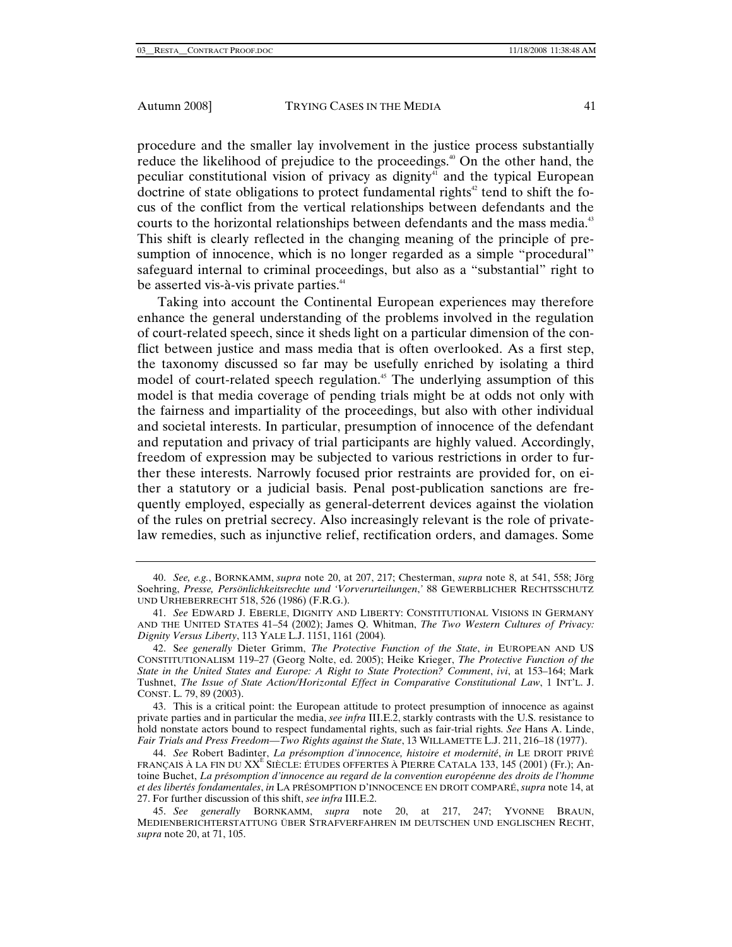procedure and the smaller lay involvement in the justice process substantially reduce the likelihood of prejudice to the proceedings.<sup>40</sup> On the other hand, the peculiar constitutional vision of privacy as dignity<sup>41</sup> and the typical European doctrine of state obligations to protect fundamental rights<sup>42</sup> tend to shift the focus of the conflict from the vertical relationships between defendants and the courts to the horizontal relationships between defendants and the mass media.<sup>43</sup> This shift is clearly reflected in the changing meaning of the principle of presumption of innocence, which is no longer regarded as a simple "procedural" safeguard internal to criminal proceedings, but also as a "substantial" right to be asserted vis-à-vis private parties.<sup>44</sup>

Taking into account the Continental European experiences may therefore enhance the general understanding of the problems involved in the regulation of court-related speech, since it sheds light on a particular dimension of the conflict between justice and mass media that is often overlooked. As a first step, the taxonomy discussed so far may be usefully enriched by isolating a third model of court-related speech regulation.<sup>45</sup> The underlying assumption of this model is that media coverage of pending trials might be at odds not only with the fairness and impartiality of the proceedings, but also with other individual and societal interests. In particular, presumption of innocence of the defendant and reputation and privacy of trial participants are highly valued. Accordingly, freedom of expression may be subjected to various restrictions in order to further these interests. Narrowly focused prior restraints are provided for, on either a statutory or a judicial basis. Penal post-publication sanctions are frequently employed, especially as general-deterrent devices against the violation of the rules on pretrial secrecy. Also increasingly relevant is the role of privatelaw remedies, such as injunctive relief, rectification orders, and damages. Some

 43. This is a critical point: the European attitude to protect presumption of innocence as against private parties and in particular the media, *see infra* III.E.2, starkly contrasts with the U.S. resistance to hold nonstate actors bound to respect fundamental rights, such as fair-trial rights. *See* Hans A. Linde, *Fair Trials and Press Freedom*—*Two Rights against the State*, 13 WILLAMETTE L.J. 211, 216–18 (1977).

<sup>40.</sup> *See, e.g.*, BORNKAMM, *supra* note 20, at 207, 217; Chesterman, *supra* note 8, at 541, 558; Jörg Soehring, *Presse, Persönlichkeitsrechte und 'Vorverurteilungen*,*'* 88 GEWERBLICHER RECHTSSCHUTZ UND URHEBERRECHT 518, 526 (1986) (F.R.G.).

<sup>41.</sup> *See* EDWARD J. EBERLE, DIGNITY AND LIBERTY: CONSTITUTIONAL VISIONS IN GERMANY AND THE UNITED STATES 41–54 (2002); James Q. Whitman, *The Two Western Cultures of Privacy: Dignity Versus Liberty*, 113 YALE L.J. 1151, 1161 (2004)*.*

 <sup>42.</sup> S*ee generally* Dieter Grimm, *The Protective Function of the State*, *in* EUROPEAN AND US CONSTITUTIONALISM 119–27 (Georg Nolte, ed. 2005); Heike Krieger, *The Protective Function of the State in the United States and Europe: A Right to State Protection? Comment*, *ivi*, at 153–164; Mark Tushnet, *The Issue of State Action/Horizontal Effect in Comparative Constitutional Law*, 1 INT'L. J. CONST. L. 79, 89 (2003).

<sup>44.</sup> *See* Robert Badinter, *La présomption d'innocence, histoire et modernité*, *in* LE DROIT PRIVÉ FRANÇAIS À LA FIN DU XXÈ SIÈCLE: ÉTUDES OFFERTES À PIERRE CATALA 133, 145 (2001) (Fr.); Antoine Buchet, *La présomption d'innocence au regard de la convention européenne des droits de l'homme et des libertés fondamentales*, *in* LA PRÉSOMPTION D'INNOCENCE EN DROIT COMPARÉ, *supra* note 14, at 27. For further discussion of this shift, *see infra* III.E.2.

<sup>45.</sup> *See generally* BORNKAMM, *supra* note 20, at 217, 247; YVONNE BRAUN, MEDIENBERICHTERSTATTUNG ÜBER STRAFVERFAHREN IM DEUTSCHEN UND ENGLISCHEN RECHT, *supra* note 20, at 71, 105.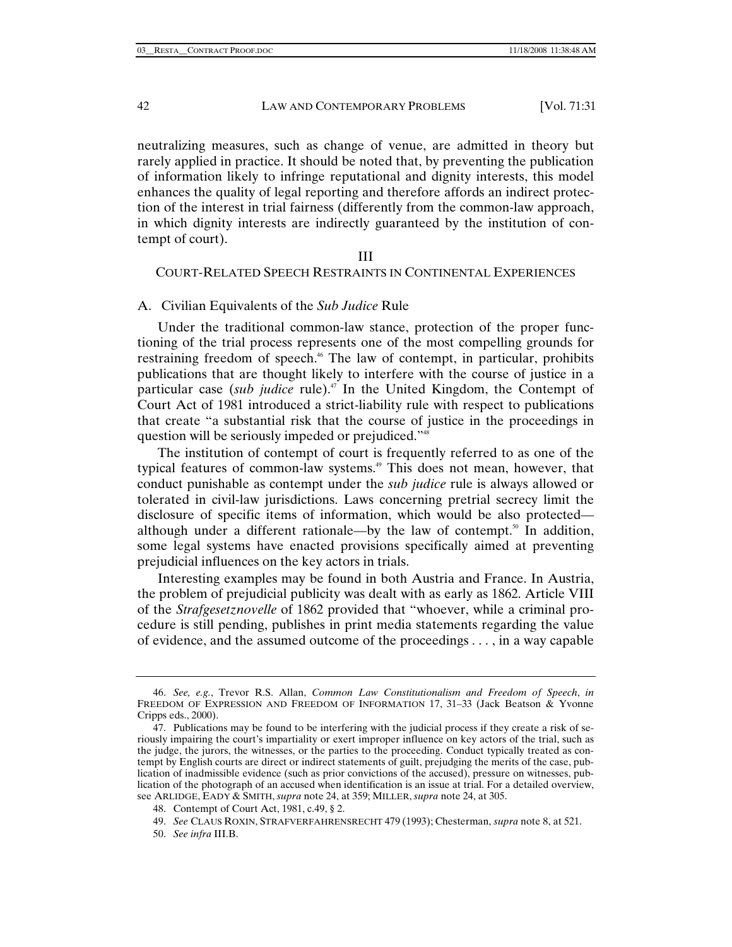neutralizing measures, such as change of venue, are admitted in theory but rarely applied in practice. It should be noted that, by preventing the publication of information likely to infringe reputational and dignity interests, this model enhances the quality of legal reporting and therefore affords an indirect protection of the interest in trial fairness (differently from the common-law approach, in which dignity interests are indirectly guaranteed by the institution of contempt of court).

# III COURT-RELATED SPEECH RESTRAINTS IN CONTINENTAL EXPERIENCES

# A. Civilian Equivalents of the *Sub Judice* Rule

Under the traditional common-law stance, protection of the proper functioning of the trial process represents one of the most compelling grounds for restraining freedom of speech.<sup>46</sup> The law of contempt, in particular, prohibits publications that are thought likely to interfere with the course of justice in a particular case (*sub judice* rule).47 In the United Kingdom, the Contempt of Court Act of 1981 introduced a strict-liability rule with respect to publications that create "a substantial risk that the course of justice in the proceedings in question will be seriously impeded or prejudiced."<sup>48</sup>

The institution of contempt of court is frequently referred to as one of the typical features of common-law systems.<sup>49</sup> This does not mean, however, that conduct punishable as contempt under the *sub judice* rule is always allowed or tolerated in civil-law jurisdictions. Laws concerning pretrial secrecy limit the disclosure of specific items of information, which would be also protected although under a different rationale—by the law of contempt.<sup>50</sup> In addition, some legal systems have enacted provisions specifically aimed at preventing prejudicial influences on the key actors in trials.

Interesting examples may be found in both Austria and France. In Austria, the problem of prejudicial publicity was dealt with as early as 1862. Article VIII of the *Strafgesetznovelle* of 1862 provided that "whoever, while a criminal procedure is still pending, publishes in print media statements regarding the value of evidence, and the assumed outcome of the proceedings . . . , in a way capable

<sup>46.</sup> *See, e.g.*, Trevor R.S. Allan, *Common Law Constitutionalism and Freedom of Speech*, *in* FREEDOM OF EXPRESSION AND FREEDOM OF INFORMATION 17, 31–33 (Jack Beatson & Yvonne Cripps eds., 2000).

 <sup>47.</sup> Publications may be found to be interfering with the judicial process if they create a risk of seriously impairing the court's impartiality or exert improper influence on key actors of the trial, such as the judge, the jurors, the witnesses, or the parties to the proceeding. Conduct typically treated as contempt by English courts are direct or indirect statements of guilt, prejudging the merits of the case, publication of inadmissible evidence (such as prior convictions of the accused), pressure on witnesses, publication of the photograph of an accused when identification is an issue at trial. For a detailed overview, see ARLIDGE, EADY & SMITH, *supra* note 24, at 359; MILLER, *supra* note 24, at 305.

 <sup>48.</sup> Contempt of Court Act, 1981, c.49, § 2.

<sup>49.</sup> *See* CLAUS ROXIN, STRAFVERFAHRENSRECHT 479 (1993); Chesterman, *supra* note 8, at 521.

<sup>50.</sup> *See infra* III.B.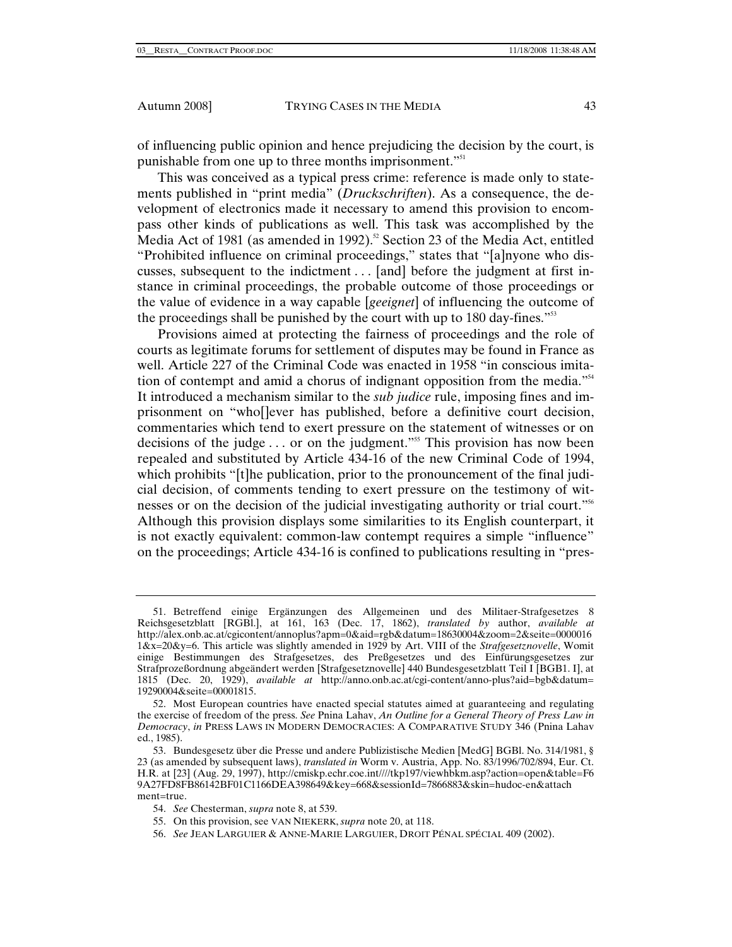of influencing public opinion and hence prejudicing the decision by the court, is punishable from one up to three months imprisonment."51

This was conceived as a typical press crime: reference is made only to statements published in "print media" (*Druckschriften*). As a consequence, the development of electronics made it necessary to amend this provision to encompass other kinds of publications as well. This task was accomplished by the Media Act of 1981 (as amended in 1992).<sup>52</sup> Section 23 of the Media Act, entitled "Prohibited influence on criminal proceedings," states that "[a]nyone who discusses, subsequent to the indictment . . . [and] before the judgment at first instance in criminal proceedings, the probable outcome of those proceedings or the value of evidence in a way capable [*geeignet*] of influencing the outcome of the proceedings shall be punished by the court with up to 180 day-fines."53

Provisions aimed at protecting the fairness of proceedings and the role of courts as legitimate forums for settlement of disputes may be found in France as well. Article 227 of the Criminal Code was enacted in 1958 "in conscious imitation of contempt and amid a chorus of indignant opposition from the media."<sup>54</sup> It introduced a mechanism similar to the *sub judice* rule, imposing fines and imprisonment on "who[]ever has published, before a definitive court decision, commentaries which tend to exert pressure on the statement of witnesses or on decisions of the judge . . . or on the judgment."55 This provision has now been repealed and substituted by Article 434-16 of the new Criminal Code of 1994, which prohibits "[t]he publication, prior to the pronouncement of the final judicial decision, of comments tending to exert pressure on the testimony of witnesses or on the decision of the judicial investigating authority or trial court."56 Although this provision displays some similarities to its English counterpart, it is not exactly equivalent: common-law contempt requires a simple "influence" on the proceedings; Article 434-16 is confined to publications resulting in "pres-

 <sup>51.</sup> Betreffend einige Ergänzungen des Allgemeinen und des Militaer-Strafgesetzes 8 Reichsgesetzblatt [RGBl.], at 161, 163 (Dec. 17, 1862), *translated by* author, *available at*  http://alex.onb.ac.at/cgicontent/annoplus?apm=0&aid=rgb&datum=18630004&zoom=2&seite=0000016 1&x=20&y=6. This article was slightly amended in 1929 by Art. VIII of the *Strafgesetznovelle*, Womit einige Bestimmungen des Strafgesetzes, des Preßgesetzes und des Einfürungsgesetzes zur Strafprozeßordnung abgeändert werden [Strafgesetznovelle] 440 Bundesgesetzblatt Teil I [BGB1. I], at 1815 (Dec. 20, 1929), *available at* http://anno.onb.ac.at/cgi-content/anno-plus?aid=bgb&datum= 19290004&seite=00001815.

 <sup>52.</sup> Most European countries have enacted special statutes aimed at guaranteeing and regulating the exercise of freedom of the press. *See* Pnina Lahav, *An Outline for a General Theory of Press Law in Democracy*, *in* PRESS LAWS IN MODERN DEMOCRACIES: A COMPARATIVE STUDY 346 (Pnina Lahav ed., 1985).

 <sup>53.</sup> Bundesgesetz über die Presse und andere Publizistische Medien [MedG] BGBl. No. 314/1981, § 23 (as amended by subsequent laws), *translated in* Worm v. Austria, App. No. 83/1996/702/894, Eur. Ct. H.R. at [23] (Aug. 29, 1997), http://cmiskp.echr.coe.int////tkp197/viewhbkm.asp?action=open&table=F6 9A27FD8FB86142BF01C1166DEA398649&key=668&sessionId=7866883&skin=hudoc-en&attach ment=true.

<sup>54.</sup> *See* Chesterman, *supra* note 8, at 539.

 <sup>55.</sup> On this provision, see VAN NIEKERK, *supra* note 20, at 118.

<sup>56.</sup> *See* JEAN LARGUIER & ANNE-MARIE LARGUIER, DROIT PÉNAL SPÉCIAL 409 (2002).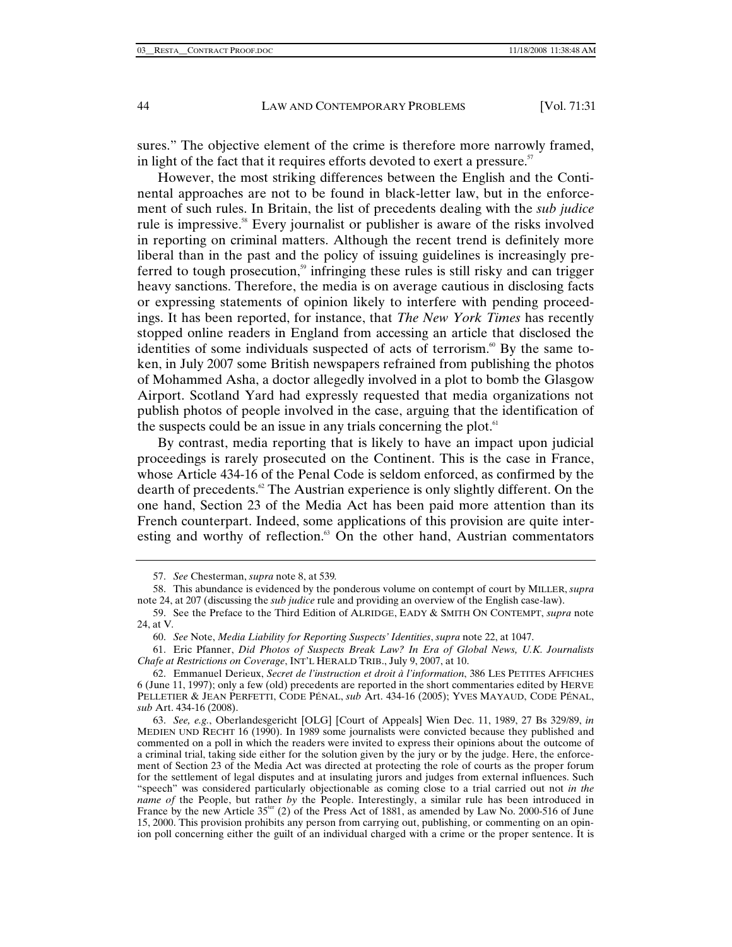sures." The objective element of the crime is therefore more narrowly framed, in light of the fact that it requires efforts devoted to exert a pressure.<sup>57</sup>

However, the most striking differences between the English and the Continental approaches are not to be found in black-letter law, but in the enforcement of such rules. In Britain, the list of precedents dealing with the *sub judice*  rule is impressive.58 Every journalist or publisher is aware of the risks involved in reporting on criminal matters. Although the recent trend is definitely more liberal than in the past and the policy of issuing guidelines is increasingly preferred to tough prosecution, $59$  infringing these rules is still risky and can trigger heavy sanctions. Therefore, the media is on average cautious in disclosing facts or expressing statements of opinion likely to interfere with pending proceedings. It has been reported, for instance, that *The New York Times* has recently stopped online readers in England from accessing an article that disclosed the identities of some individuals suspected of acts of terrorism.<sup>60</sup> By the same token, in July 2007 some British newspapers refrained from publishing the photos of Mohammed Asha, a doctor allegedly involved in a plot to bomb the Glasgow Airport. Scotland Yard had expressly requested that media organizations not publish photos of people involved in the case, arguing that the identification of the suspects could be an issue in any trials concerning the plot. $61$ 

By contrast, media reporting that is likely to have an impact upon judicial proceedings is rarely prosecuted on the Continent. This is the case in France, whose Article 434-16 of the Penal Code is seldom enforced, as confirmed by the dearth of precedents.<sup> $\alpha$ </sup> The Austrian experience is only slightly different. On the one hand, Section 23 of the Media Act has been paid more attention than its French counterpart. Indeed, some applications of this provision are quite interesting and worthy of reflection.<sup>63</sup> On the other hand, Austrian commentators

 61. Eric Pfanner, *Did Photos of Suspects Break Law? In Era of Global News, U.K. Journalists Chafe at Restrictions on Coverage*, INT'L HERALD TRIB., July 9, 2007, at 10.

<sup>57.</sup> *See* Chesterman, *supra* note 8, at 539*.*

 <sup>58.</sup> This abundance is evidenced by the ponderous volume on contempt of court by MILLER, *supra*  note 24, at 207 (discussing the *sub judice* rule and providing an overview of the English case-law).

<sup>59.</sup> See the Preface to the Third Edition of ALRIDGE, EADY & SMITH ON CONTEMPT, *supra* note 24, at V*.*

<sup>60.</sup> *See* Note, *Media Liability for Reporting Suspects' Identities*, *supra* note 22, at 1047.

 <sup>62.</sup> Emmanuel Derieux, *Secret de l'instruction et droit à l'information*, 386 LES PETITES AFFICHES 6 (June 11, 1997); only a few (old) precedents are reported in the short commentaries edited by HERVE PELLETIER & JEAN PERFETTI, CODE PÉNAL, *sub* Art. 434-16 (2005); YVES MAYAUD, CODE PÉNAL, *sub* Art. 434-16 (2008).

<sup>63.</sup> *See, e.g.*, Oberlandesgericht [OLG] [Court of Appeals] Wien Dec. 11, 1989, 27 Bs 329/89, *in* MEDIEN UND RECHT 16 (1990). In 1989 some journalists were convicted because they published and commented on a poll in which the readers were invited to express their opinions about the outcome of a criminal trial, taking side either for the solution given by the jury or by the judge. Here, the enforcement of Section 23 of the Media Act was directed at protecting the role of courts as the proper forum for the settlement of legal disputes and at insulating jurors and judges from external influences. Such "speech" was considered particularly objectionable as coming close to a trial carried out not *in the name of the People, but rather by the People. Interestingly, a similar rule has been introduced in* France by the new Article  $35<sup>ter</sup>$  (2) of the Press Act of 1881, as amended by Law No. 2000-516 of June 15, 2000. This provision prohibits any person from carrying out, publishing, or commenting on an opinion poll concerning either the guilt of an individual charged with a crime or the proper sentence. It is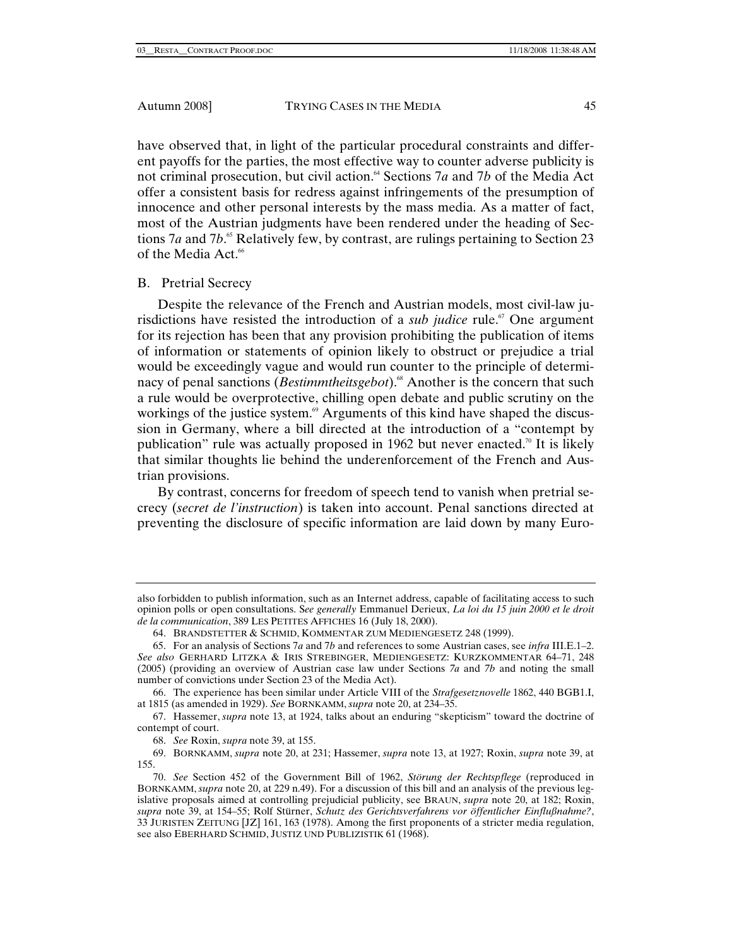have observed that, in light of the particular procedural constraints and different payoffs for the parties, the most effective way to counter adverse publicity is not criminal prosecution, but civil action.<sup>64</sup> Sections 7*a* and 7*b* of the Media Act offer a consistent basis for redress against infringements of the presumption of innocence and other personal interests by the mass media. As a matter of fact, most of the Austrian judgments have been rendered under the heading of Sections 7*a* and 7*b*.<sup>65</sup> Relatively few, by contrast, are rulings pertaining to Section 23 of the Media Act.<sup>66</sup>

# B. Pretrial Secrecy

Despite the relevance of the French and Austrian models, most civil-law jurisdictions have resisted the introduction of a *sub judice* rule.<sup> $\sigma$ </sup> One argument for its rejection has been that any provision prohibiting the publication of items of information or statements of opinion likely to obstruct or prejudice a trial would be exceedingly vague and would run counter to the principle of determinacy of penal sanctions (*Bestimmtheitsgebot*).<sup>68</sup> Another is the concern that such a rule would be overprotective, chilling open debate and public scrutiny on the workings of the justice system.<sup>69</sup> Arguments of this kind have shaped the discussion in Germany, where a bill directed at the introduction of a "contempt by publication" rule was actually proposed in 1962 but never enacted.<sup>70</sup> It is likely that similar thoughts lie behind the underenforcement of the French and Austrian provisions.

By contrast, concerns for freedom of speech tend to vanish when pretrial secrecy (*secret de l'instruction*) is taken into account. Penal sanctions directed at preventing the disclosure of specific information are laid down by many Euro-

also forbidden to publish information, such as an Internet address, capable of facilitating access to such opinion polls or open consultations. S*ee generally* Emmanuel Derieux, *La loi du 15 juin 2000 et le droit de la communication*, 389 LES PETITES AFFICHES 16 (July 18, 2000).

 <sup>64.</sup> BRANDSTETTER & SCHMID, KOMMENTAR ZUM MEDIENGESETZ 248 (1999).

 <sup>65.</sup> For an analysis of Sections 7*a* and 7*b* and references to some Austrian cases, see *infra* III.E.1–2. *See also* GERHARD LITZKA & IRIS STREBINGER, MEDIENGESETZ: KURZKOMMENTAR 64–71, 248 (2005) (providing an overview of Austrian case law under Sections *7a* and *7b* and noting the small number of convictions under Section 23 of the Media Act).

 <sup>66.</sup> The experience has been similar under Article VIII of the *Strafgesetznovelle* 1862, 440 BGB1.I, at 1815 (as amended in 1929). *See* BORNKAMM, *supra* note 20, at 234–35.

 <sup>67.</sup> Hassemer, *supra* note 13, at 1924, talks about an enduring "skepticism" toward the doctrine of contempt of court.

<sup>68.</sup> *See* Roxin, *supra* note 39, at 155.

 <sup>69.</sup> BORNKAMM, *supra* note 20, at 231; Hassemer, *supra* note 13, at 1927; Roxin, *supra* note 39, at 155.

<sup>70.</sup> *See* Section 452 of the Government Bill of 1962, *Störung der Rechtspflege* (reproduced in BORNKAMM, *supra* note 20, at 229 n.49). For a discussion of this bill and an analysis of the previous legislative proposals aimed at controlling prejudicial publicity, see BRAUN, *supra* note 20, at 182; Roxin, *supra* note 39, at 154–55; Rolf Stürner, *Schutz des Gerichtsverfahrens vor öffentlicher Einflußnahme?*, 33 JURISTEN ZEITUNG [JZ] 161, 163 (1978). Among the first proponents of a stricter media regulation, see also EBERHARD SCHMID, JUSTIZ UND PUBLIZISTIK 61 (1968).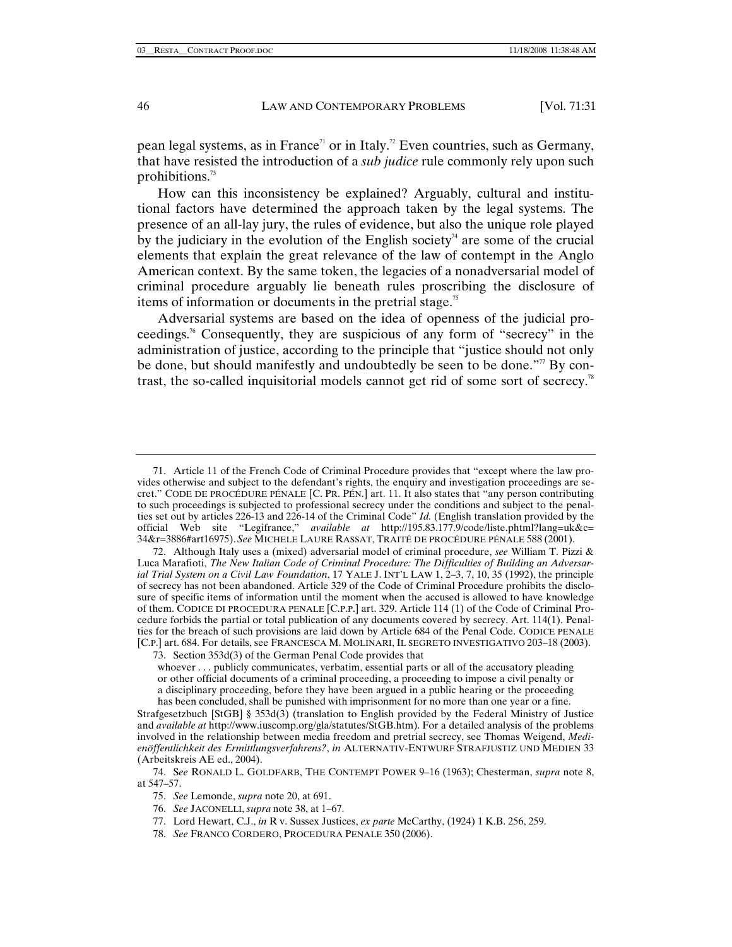pean legal systems, as in France<sup> $\pi$ </sup> or in Italy.<sup>22</sup> Even countries, such as Germany, that have resisted the introduction of a *sub judice* rule commonly rely upon such prohibitions.73

How can this inconsistency be explained? Arguably, cultural and institutional factors have determined the approach taken by the legal systems. The presence of an all-lay jury, the rules of evidence, but also the unique role played by the judiciary in the evolution of the English society<sup> $4$ </sup> are some of the crucial elements that explain the great relevance of the law of contempt in the Anglo American context. By the same token, the legacies of a nonadversarial model of criminal procedure arguably lie beneath rules proscribing the disclosure of items of information or documents in the pretrial stage.<sup>75</sup>

Adversarial systems are based on the idea of openness of the judicial proceedings.76 Consequently, they are suspicious of any form of "secrecy" in the administration of justice, according to the principle that "justice should not only be done, but should manifestly and undoubtedly be seen to be done."77 By contrast, the so-called inquisitorial models cannot get rid of some sort of secrecy.<sup>78</sup>

 <sup>71.</sup> Article 11 of the French Code of Criminal Procedure provides that "except where the law provides otherwise and subject to the defendant's rights, the enquiry and investigation proceedings are secret." CODE DE PROCÉDURE PÉNALE [C. PR. PÉN.] art. 11. It also states that "any person contributing to such proceedings is subjected to professional secrecy under the conditions and subject to the penalties set out by articles 226-13 and 226-14 of the Criminal Code" *Id.* (English translation provided by the official Web site "Legifrance," *available at* http://195.83.177.9/code/liste.phtml?lang=uk&c= 34&r=3886#art16975).*See* MICHELE LAURE RASSAT, TRAITÉ DE PROCÉDURE PÉNALE 588 (2001).

 <sup>72.</sup> Although Italy uses a (mixed) adversarial model of criminal procedure, *see* William T. Pizzi & Luca Marafioti, *The New Italian Code of Criminal Procedure: The Difficulties of Building an Adversarial Trial System on a Civil Law Foundation*, 17 YALE J. INT'L LAW 1, 2–3, 7, 10, 35 (1992), the principle of secrecy has not been abandoned. Article 329 of the Code of Criminal Procedure prohibits the disclosure of specific items of information until the moment when the accused is allowed to have knowledge of them. CODICE DI PROCEDURA PENALE [C.P.P.] art. 329. Article 114 (1) of the Code of Criminal Procedure forbids the partial or total publication of any documents covered by secrecy. Art. 114(1). Penalties for the breach of such provisions are laid down by Article 684 of the Penal Code. CODICE PENALE [C.P.] art. 684. For details, see FRANCESCA M. MOLINARI, IL SEGRETO INVESTIGATIVO 203–18 (2003).

 <sup>73.</sup> Section 353d(3) of the German Penal Code provides that

whoever . . . publicly communicates, verbatim, essential parts or all of the accusatory pleading or other official documents of a criminal proceeding, a proceeding to impose a civil penalty or a disciplinary proceeding, before they have been argued in a public hearing or the proceeding has been concluded, shall be punished with imprisonment for no more than one year or a fine.

Strafgesetzbuch [StGB] § 353d(3) (translation to English provided by the Federal Ministry of Justice and *available at* http://www.iuscomp.org/gla/statutes/StGB.htm). For a detailed analysis of the problems involved in the relationship between media freedom and pretrial secrecy, see Thomas Weigend, *Medienöffentlichkeit des Ermittlungsverfahrens?*, *in* ALTERNATIV-ENTWURF STRAFJUSTIZ UND MEDIEN 33 (Arbeitskreis AE ed., 2004).

 <sup>74.</sup> S*ee* RONALD L. GOLDFARB, THE CONTEMPT POWER 9–16 (1963); Chesterman, *supra* note 8, at 547–57.

<sup>75.</sup> *See* Lemonde, *supra* note 20, at 691.

<sup>76.</sup> *See* JACONELLI, *supra* note 38, at 1–67.

 <sup>77.</sup> Lord Hewart, C.J., *in* R v. Sussex Justices, *ex parte* McCarthy, (1924) 1 K.B. 256, 259.

<sup>78.</sup> *See* FRANCO CORDERO, PROCEDURA PENALE 350 (2006).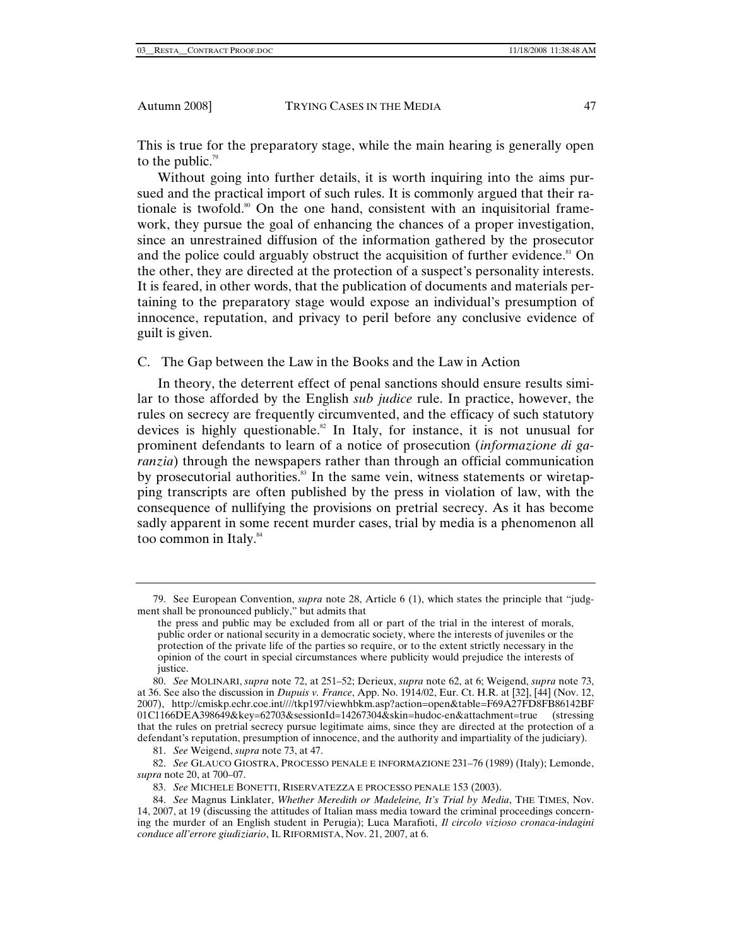This is true for the preparatory stage, while the main hearing is generally open to the public. $\frac{79}{2}$ 

Without going into further details, it is worth inquiring into the aims pursued and the practical import of such rules. It is commonly argued that their rationale is twofold.<sup>80</sup> On the one hand, consistent with an inquisitorial framework, they pursue the goal of enhancing the chances of a proper investigation, since an unrestrained diffusion of the information gathered by the prosecutor and the police could arguably obstruct the acquisition of further evidence.<sup>81</sup> On the other, they are directed at the protection of a suspect's personality interests. It is feared, in other words, that the publication of documents and materials pertaining to the preparatory stage would expose an individual's presumption of innocence, reputation, and privacy to peril before any conclusive evidence of guilt is given.

C. The Gap between the Law in the Books and the Law in Action

In theory, the deterrent effect of penal sanctions should ensure results similar to those afforded by the English *sub judice* rule. In practice, however, the rules on secrecy are frequently circumvented, and the efficacy of such statutory devices is highly questionable.<sup>82</sup> In Italy, for instance, it is not unusual for prominent defendants to learn of a notice of prosecution (*informazione di garanzia*) through the newspapers rather than through an official communication by prosecutorial authorities.<sup>83</sup> In the same vein, witness statements or wiretapping transcripts are often published by the press in violation of law, with the consequence of nullifying the provisions on pretrial secrecy. As it has become sadly apparent in some recent murder cases, trial by media is a phenomenon all too common in Italy.<sup>84</sup>

81. *See* Weigend, *supra* note 73, at 47.

82. *See* GLAUCO GIOSTRA, PROCESSO PENALE E INFORMAZIONE 231–76 (1989) (Italy); Lemonde, *supra* note 20, at 700–07.

83. *See* MICHELE BONETTI, RISERVATEZZA E PROCESSO PENALE 153 (2003).

<sup>79.</sup> See European Convention, *supra* note 28, Article 6 (1), which states the principle that "judgment shall be pronounced publicly," but admits that

the press and public may be excluded from all or part of the trial in the interest of morals, public order or national security in a democratic society, where the interests of juveniles or the protection of the private life of the parties so require, or to the extent strictly necessary in the opinion of the court in special circumstances where publicity would prejudice the interests of justice.

<sup>80.</sup> *See* MOLINARI, *supra* note 72, at 251–52; Derieux, *supra* note 62, at 6; Weigend, *supra* note 73, at 36. See also the discussion in *Dupuis v. France*, App. No. 1914/02, Eur. Ct. H.R. at [32], [44] (Nov. 12, 2007), http://cmiskp.echr.coe.int////tkp197/viewhbkm.asp?action=open&table=F69A27FD8FB86142BF 01C1166DEA398649&key=62703&sessionId=14267304&skin=hudoc-en&attachment=true (stressing that the rules on pretrial secrecy pursue legitimate aims, since they are directed at the protection of a defendant's reputation, presumption of innocence, and the authority and impartiality of the judiciary).

<sup>84.</sup> *See* Magnus Linklater, *Whether Meredith or Madeleine, It's Trial by Media*, THE TIMES, Nov. 14, 2007, at 19 (discussing the attitudes of Italian mass media toward the criminal proceedings concerning the murder of an English student in Perugia); Luca Marafioti, *Il circolo vizioso cronaca-indagini conduce all'errore giudiziario*, IL RIFORMISTA, Nov. 21, 2007, at 6.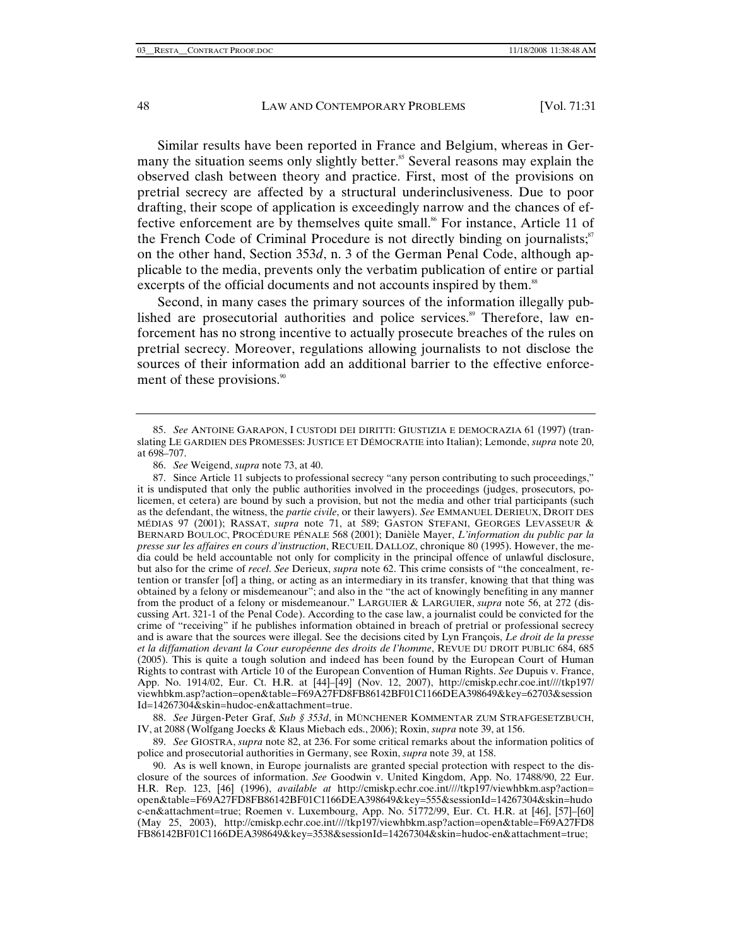Similar results have been reported in France and Belgium, whereas in Germany the situation seems only slightly better.<sup>85</sup> Several reasons may explain the observed clash between theory and practice. First, most of the provisions on pretrial secrecy are affected by a structural underinclusiveness. Due to poor drafting, their scope of application is exceedingly narrow and the chances of effective enforcement are by themselves quite small.<sup>86</sup> For instance, Article 11 of the French Code of Criminal Procedure is not directly binding on journalists; $s^2$ on the other hand, Section 353*d*, n. 3 of the German Penal Code, although applicable to the media, prevents only the verbatim publication of entire or partial excerpts of the official documents and not accounts inspired by them.<sup>88</sup>

Second, in many cases the primary sources of the information illegally published are prosecutorial authorities and police services.<sup>89</sup> Therefore, law enforcement has no strong incentive to actually prosecute breaches of the rules on pretrial secrecy. Moreover, regulations allowing journalists to not disclose the sources of their information add an additional barrier to the effective enforcement of these provisions.<sup>90</sup>

88. *See* Jürgen-Peter Graf, *Sub § 353d*, in MÜNCHENER KOMMENTAR ZUM STRAFGESETZBUCH, IV, at 2088 (Wolfgang Joecks & Klaus Miebach eds., 2006); Roxin, *supra* note 39, at 156.

89. *See* GIOSTRA, *supra* note 82, at 236. For some critical remarks about the information politics of police and prosecutorial authorities in Germany, see Roxin, *supra* note 39, at 158.

<sup>85.</sup> *See* ANTOINE GARAPON, I CUSTODI DEI DIRITTI: GIUSTIZIA E DEMOCRAZIA 61 (1997) (translating LE GARDIEN DES PROMESSES: JUSTICE ET DÉMOCRATIE into Italian); Lemonde, *supra* note 20, at 698–707.

<sup>86.</sup> *See* Weigend, *supra* note 73, at 40.

 <sup>87.</sup> Since Article 11 subjects to professional secrecy "any person contributing to such proceedings," it is undisputed that only the public authorities involved in the proceedings (judges, prosecutors, policemen, et cetera) are bound by such a provision, but not the media and other trial participants (such as the defendant, the witness, the *partie civile*, or their lawyers). *See* EMMANUEL DERIEUX, DROIT DES MÉDIAS 97 (2001); RASSAT, *supra* note 71, at 589; GASTON STEFANI, GEORGES LEVASSEUR & BERNARD BOULOC, PROCÉDURE PÉNALE 568 (2001); Danièle Mayer, *L'information du public par la presse sur les affaires en cours d'instruction*, RECUEIL DALLOZ, chronique 80 (1995). However, the media could be held accountable not only for complicity in the principal offence of unlawful disclosure, but also for the crime of *recel*. *See* Derieux, *supra* note 62. This crime consists of "the concealment, retention or transfer [of] a thing, or acting as an intermediary in its transfer, knowing that that thing was obtained by a felony or misdemeanour"; and also in the "the act of knowingly benefiting in any manner from the product of a felony or misdemeanour." LARGUIER & LARGUIER, *supra* note 56, at 272 (discussing Art. 321-1 of the Penal Code). According to the case law, a journalist could be convicted for the crime of "receiving" if he publishes information obtained in breach of pretrial or professional secrecy and is aware that the sources were illegal. See the decisions cited by Lyn François, *Le droit de la presse et la diffamation devant la Cour européenne des droits de l'homme*, REVUE DU DROIT PUBLIC 684, 685 (2005). This is quite a tough solution and indeed has been found by the European Court of Human Rights to contrast with Article 10 of the European Convention of Human Rights. *See* Dupuis v. France, App. No. 1914/02, Eur. Ct. H.R. at [44]–[49] (Nov. 12, 2007), http://cmiskp.echr.coe.int////tkp197/ viewhbkm.asp?action=open&table=F69A27FD8FB86142BF01C1166DEA398649&key=62703&session Id=14267304&skin=hudoc-en&attachment=true.

 <sup>90.</sup> As is well known, in Europe journalists are granted special protection with respect to the disclosure of the sources of information. *See* Goodwin v. United Kingdom, App. No. 17488/90, 22 Eur. H.R. Rep. 123, [46] (1996), *available at* http://cmiskp.echr.coe.int////tkp197/viewhbkm.asp?action= open&table=F69A27FD8FB86142BF01C1166DEA398649&key=555&sessionId=14267304&skin=hudo c-en&attachment=true; Roemen v. Luxembourg, App. No. 51772/99, Eur. Ct. H.R. at [46], [57]–[60] (May 25, 2003), http://cmiskp.echr.coe.int////tkp197/viewhbkm.asp?action=open&table=F69A27FD8 FB86142BF01C1166DEA398649&key=3538&sessionId=14267304&skin=hudoc-en&attachment=true;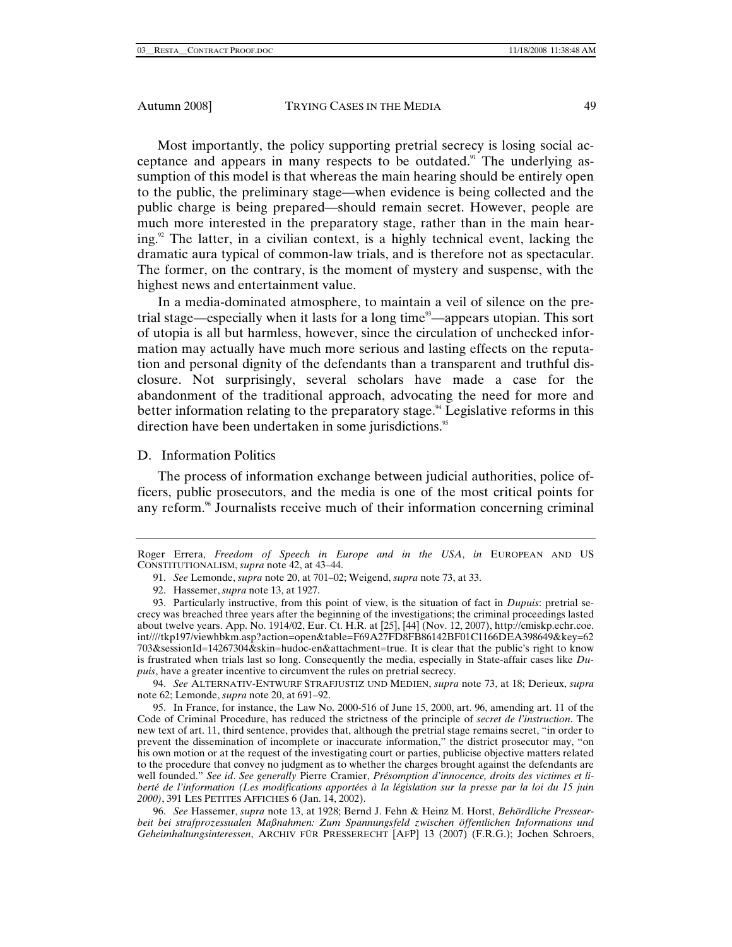Most importantly, the policy supporting pretrial secrecy is losing social acceptance and appears in many respects to be outdated.<sup>91</sup> The underlying assumption of this model is that whereas the main hearing should be entirely open to the public, the preliminary stage—when evidence is being collected and the public charge is being prepared—should remain secret. However, people are much more interested in the preparatory stage, rather than in the main hearing.<sup>92</sup> The latter, in a civilian context, is a highly technical event, lacking the dramatic aura typical of common-law trials, and is therefore not as spectacular. The former, on the contrary, is the moment of mystery and suspense, with the highest news and entertainment value.

In a media-dominated atmosphere, to maintain a veil of silence on the pretrial stage—especially when it lasts for a long time<sup>93</sup>—appears utopian. This sort of utopia is all but harmless, however, since the circulation of unchecked information may actually have much more serious and lasting effects on the reputation and personal dignity of the defendants than a transparent and truthful disclosure. Not surprisingly, several scholars have made a case for the abandonment of the traditional approach, advocating the need for more and better information relating to the preparatory stage.<sup>94</sup> Legislative reforms in this direction have been undertaken in some jurisdictions.<sup>95</sup>

# D. Information Politics

The process of information exchange between judicial authorities, police officers, public prosecutors, and the media is one of the most critical points for any reform.<sup>96</sup> Journalists receive much of their information concerning criminal

94. *See* ALTERNATIV-ENTWURF STRAFJUSTIZ UND MEDIEN, *supra* note 73, at 18; Derieux, *supra* note 62; Lemonde, *supra* note 20, at 691–92.

Roger Errera, *Freedom of Speech in Europe and in the USA*, *in* EUROPEAN AND US CONSTITUTIONALISM, *supra* note 42, at 43–44.

<sup>91.</sup> *See* Lemonde, *supra* note 20, at 701–02; Weigend, *supra* note 73, at 33.

 <sup>92.</sup> Hassemer, *supra* note 13, at 1927.

 <sup>93.</sup> Particularly instructive, from this point of view, is the situation of fact in *Dupuis*: pretrial secrecy was breached three years after the beginning of the investigations; the criminal proceedings lasted about twelve years. App. No. 1914/02, Eur. Ct. H.R. at [25], [44] (Nov. 12, 2007), http://cmiskp.echr.coe. int////tkp197/viewhbkm.asp?action=open&table=F69A27FD8FB86142BF01C1166DEA398649&key=62 703&sessionId=14267304&skin=hudoc-en&attachment=true. It is clear that the public's right to know is frustrated when trials last so long. Consequently the media, especially in State-affair cases like *Dupuis*, have a greater incentive to circumvent the rules on pretrial secrecy.

 <sup>95.</sup> In France, for instance, the Law No. 2000-516 of June 15, 2000, art. 96, amending art. 11 of the Code of Criminal Procedure, has reduced the strictness of the principle of *secret de l'instruction*. The new text of art. 11, third sentence, provides that, although the pretrial stage remains secret, "in order to prevent the dissemination of incomplete or inaccurate information," the district prosecutor may, "on his own motion or at the request of the investigating court or parties, publicise objective matters related to the procedure that convey no judgment as to whether the charges brought against the defendants are well founded." *See id*. *See generally* Pierre Cramier, *Présomption d'innocence, droits des victimes et liberté de l'information (Les modifications apportées à la législation sur la presse par la loi du 15 juin 2000)*, 391 LES PETITES AFFICHES 6 (Jan. 14, 2002).

<sup>96.</sup> *See* Hassemer, *supra* note 13, at 1928; Bernd J. Fehn & Heinz M. Horst, *Behördliche Pressearbeit bei strafprozessualen Maßnahmen: Zum Spannungsfeld zwischen öffentlichen Informations und Geheimhaltungsinteressen*, ARCHIV FÜR PRESSERECHT [AFP] 13 (2007) (F.R.G.); Jochen Schroers,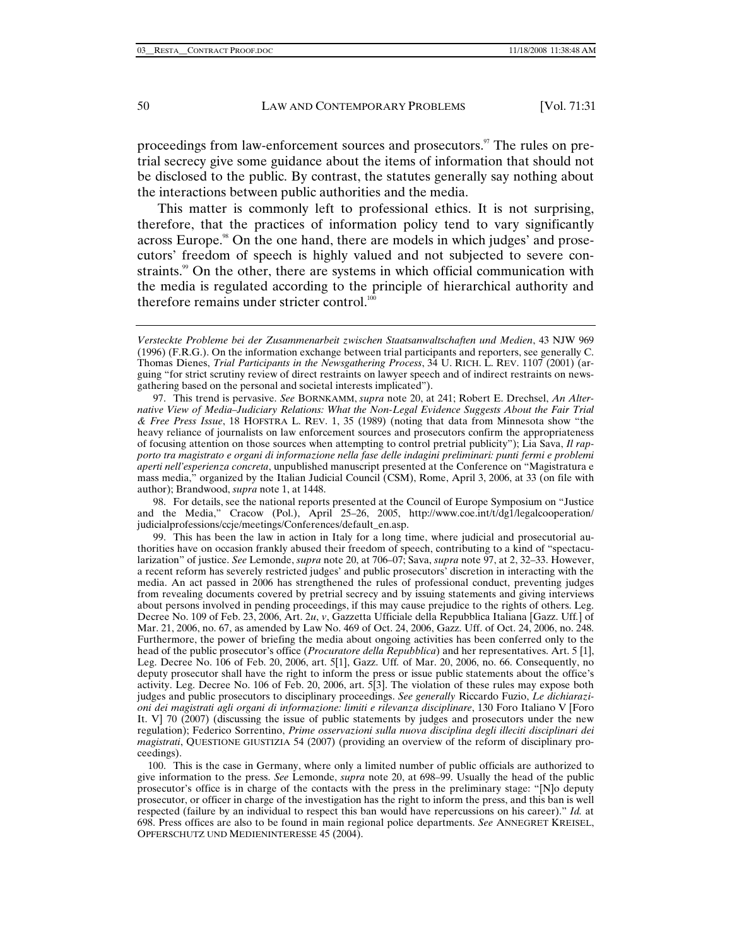proceedings from law-enforcement sources and prosecutors.<sup>97</sup> The rules on pretrial secrecy give some guidance about the items of information that should not be disclosed to the public. By contrast, the statutes generally say nothing about the interactions between public authorities and the media.

This matter is commonly left to professional ethics. It is not surprising, therefore, that the practices of information policy tend to vary significantly across Europe.<sup>98</sup> On the one hand, there are models in which judges' and prosecutors' freedom of speech is highly valued and not subjected to severe constraints.<sup>99</sup> On the other, there are systems in which official communication with the media is regulated according to the principle of hierarchical authority and therefore remains under stricter control.<sup>100</sup>

 98. For details, see the national reports presented at the Council of Europe Symposium on "Justice and the Media," Cracow (Pol.), April 25–26, 2005, http://www.coe.int/t/dg1/legalcooperation/ judicialprofessions/ccje/meetings/Conferences/default\_en.asp.

 99. This has been the law in action in Italy for a long time, where judicial and prosecutorial authorities have on occasion frankly abused their freedom of speech, contributing to a kind of "spectacularization" of justice. *See* Lemonde, *supra* note 20, at 706–07; Sava, *supra* note 97, at 2, 32–33. However, a recent reform has severely restricted judges' and public prosecutors' discretion in interacting with the media. An act passed in 2006 has strengthened the rules of professional conduct, preventing judges from revealing documents covered by pretrial secrecy and by issuing statements and giving interviews about persons involved in pending proceedings, if this may cause prejudice to the rights of others. Leg. Decree No. 109 of Feb. 23, 2006, Art. 2*u*, *v*, Gazzetta Ufficiale della Repubblica Italiana [Gazz. Uff*.*] of Mar. 21, 2006, no. 67, as amended by Law No. 469 of Oct. 24, 2006, Gazz. Uff. of Oct. 24, 2006, no. 248. Furthermore, the power of briefing the media about ongoing activities has been conferred only to the head of the public prosecutor's office (*Procuratore della Repubblica*) and her representatives. Art. 5 [1], Leg. Decree No. 106 of Feb. 20, 2006, art. 5[1], Gazz. Uff*.* of Mar. 20, 2006, no. 66. Consequently, no deputy prosecutor shall have the right to inform the press or issue public statements about the office's activity. Leg. Decree No. 106 of Feb. 20, 2006, art. 5[3]. The violation of these rules may expose both judges and public prosecutors to disciplinary proceedings. *See generally* Riccardo Fuzio, *Le dichiarazioni dei magistrati agli organi di informazione: limiti e rilevanza disciplinare*, 130 Foro Italiano V [Foro It. V] 70 (2007) (discussing the issue of public statements by judges and prosecutors under the new regulation); Federico Sorrentino, *Prime osservazioni sulla nuova disciplina degli illeciti disciplinari dei magistrati*, QUESTIONE GIUSTIZIA 54 (2007) (providing an overview of the reform of disciplinary proceedings).

*Versteckte Probleme bei der Zusammenarbeit zwischen Staatsanwaltschaften und Medien*, 43 NJW 969 (1996) (F.R.G.). On the information exchange between trial participants and reporters, see generally C. Thomas Dienes, *Trial Participants in the Newsgathering Process*, 34 U. RICH. L. REV. 1107 (2001) (arguing "for strict scrutiny review of direct restraints on lawyer speech and of indirect restraints on newsgathering based on the personal and societal interests implicated").

 <sup>97.</sup> This trend is pervasive. *See* BORNKAMM, *supra* note 20, at 241; Robert E. Drechsel, *An Alternative View of Media–Judiciary Relations: What the Non-Legal Evidence Suggests About the Fair Trial & Free Press Issue*, 18 HOFSTRA L. REV. 1, 35 (1989) (noting that data from Minnesota show "the heavy reliance of journalists on law enforcement sources and prosecutors confirm the appropriateness of focusing attention on those sources when attempting to control pretrial publicity"); Lia Sava, *Il rapporto tra magistrato e organi di informazione nella fase delle indagini preliminari: punti fermi e problemi aperti nell'esperienza concreta*, unpublished manuscript presented at the Conference on "Magistratura e mass media," organized by the Italian Judicial Council (CSM), Rome, April 3, 2006, at 33 (on file with author); Brandwood, *supra* note 1, at 1448.

 <sup>100.</sup> This is the case in Germany, where only a limited number of public officials are authorized to give information to the press. *See* Lemonde, *supra* note 20, at 698–99. Usually the head of the public prosecutor's office is in charge of the contacts with the press in the preliminary stage: "[N]o deputy prosecutor, or officer in charge of the investigation has the right to inform the press, and this ban is well respected (failure by an individual to respect this ban would have repercussions on his career)." *Id.* at 698. Press offices are also to be found in main regional police departments. *See* ANNEGRET KREISEL, OPFERSCHUTZ UND MEDIENINTERESSE 45 (2004).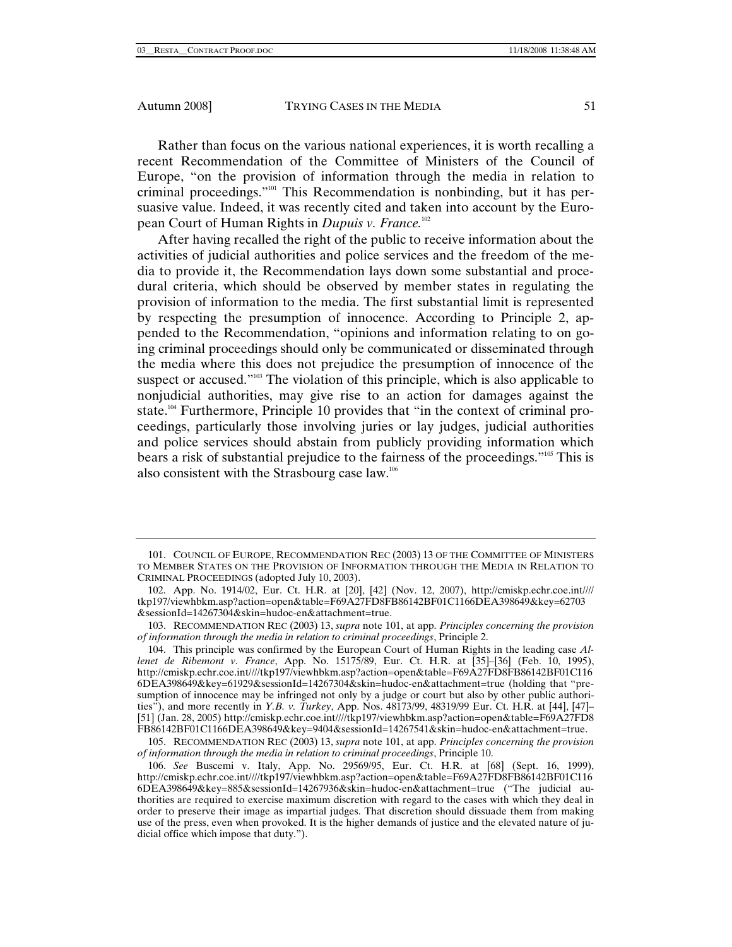Rather than focus on the various national experiences, it is worth recalling a recent Recommendation of the Committee of Ministers of the Council of Europe, "on the provision of information through the media in relation to criminal proceedings."101 This Recommendation is nonbinding, but it has persuasive value. Indeed, it was recently cited and taken into account by the European Court of Human Rights in *Dupuis v. France.*<sup>102</sup>

After having recalled the right of the public to receive information about the activities of judicial authorities and police services and the freedom of the media to provide it, the Recommendation lays down some substantial and procedural criteria, which should be observed by member states in regulating the provision of information to the media. The first substantial limit is represented by respecting the presumption of innocence. According to Principle 2, appended to the Recommendation, "opinions and information relating to on going criminal proceedings should only be communicated or disseminated through the media where this does not prejudice the presumption of innocence of the suspect or accused."<sup>103</sup> The violation of this principle, which is also applicable to nonjudicial authorities, may give rise to an action for damages against the state.<sup>104</sup> Furthermore, Principle 10 provides that "in the context of criminal proceedings, particularly those involving juries or lay judges, judicial authorities and police services should abstain from publicly providing information which bears a risk of substantial prejudice to the fairness of the proceedings."105 This is also consistent with the Strasbourg case law.106

 <sup>101.</sup> COUNCIL OF EUROPE, RECOMMENDATION REC (2003) 13 OF THE COMMITTEE OF MINISTERS TO MEMBER STATES ON THE PROVISION OF INFORMATION THROUGH THE MEDIA IN RELATION TO CRIMINAL PROCEEDINGS (adopted July 10, 2003).

 <sup>102.</sup> App. No. 1914/02, Eur. Ct. H.R. at [20], [42] (Nov. 12, 2007), http://cmiskp.echr.coe.int//// tkp197/viewhbkm.asp?action=open&table=F69A27FD8FB86142BF01C1166DEA398649&key=62703 &sessionId=14267304&skin=hudoc-en&attachment=true.

 <sup>103.</sup> RECOMMENDATION REC (2003) 13, *supra* note 101, at app. *Principles concerning the provision of information through the media in relation to criminal proceedings*, Principle 2.

 <sup>104.</sup> This principle was confirmed by the European Court of Human Rights in the leading case *Allenet de Ribemont v. France*, App. No. 15175/89, Eur. Ct. H.R. at [35]–[36] (Feb. 10, 1995), http://cmiskp.echr.coe.int////tkp197/viewhbkm.asp?action=open&table=F69A27FD8FB86142BF01C116 6DEA398649&key=61929&sessionId=14267304&skin=hudoc-en&attachment=true (holding that "presumption of innocence may be infringed not only by a judge or court but also by other public authorities"), and more recently in *Y.B. v. Turkey*, App. Nos. 48173/99, 48319/99 Eur. Ct. H.R. at [44], [47]– [51] (Jan. 28, 2005) http://cmiskp.echr.coe.int////tkp197/viewhbkm.asp?action=open&table=F69A27FD8 FB86142BF01C1166DEA398649&key=9404&sessionId=14267541&skin=hudoc-en&attachment=true.

 <sup>105.</sup> RECOMMENDATION REC (2003) 13, *supra* note 101, at app. *Principles concerning the provision of information through the media in relation to criminal proceedings*, Principle 10.

<sup>106.</sup> *See* Buscemi v. Italy, App. No. 29569/95, Eur. Ct. H.R. at [68] (Sept. 16, 1999), http://cmiskp.echr.coe.int////tkp197/viewhbkm.asp?action=open&table=F69A27FD8FB86142BF01C116 6DEA398649&key=885&sessionId=14267936&skin=hudoc-en&attachment=true ("The judicial authorities are required to exercise maximum discretion with regard to the cases with which they deal in order to preserve their image as impartial judges. That discretion should dissuade them from making use of the press, even when provoked. It is the higher demands of justice and the elevated nature of judicial office which impose that duty.").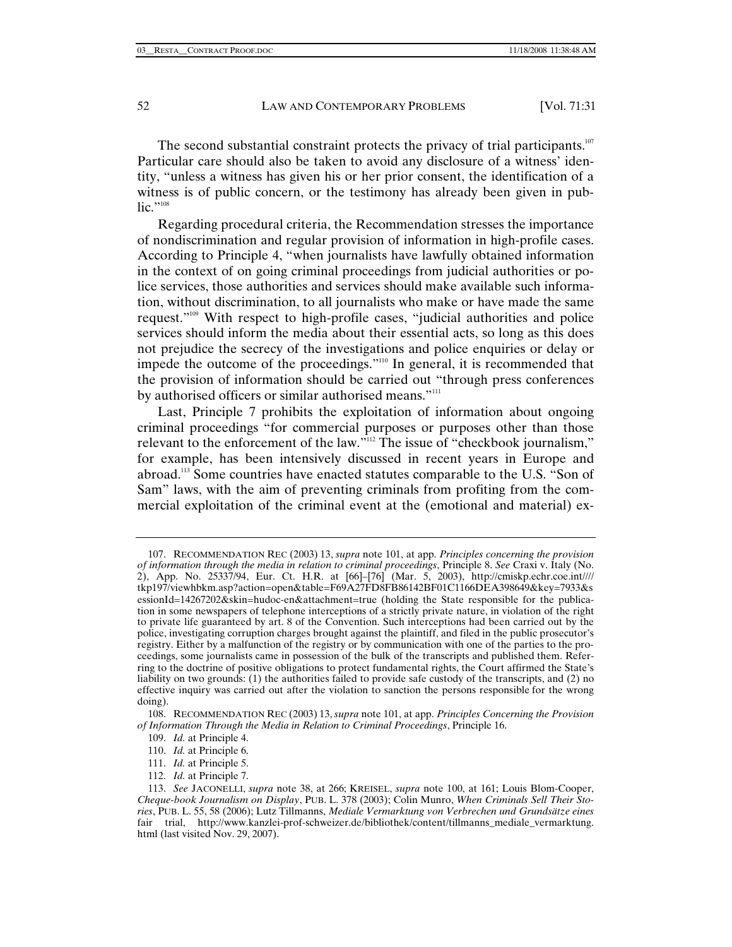The second substantial constraint protects the privacy of trial participants. $107$ Particular care should also be taken to avoid any disclosure of a witness' identity, "unless a witness has given his or her prior consent, the identification of a witness is of public concern, or the testimony has already been given in public."<sup>108</sup>

Regarding procedural criteria, the Recommendation stresses the importance of nondiscrimination and regular provision of information in high-profile cases. According to Principle 4, "when journalists have lawfully obtained information in the context of on going criminal proceedings from judicial authorities or police services, those authorities and services should make available such information, without discrimination, to all journalists who make or have made the same request."109 With respect to high-profile cases, "judicial authorities and police services should inform the media about their essential acts, so long as this does not prejudice the secrecy of the investigations and police enquiries or delay or impede the outcome of the proceedings."110 In general, it is recommended that the provision of information should be carried out "through press conferences by authorised officers or similar authorised means."<sup>111</sup>

Last, Principle 7 prohibits the exploitation of information about ongoing criminal proceedings "for commercial purposes or purposes other than those relevant to the enforcement of the law."<sup>112</sup> The issue of "checkbook journalism," for example, has been intensively discussed in recent years in Europe and abroad.113 Some countries have enacted statutes comparable to the U.S. "Son of Sam" laws, with the aim of preventing criminals from profiting from the commercial exploitation of the criminal event at the (emotional and material) ex-

 <sup>107.</sup> RECOMMENDATION REC (2003) 13, *supra* note 101, at app. *Principles concerning the provision of information through the media in relation to criminal proceedings*, Principle 8. *See* Craxi v. Italy (No. 2), App. No. 25337/94, Eur. Ct. H.R. at [66]–[76] (Mar. 5, 2003), http://cmiskp.echr.coe.int//// tkp197/viewhbkm.asp?action=open&table=F69A27FD8FB86142BF01C1166DEA398649&key=7933&s essionId=14267202&skin=hudoc-en&attachment=true (holding the State responsible for the publication in some newspapers of telephone interceptions of a strictly private nature, in violation of the right to private life guaranteed by art. 8 of the Convention. Such interceptions had been carried out by the police, investigating corruption charges brought against the plaintiff, and filed in the public prosecutor's registry. Either by a malfunction of the registry or by communication with one of the parties to the proceedings, some journalists came in possession of the bulk of the transcripts and published them. Referring to the doctrine of positive obligations to protect fundamental rights, the Court affirmed the State's liability on two grounds: (1) the authorities failed to provide safe custody of the transcripts, and (2) no effective inquiry was carried out after the violation to sanction the persons responsible for the wrong doing).

 <sup>108.</sup> RECOMMENDATION REC (2003) 13, *supra* note 101, at app. *Principles Concerning the Provision of Information Through the Media in Relation to Criminal Proceedings*, Principle 16.

<sup>109.</sup> *Id.* at Principle 4.

<sup>110.</sup> *Id.* at Principle 6.

<sup>111.</sup> *Id.* at Principle 5.

<sup>112.</sup> *Id.* at Principle 7.

<sup>113.</sup> *See* JACONELLI, *supra* note 38, at 266; KREISEL, *supra* note 100, at 161; Louis Blom-Cooper, *Cheque-book Journalism on Display*, PUB. L. 378 (2003); Colin Munro, *When Criminals Sell Their Stories*, PUB. L. 55, 58 (2006); Lutz Tillmanns, *Mediale Vermarktung von Verbrechen und Grundsätze eines*  fair trial, http://www.kanzlei-prof-schweizer.de/bibliothek/content/tillmanns\_mediale\_vermarktung. html (last visited Nov. 29, 2007).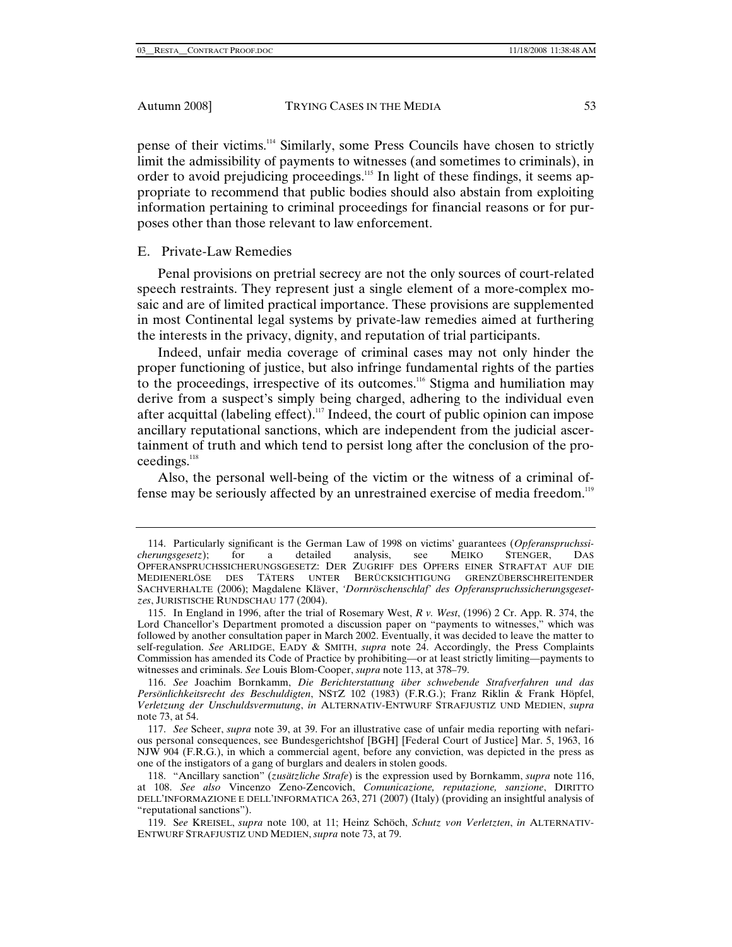pense of their victims.114 Similarly, some Press Councils have chosen to strictly limit the admissibility of payments to witnesses (and sometimes to criminals), in order to avoid prejudicing proceedings.<sup>115</sup> In light of these findings, it seems appropriate to recommend that public bodies should also abstain from exploiting information pertaining to criminal proceedings for financial reasons or for purposes other than those relevant to law enforcement.

#### E. Private-Law Remedies

Penal provisions on pretrial secrecy are not the only sources of court-related speech restraints. They represent just a single element of a more-complex mosaic and are of limited practical importance. These provisions are supplemented in most Continental legal systems by private-law remedies aimed at furthering the interests in the privacy, dignity, and reputation of trial participants.

Indeed, unfair media coverage of criminal cases may not only hinder the proper functioning of justice, but also infringe fundamental rights of the parties to the proceedings, irrespective of its outcomes.116 Stigma and humiliation may derive from a suspect's simply being charged, adhering to the individual even after acquittal (labeling effect).<sup>117</sup> Indeed, the court of public opinion can impose ancillary reputational sanctions, which are independent from the judicial ascertainment of truth and which tend to persist long after the conclusion of the proceedings.<sup>118</sup>

Also, the personal well-being of the victim or the witness of a criminal offense may be seriously affected by an unrestrained exercise of media freedom.119

 <sup>114.</sup> Particularly significant is the German Law of 1998 on victims' guarantees (*Opferanspruchssicherungsgesetz*); for a detailed analysis, see MEIKO STENGER, DAS OPFERANSPRUCHSSICHERUNGSGESETZ: DER ZUGRIFF DES OPFERS EINER STRAFTAT AUF DIE MEDIENERLÖSE DES TÄTERS UNTER BERÜCKSICHTIGUNG GRENZÜBERSCHREITENDER SACHVERHALTE (2006); Magdalene Kläver, *'Dornröschenschlaf' des Opferanspruchssicherungsgesetzes*, JURISTISCHE RUNDSCHAU 177 (2004).

 <sup>115.</sup> In England in 1996, after the trial of Rosemary West, *R v. West*, (1996) 2 Cr. App. R. 374, the Lord Chancellor's Department promoted a discussion paper on "payments to witnesses," which was followed by another consultation paper in March 2002. Eventually, it was decided to leave the matter to self-regulation. *See* ARLIDGE, EADY & SMITH, *supra* note 24. Accordingly, the Press Complaints Commission has amended its Code of Practice by prohibiting—or at least strictly limiting—payments to witnesses and criminals. *See* Louis Blom-Cooper, *supra* note 113, at 378–79.

<sup>116.</sup> *See* Joachim Bornkamm, *Die Berichterstattung über schwebende Strafverfahren und das Persönlichkeitsrecht des Beschuldigten*, NSTZ 102 (1983) (F.R.G.); Franz Riklin & Frank Höpfel, *Verletzung der Unschuldsvermutung*, *in* ALTERNATIV-ENTWURF STRAFJUSTIZ UND MEDIEN, *supra*  note 73, at 54.

<sup>117.</sup> *See* Scheer, *supra* note 39, at 39. For an illustrative case of unfair media reporting with nefarious personal consequences, see Bundesgerichtshof [BGH] [Federal Court of Justice] Mar. 5, 1963, 16 NJW 904 (F.R.G.), in which a commercial agent, before any conviction, was depicted in the press as one of the instigators of a gang of burglars and dealers in stolen goods.

 <sup>118. &</sup>quot;Ancillary sanction" (*zusätzliche Strafe*) is the expression used by Bornkamm, *supra* note 116, at 108. *See also* Vincenzo Zeno-Zencovich, *Comunicazione, reputazione, sanzione*, DIRITTO DELL'INFORMAZIONE E DELL'INFORMATICA 263, 271 (2007) (Italy) (providing an insightful analysis of "reputational sanctions").

 <sup>119.</sup> S*ee* KREISEL, *supra* note 100, at 11; Heinz Schöch, *Schutz von Verletzten*, *in* ALTERNATIV-ENTWURF STRAFJUSTIZ UND MEDIEN, *supra* note 73, at 79.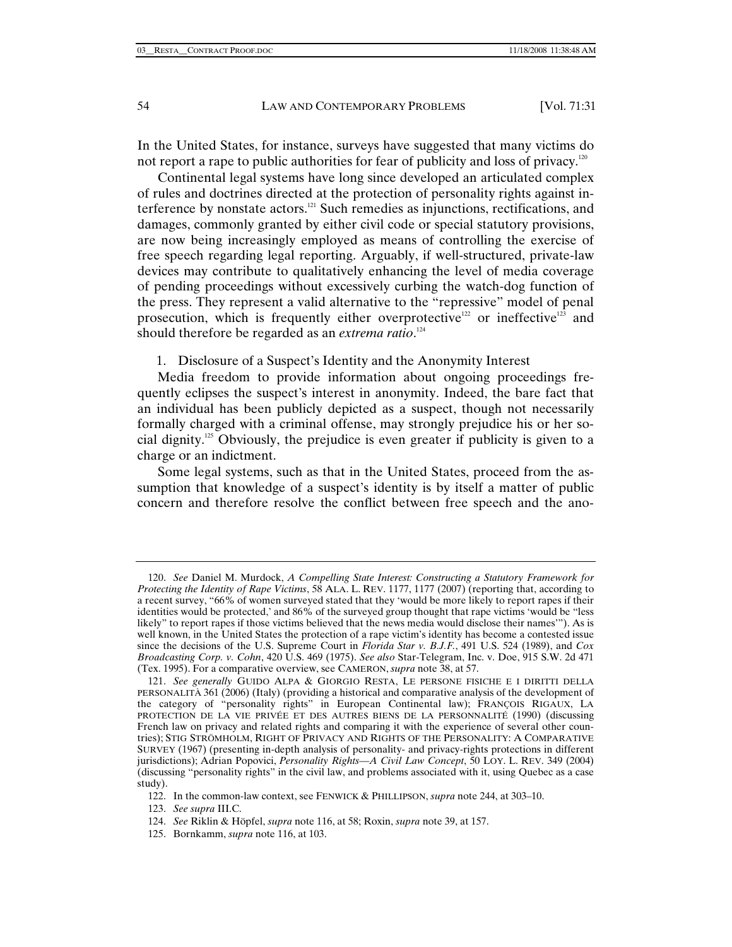In the United States, for instance, surveys have suggested that many victims do not report a rape to public authorities for fear of publicity and loss of privacy.<sup>120</sup>

Continental legal systems have long since developed an articulated complex of rules and doctrines directed at the protection of personality rights against interference by nonstate actors.<sup>121</sup> Such remedies as injunctions, rectifications, and damages, commonly granted by either civil code or special statutory provisions, are now being increasingly employed as means of controlling the exercise of free speech regarding legal reporting. Arguably, if well-structured, private-law devices may contribute to qualitatively enhancing the level of media coverage of pending proceedings without excessively curbing the watch-dog function of the press. They represent a valid alternative to the "repressive" model of penal prosecution, which is frequently either overprotective<sup>122</sup> or ineffective<sup>123</sup> and should therefore be regarded as an *extrema ratio*. 124

1. Disclosure of a Suspect's Identity and the Anonymity Interest

Media freedom to provide information about ongoing proceedings frequently eclipses the suspect's interest in anonymity. Indeed, the bare fact that an individual has been publicly depicted as a suspect, though not necessarily formally charged with a criminal offense, may strongly prejudice his or her social dignity.125 Obviously, the prejudice is even greater if publicity is given to a charge or an indictment.

Some legal systems, such as that in the United States, proceed from the assumption that knowledge of a suspect's identity is by itself a matter of public concern and therefore resolve the conflict between free speech and the ano-

<sup>120.</sup> *See* Daniel M. Murdock, *A Compelling State Interest: Constructing a Statutory Framework for Protecting the Identity of Rape Victims*, 58 ALA. L. REV. 1177, 1177 (2007) (reporting that, according to a recent survey, "66% of women surveyed stated that they 'would be more likely to report rapes if their identities would be protected,' and 86% of the surveyed group thought that rape victims 'would be "less likely" to report rapes if those victims believed that the news media would disclose their names'"). As is well known, in the United States the protection of a rape victim's identity has become a contested issue since the decisions of the U.S. Supreme Court in *Florida Star v. B.J.F.*, 491 U.S. 524 (1989), and *Cox Broadcasting Corp. v. Cohn*, 420 U.S. 469 (1975). *See also* Star-Telegram, Inc. v. Doe, 915 S.W. 2d 471 (Tex. 1995). For a comparative overview, see CAMERON, *supra* note 38, at 57.

<sup>121.</sup> *See generally* GUIDO ALPA & GIORGIO RESTA, LE PERSONE FISICHE E I DIRITTI DELLA PERSONALITÀ 361 (2006) (Italy) (providing a historical and comparative analysis of the development of the category of "personality rights" in European Continental law); FRANÇOIS RIGAUX, LA PROTECTION DE LA VIE PRIVÉE ET DES AUTRES BIENS DE LA PERSONNALITÉ (1990) (discussing French law on privacy and related rights and comparing it with the experience of several other countries); STIG STRÖMHOLM, RIGHT OF PRIVACY AND RIGHTS OF THE PERSONALITY: A COMPARATIVE SURVEY (1967) (presenting in-depth analysis of personality- and privacy-rights protections in different jurisdictions); Adrian Popovici, *Personality Rights—A Civil Law Concept*, 50 LOY. L. REV. 349 (2004) (discussing "personality rights" in the civil law, and problems associated with it, using Quebec as a case study).

 <sup>122.</sup> In the common-law context, see FENWICK & PHILLIPSON, *supra* note 244, at 303–10.

<sup>123.</sup> *See supra* III.C.

<sup>124.</sup> *See* Riklin & Höpfel, *supra* note 116, at 58; Roxin, *supra* note 39, at 157.

 <sup>125.</sup> Bornkamm, *supra* note 116, at 103.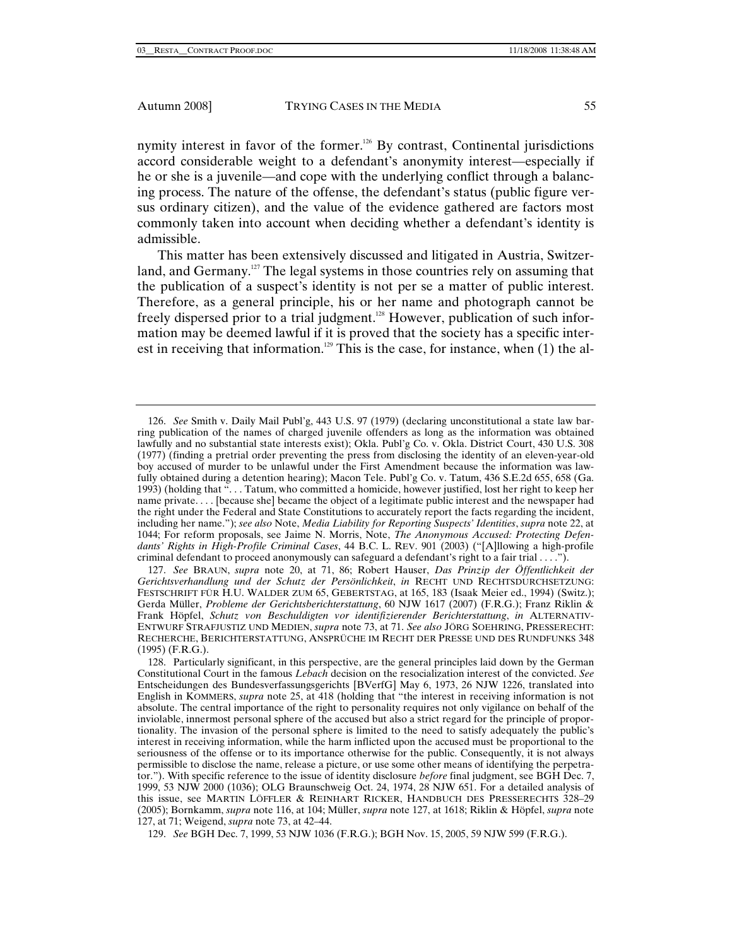nymity interest in favor of the former.<sup>126</sup> By contrast, Continental jurisdictions accord considerable weight to a defendant's anonymity interest—especially if he or she is a juvenile—and cope with the underlying conflict through a balancing process. The nature of the offense, the defendant's status (public figure versus ordinary citizen), and the value of the evidence gathered are factors most commonly taken into account when deciding whether a defendant's identity is admissible.

This matter has been extensively discussed and litigated in Austria, Switzerland, and Germany.<sup>127</sup> The legal systems in those countries rely on assuming that the publication of a suspect's identity is not per se a matter of public interest. Therefore, as a general principle, his or her name and photograph cannot be freely dispersed prior to a trial judgment.<sup>128</sup> However, publication of such information may be deemed lawful if it is proved that the society has a specific interest in receiving that information.<sup>129</sup> This is the case, for instance, when  $(1)$  the al-

<sup>126.</sup> *See* Smith v. Daily Mail Publ'g, 443 U.S. 97 (1979) (declaring unconstitutional a state law barring publication of the names of charged juvenile offenders as long as the information was obtained lawfully and no substantial state interests exist); Okla. Publ'g Co. v. Okla. District Court, 430 U.S. 308 (1977) (finding a pretrial order preventing the press from disclosing the identity of an eleven-year-old boy accused of murder to be unlawful under the First Amendment because the information was lawfully obtained during a detention hearing); Macon Tele. Publ'g Co. v. Tatum, 436 S.E.2d 655, 658 (Ga. 1993) (holding that ". . . Tatum, who committed a homicide, however justified, lost her right to keep her name private. . . . [because she] became the object of a legitimate public interest and the newspaper had the right under the Federal and State Constitutions to accurately report the facts regarding the incident, including her name."); *see also* Note, *Media Liability for Reporting Suspects' Identities*, *supra* note 22, at 1044; For reform proposals, see Jaime N. Morris, Note, *The Anonymous Accused: Protecting Defendants' Rights in High-Profile Criminal Cases*, 44 B.C. L. REV. 901 (2003) ("[A]llowing a high-profile criminal defendant to proceed anonymously can safeguard a defendant's right to a fair trial . . . .").

<sup>127.</sup> *See* BRAUN, *supra* note 20, at 71, 86; Robert Hauser, *Das Prinzip der Öffentlichkeit der Gerichtsverhandlung und der Schutz der Persönlichkeit*, *in* RECHT UND RECHTSDURCHSETZUNG: FESTSCHRIFT FÜR H.U. WALDER ZUM 65, GEBERTSTAG, at 165, 183 (Isaak Meier ed., 1994) (Switz.); Gerda Müller, *Probleme der Gerichtsberichterstattung*, 60 NJW 1617 (2007) (F.R.G.); Franz Riklin & Frank Höpfel, *Schutz von Beschuldigten vor identifizierender Berichterstattung*, *in* ALTERNATIV-ENTWURF STRAFJUSTIZ UND MEDIEN, *supra* note 73, at 71. *See also* JÖRG SOEHRING, PRESSERECHT: RECHERCHE, BERICHTERSTATTUNG, ANSPRÜCHE IM RECHT DER PRESSE UND DES RUNDFUNKS 348 (1995) (F.R.G.).

 <sup>128.</sup> Particularly significant, in this perspective, are the general principles laid down by the German Constitutional Court in the famous *Lebach* decision on the resocialization interest of the convicted. *See*  Entscheidungen des Bundesverfassungsgerichts [BVerfG] May 6, 1973, 26 NJW 1226, translated into English in KOMMERS, *supra* note 25, at 418 (holding that "the interest in receiving information is not absolute. The central importance of the right to personality requires not only vigilance on behalf of the inviolable, innermost personal sphere of the accused but also a strict regard for the principle of proportionality. The invasion of the personal sphere is limited to the need to satisfy adequately the public's interest in receiving information, while the harm inflicted upon the accused must be proportional to the seriousness of the offense or to its importance otherwise for the public. Consequently, it is not always permissible to disclose the name, release a picture, or use some other means of identifying the perpetrator."). With specific reference to the issue of identity disclosure *before* final judgment, see BGH Dec. 7, 1999, 53 NJW 2000 (1036); OLG Braunschweig Oct. 24, 1974, 28 NJW 651. For a detailed analysis of this issue, see MARTIN LÖFFLER & REINHART RICKER, HANDBUCH DES PRESSERECHTS 328–29 (2005); Bornkamm, *supra* note 116, at 104; Müller, *supra* note 127, at 1618; Riklin & Höpfel, *supra* note 127, at 71; Weigend, *supra* note 73, at 42–44.

<sup>129.</sup> *See* BGH Dec. 7, 1999, 53 NJW 1036 (F.R.G.); BGH Nov. 15, 2005, 59 NJW 599 (F.R.G.).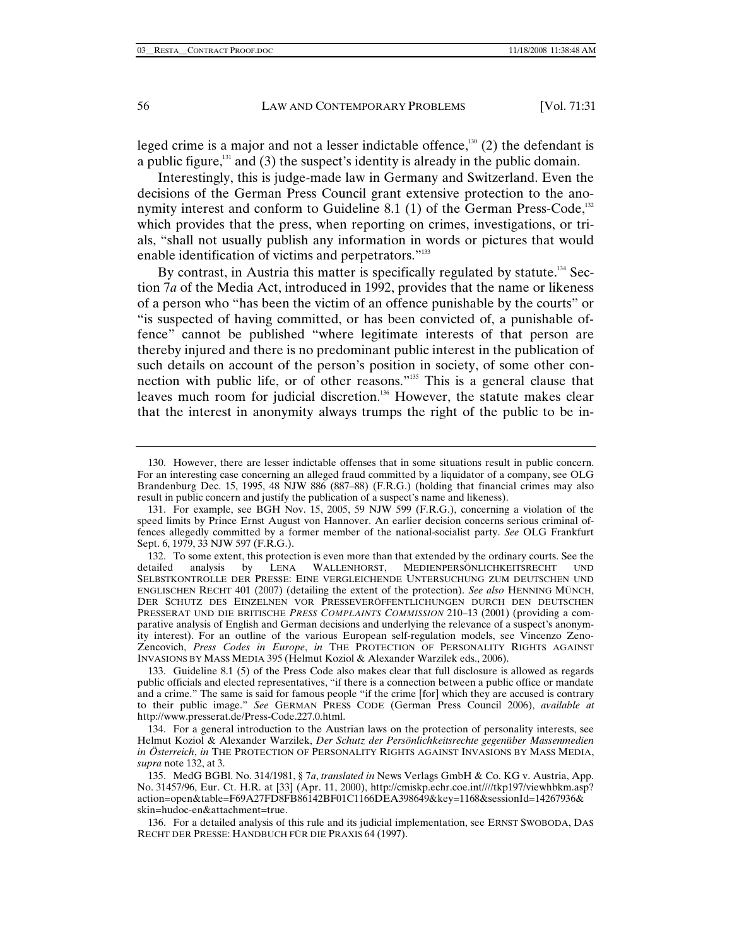leged crime is a major and not a lesser indictable offence,<sup>130</sup> (2) the defendant is a public figure, $131$  and (3) the suspect's identity is already in the public domain.

Interestingly, this is judge-made law in Germany and Switzerland. Even the decisions of the German Press Council grant extensive protection to the anonymity interest and conform to Guideline 8.1 (1) of the German Press-Code,<sup>132</sup> which provides that the press, when reporting on crimes, investigations, or trials, "shall not usually publish any information in words or pictures that would enable identification of victims and perpetrators."<sup>133</sup>

By contrast, in Austria this matter is specifically regulated by statute.<sup>134</sup> Section 7*a* of the Media Act, introduced in 1992, provides that the name or likeness of a person who "has been the victim of an offence punishable by the courts" or "is suspected of having committed, or has been convicted of, a punishable offence" cannot be published "where legitimate interests of that person are thereby injured and there is no predominant public interest in the publication of such details on account of the person's position in society, of some other connection with public life, or of other reasons."135 This is a general clause that leaves much room for judicial discretion.<sup>136</sup> However, the statute makes clear that the interest in anonymity always trumps the right of the public to be in-

 <sup>130.</sup> However, there are lesser indictable offenses that in some situations result in public concern. For an interesting case concerning an alleged fraud committed by a liquidator of a company, see OLG Brandenburg Dec. 15, 1995, 48 NJW 886 (887-88) (F.R.G.) (holding that financial crimes may also result in public concern and justify the publication of a suspect's name and likeness).

 <sup>131.</sup> For example, see BGH Nov. 15, 2005, 59 NJW 599 (F.R.G.), concerning a violation of the speed limits by Prince Ernst August von Hannover. An earlier decision concerns serious criminal offences allegedly committed by a former member of the national-socialist party. *See* OLG Frankfurt Sept. 6, 1979, 33 NJW 597 (F.R.G.).

<sup>132.</sup> To some extent, this protection is even more than that extended by the ordinary courts. See the tailed analysis by LENA WALLENHORST, MEDIENPERSÖNLICHKEITSRECHT UND detailed analysis by LENA WALLENHORST, MEDIENPERSÖNLICHKEITSRECHT UND SELBSTKONTROLLE DER PRESSE: EINE VERGLEICHENDE UNTERSUCHUNG ZUM DEUTSCHEN UND ENGLISCHEN RECHT 401 (2007) (detailing the extent of the protection). *See also* HENNING MÜNCH, DER SCHUTZ DES EINZELNEN VOR PRESSEVERÖFFENTLICHUNGEN DURCH DEN DEUTSCHEN PRESSERAT UND DIE BRITISCHE *PRESS COMPLAINTS COMMISSION* 210–13 (2001) (providing a comparative analysis of English and German decisions and underlying the relevance of a suspect's anonymity interest). For an outline of the various European self-regulation models, see Vincenzo Zeno-Zencovich, *Press Codes in Europe*, *in* THE PROTECTION OF PERSONALITY RIGHTS AGAINST INVASIONS BY MASS MEDIA 395 (Helmut Koziol & Alexander Warzilek eds., 2006).

 <sup>133.</sup> Guideline 8.1 (5) of the Press Code also makes clear that full disclosure is allowed as regards public officials and elected representatives, "if there is a connection between a public office or mandate and a crime." The same is said for famous people "if the crime [for] which they are accused is contrary to their public image." *See* GERMAN PRESS CODE (German Press Council 2006), *available at*  http://www.presserat.de/Press-Code.227.0.html.

 <sup>134.</sup> For a general introduction to the Austrian laws on the protection of personality interests, see Helmut Koziol & Alexander Warzilek, *Der Schutz der Persönlichkeitsrechte gegenüber Massenmedien in Österreich*, *in* THE PROTECTION OF PERSONALITY RIGHTS AGAINST INVASIONS BY MASS MEDIA, *supra* note 132, at 3.

 <sup>135.</sup> MedG BGBl. No. 314/1981, § 7*a*, *translated in* News Verlags GmbH & Co. KG v. Austria, App. No. 31457/96, Eur. Ct. H.R. at [33] (Apr. 11, 2000), http://cmiskp.echr.coe.int////tkp197/viewhbkm.asp? action=open&table=F69A27FD8FB86142BF01C1166DEA398649&key=1168&sessionId=14267936& skin=hudoc-en&attachment=true.

 <sup>136.</sup> For a detailed analysis of this rule and its judicial implementation, see ERNST SWOBODA, DAS RECHT DER PRESSE: HANDBUCH FÜR DIE PRAXIS 64 (1997).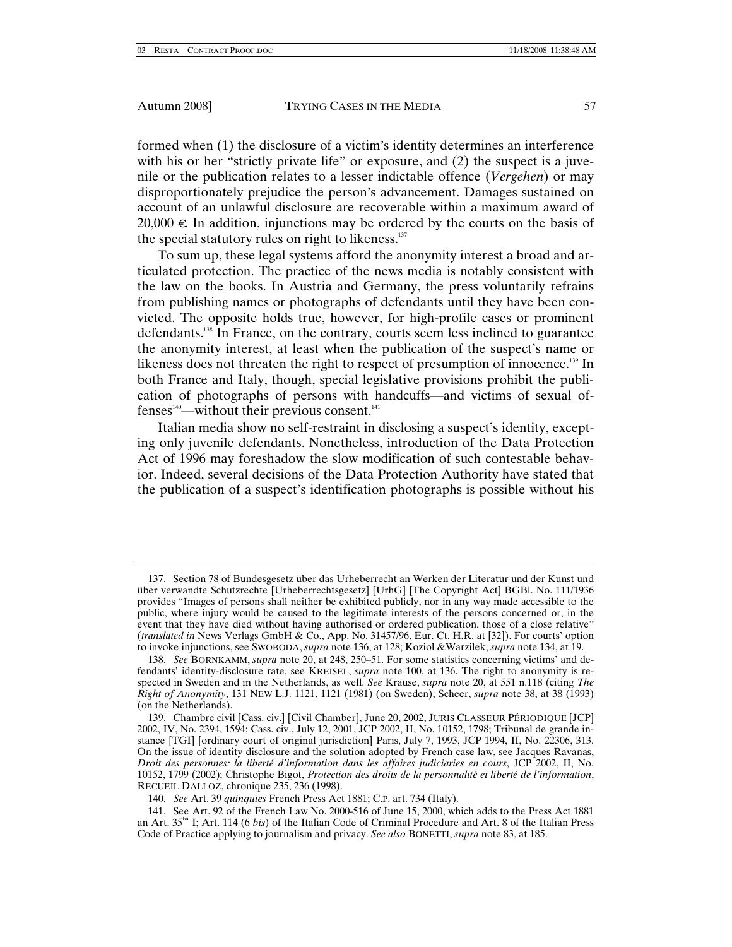formed when (1) the disclosure of a victim's identity determines an interference with his or her "strictly private life" or exposure, and (2) the suspect is a juvenile or the publication relates to a lesser indictable offence (*Vergehen*) or may disproportionately prejudice the person's advancement. Damages sustained on account of an unlawful disclosure are recoverable within a maximum award of 20,000  $∈$ . In addition, injunctions may be ordered by the courts on the basis of the special statutory rules on right to likeness. $137$ 

To sum up, these legal systems afford the anonymity interest a broad and articulated protection. The practice of the news media is notably consistent with the law on the books. In Austria and Germany, the press voluntarily refrains from publishing names or photographs of defendants until they have been convicted. The opposite holds true, however, for high-profile cases or prominent defendants.138 In France, on the contrary, courts seem less inclined to guarantee the anonymity interest, at least when the publication of the suspect's name or likeness does not threaten the right to respect of presumption of innocence.<sup>139</sup> In both France and Italy, though, special legislative provisions prohibit the publication of photographs of persons with handcuffs—and victims of sexual of $fenses<sup>140</sup>$ —without their previous consent.<sup>141</sup>

Italian media show no self-restraint in disclosing a suspect's identity, excepting only juvenile defendants. Nonetheless, introduction of the Data Protection Act of 1996 may foreshadow the slow modification of such contestable behavior. Indeed, several decisions of the Data Protection Authority have stated that the publication of a suspect's identification photographs is possible without his

 <sup>137.</sup> Section 78 of Bundesgesetz über das Urheberrecht an Werken der Literatur und der Kunst und über verwandte Schutzrechte [Urheberrechtsgesetz] [UrhG] [The Copyright Act] BGBl. No. 111/1936 provides "Images of persons shall neither be exhibited publicly, nor in any way made accessible to the public, where injury would be caused to the legitimate interests of the persons concerned or, in the event that they have died without having authorised or ordered publication, those of a close relative" (*translated in* News Verlags GmbH & Co., App. No. 31457/96, Eur. Ct. H.R. at [32]). For courts' option to invoke injunctions, see SWOBODA, *supra* note 136, at 128; Koziol &Warzilek, *supra* note 134, at 19.

<sup>138.</sup> *See* BORNKAMM, *supra* note 20, at 248, 250–51. For some statistics concerning victims' and defendants' identity-disclosure rate, see KREISEL, *supra* note 100, at 136. The right to anonymity is respected in Sweden and in the Netherlands, as well. *See* Krause, *supra* note 20, at 551 n.118 (citing *The Right of Anonymity*, 131 NEW L.J. 1121, 1121 (1981) (on Sweden); Scheer, *supra* note 38, at 38 (1993) (on the Netherlands).

 <sup>139.</sup> Chambre civil [Cass. civ.] [Civil Chamber], June 20, 2002, JURIS CLASSEUR PÉRIODIQUE [JCP] 2002, IV, No. 2394, 1594; Cass. civ., July 12, 2001, JCP 2002, II, No. 10152, 1798; Tribunal de grande instance [TGI] [ordinary court of original jurisdiction] Paris, July 7, 1993, JCP 1994, II, No. 22306, 313. On the issue of identity disclosure and the solution adopted by French case law, see Jacques Ravanas, *Droit des personnes: la liberté d'information dans les affaires judiciaries en cours*, JCP 2002, II, No. 10152, 1799 (2002); Christophe Bigot, *Protection des droits de la personnalité et liberté de l'information*, RECUEIL DALLOZ, chronique 235, 236 (1998).

<sup>140.</sup> *See* Art. 39 *quinquies* French Press Act 1881; C.P. art. 734 (Italy).

<sup>141.</sup> See Art. 92 of the French Law No. 2000-516 of June 15, 2000, which adds to the Press Act 1881 an Art. 35ter I; Art. 114 (6 *bis*) of the Italian Code of Criminal Procedure and Art. 8 of the Italian Press Code of Practice applying to journalism and privacy. *See also* BONETTI, *supra* note 83, at 185.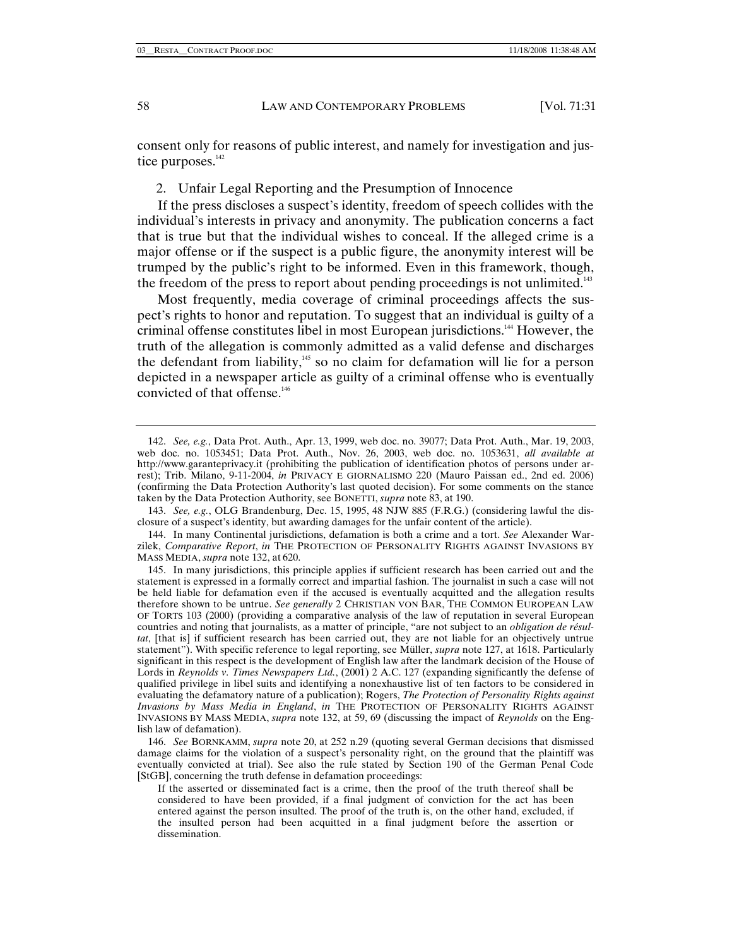consent only for reasons of public interest, and namely for investigation and justice purposes.<sup>142</sup>

2. Unfair Legal Reporting and the Presumption of Innocence

If the press discloses a suspect's identity, freedom of speech collides with the individual's interests in privacy and anonymity. The publication concerns a fact that is true but that the individual wishes to conceal. If the alleged crime is a major offense or if the suspect is a public figure, the anonymity interest will be trumped by the public's right to be informed. Even in this framework, though, the freedom of the press to report about pending proceedings is not unlimited.<sup>143</sup>

Most frequently, media coverage of criminal proceedings affects the suspect's rights to honor and reputation. To suggest that an individual is guilty of a criminal offense constitutes libel in most European jurisdictions.<sup>144</sup> However, the truth of the allegation is commonly admitted as a valid defense and discharges the defendant from liability, $145$  so no claim for defamation will lie for a person depicted in a newspaper article as guilty of a criminal offense who is eventually convicted of that offense.<sup>146</sup>

<sup>142.</sup> *See, e.g.*, Data Prot. Auth., Apr. 13, 1999, web doc. no. 39077; Data Prot. Auth., Mar. 19, 2003, web doc. no. 1053451; Data Prot. Auth., Nov. 26, 2003, web doc. no. 1053631, *all available at* http://www.garanteprivacy.it (prohibiting the publication of identification photos of persons under arrest); Trib. Milano, 9-11-2004, *in* PRIVACY E GIORNALISMO 220 (Mauro Paissan ed., 2nd ed. 2006) (confirming the Data Protection Authority's last quoted decision). For some comments on the stance taken by the Data Protection Authority, see BONETTI, *supra* note 83, at 190.

<sup>143.</sup> *See, e.g.*, OLG Brandenburg, Dec. 15, 1995, 48 NJW 885 (F.R.G.) (considering lawful the disclosure of a suspect's identity, but awarding damages for the unfair content of the article).

 <sup>144.</sup> In many Continental jurisdictions, defamation is both a crime and a tort. *See* Alexander Warzilek, *Comparative Report*, *in* THE PROTECTION OF PERSONALITY RIGHTS AGAINST INVASIONS BY MASS MEDIA, *supra* note 132, at 620.

 <sup>145.</sup> In many jurisdictions, this principle applies if sufficient research has been carried out and the statement is expressed in a formally correct and impartial fashion. The journalist in such a case will not be held liable for defamation even if the accused is eventually acquitted and the allegation results therefore shown to be untrue. *See generally* 2 CHRISTIAN VON BAR, THE COMMON EUROPEAN LAW OF TORTS 103 (2000) (providing a comparative analysis of the law of reputation in several European countries and noting that journalists, as a matter of principle, "are not subject to an *obligation de résultat*, [that is] if sufficient research has been carried out, they are not liable for an objectively untrue statement"). With specific reference to legal reporting, see Müller, *supra* note 127, at 1618. Particularly significant in this respect is the development of English law after the landmark decision of the House of Lords in *Reynolds v. Times Newspapers Ltd.*, (2001) 2 A.C. 127 (expanding significantly the defense of qualified privilege in libel suits and identifying a nonexhaustive list of ten factors to be considered in evaluating the defamatory nature of a publication); Rogers, *The Protection of Personality Rights against Invasions by Mass Media in England*, *in* THE PROTECTION OF PERSONALITY RIGHTS AGAINST INVASIONS BY MASS MEDIA, *supra* note 132, at 59, 69 (discussing the impact of *Reynolds* on the English law of defamation).

<sup>146.</sup> *See* BORNKAMM, *supra* note 20, at 252 n.29 (quoting several German decisions that dismissed damage claims for the violation of a suspect's personality right, on the ground that the plaintiff was eventually convicted at trial). See also the rule stated by Section 190 of the German Penal Code [StGB], concerning the truth defense in defamation proceedings:

If the asserted or disseminated fact is a crime, then the proof of the truth thereof shall be considered to have been provided, if a final judgment of conviction for the act has been entered against the person insulted. The proof of the truth is, on the other hand, excluded, if the insulted person had been acquitted in a final judgment before the assertion or dissemination.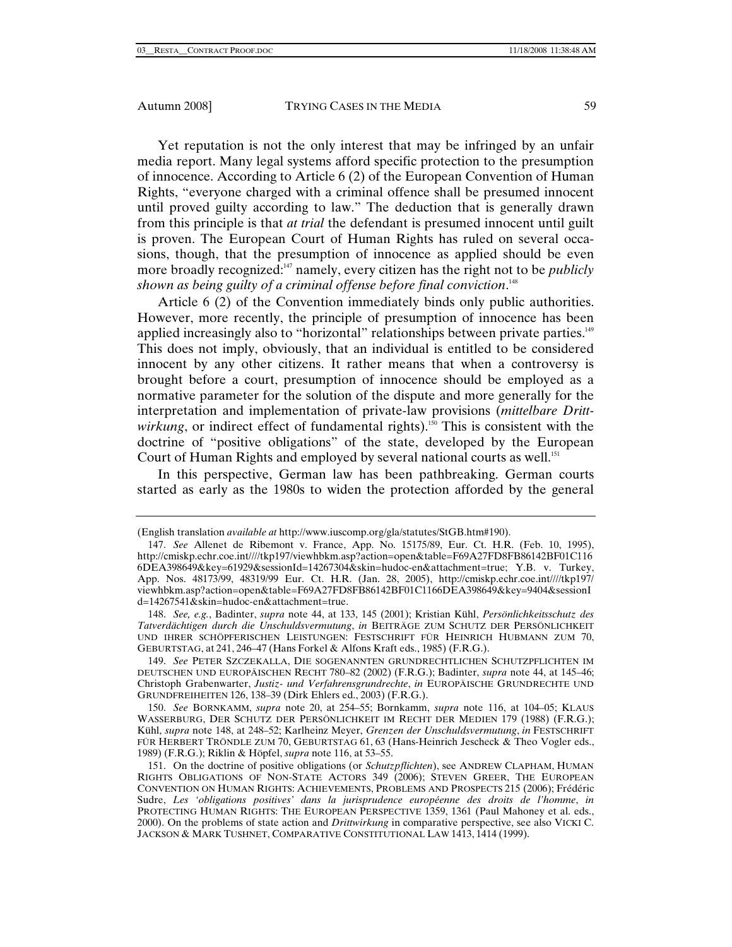Yet reputation is not the only interest that may be infringed by an unfair media report. Many legal systems afford specific protection to the presumption of innocence. According to Article 6 (2) of the European Convention of Human Rights, "everyone charged with a criminal offence shall be presumed innocent until proved guilty according to law." The deduction that is generally drawn from this principle is that *at trial* the defendant is presumed innocent until guilt is proven. The European Court of Human Rights has ruled on several occasions, though, that the presumption of innocence as applied should be even more broadly recognized:<sup>147</sup> namely, every citizen has the right not to be *publicly shown as being guilty of a criminal offense before final conviction*. 148

Article 6 (2) of the Convention immediately binds only public authorities. However, more recently, the principle of presumption of innocence has been applied increasingly also to "horizontal" relationships between private parties.149 This does not imply, obviously, that an individual is entitled to be considered innocent by any other citizens. It rather means that when a controversy is brought before a court, presumption of innocence should be employed as a normative parameter for the solution of the dispute and more generally for the interpretation and implementation of private-law provisions (*mittelbare Drittwirkung*, or indirect effect of fundamental rights).<sup>150</sup> This is consistent with the doctrine of "positive obligations" of the state, developed by the European Court of Human Rights and employed by several national courts as well.<sup>151</sup>

In this perspective, German law has been pathbreaking. German courts started as early as the 1980s to widen the protection afforded by the general

<sup>(</sup>English translation *available at* http://www.iuscomp.org/gla/statutes/StGB.htm#190).

<sup>147.</sup> *See* Allenet de Ribemont v. France, App. No. 15175/89, Eur. Ct. H.R. (Feb. 10, 1995), http://cmiskp.echr.coe.int////tkp197/viewhbkm.asp?action=open&table=F69A27FD8FB86142BF01C116 6DEA398649&key=61929&sessionId=14267304&skin=hudoc-en&attachment=true; Y.B. v. Turkey, App. Nos. 48173/99, 48319/99 Eur. Ct. H.R. (Jan. 28, 2005), http://cmiskp.echr.coe.int////tkp197/ viewhbkm.asp?action=open&table=F69A27FD8FB86142BF01C1166DEA398649&key=9404&sessionI d=14267541&skin=hudoc-en&attachment=true.

<sup>148.</sup> *See, e.g.*, Badinter, *supra* note 44, at 133, 145 (2001); Kristian Kühl, *Persönlichkeitsschutz des Tatverdächtigen durch die Unschuldsvermutung*, *in* BEITRÄGE ZUM SCHUTZ DER PERSÖNLICHKEIT UND IHRER SCHÖPFERISCHEN LEISTUNGEN: FESTSCHRIFT FÜR HEINRICH HUBMANN ZUM 70, GEBURTSTAG, at 241, 246–47 (Hans Forkel & Alfons Kraft eds., 1985) (F.R.G.).

<sup>149.</sup> *See* PETER SZCZEKALLA, DIE SOGENANNTEN GRUNDRECHTLICHEN SCHUTZPFLICHTEN IM DEUTSCHEN UND EUROPÄISCHEN RECHT 780–82 (2002) (F.R.G.); Badinter, *supra* note 44, at 145–46; Christoph Grabenwarter, *Justiz- und Verfahrensgrundrechte*, *in* EUROPÄISCHE GRUNDRECHTE UND GRUNDFREIHEITEN 126, 138–39 (Dirk Ehlers ed., 2003) (F.R.G.).

<sup>150.</sup> *See* BORNKAMM, *supra* note 20, at 254–55; Bornkamm, *supra* note 116, at 104–05; KLAUS WASSERBURG, DER SCHUTZ DER PERSÖNLICHKEIT IM RECHT DER MEDIEN 179 (1988) (F.R.G.); Kühl, *supra* note 148, at 248–52; Karlheinz Meyer, *Grenzen der Unschuldsvermutung*, *in* FESTSCHRIFT FÜR HERBERT TRÖNDLE ZUM 70, GEBURTSTAG 61, 63 (Hans-Heinrich Jescheck & Theo Vogler eds., 1989) (F.R.G.); Riklin & Höpfel, *supra* note 116, at 53–55.

 <sup>151.</sup> On the doctrine of positive obligations (or *Schutzpflichten*), see ANDREW CLAPHAM, HUMAN RIGHTS OBLIGATIONS OF NON-STATE ACTORS 349 (2006); STEVEN GREER, THE EUROPEAN CONVENTION ON HUMAN RIGHTS: ACHIEVEMENTS, PROBLEMS AND PROSPECTS 215 (2006); Frédéric Sudre, *Les 'obligations positives' dans la jurisprudence européenne des droits de l'homme*, *in* PROTECTING HUMAN RIGHTS: THE EUROPEAN PERSPECTIVE 1359, 1361 (Paul Mahoney et al. eds., 2000). On the problems of state action and *Drittwirkung* in comparative perspective, see also VICKI C. JACKSON & MARK TUSHNET, COMPARATIVE CONSTITUTIONAL LAW 1413, 1414 (1999).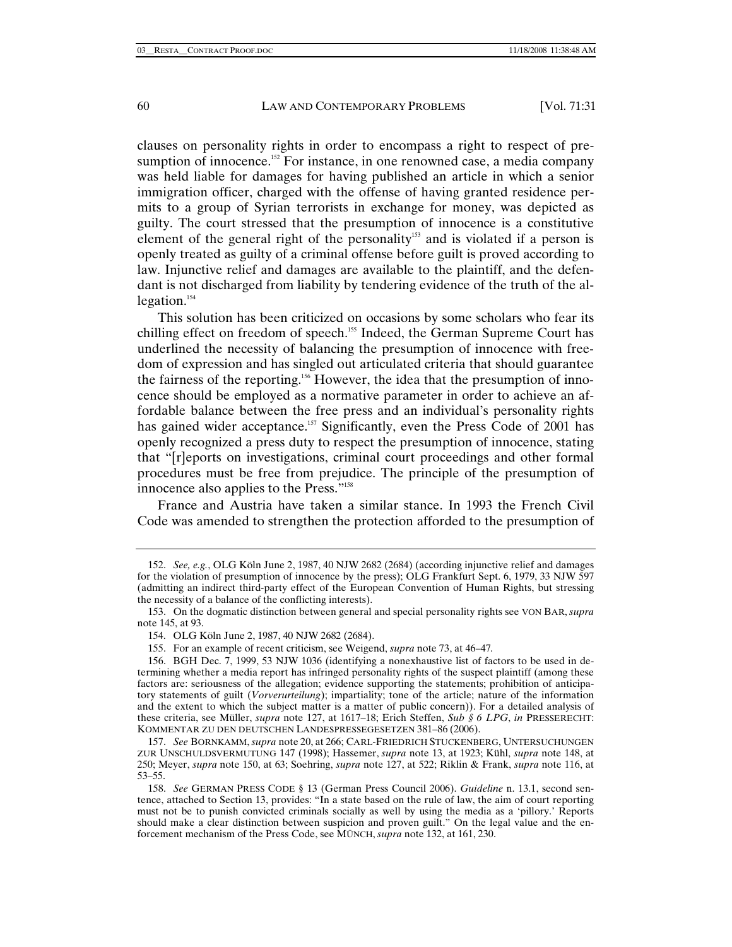clauses on personality rights in order to encompass a right to respect of presumption of innocence.<sup>152</sup> For instance, in one renowned case, a media company was held liable for damages for having published an article in which a senior immigration officer, charged with the offense of having granted residence permits to a group of Syrian terrorists in exchange for money, was depicted as guilty. The court stressed that the presumption of innocence is a constitutive element of the general right of the personality<sup>153</sup> and is violated if a person is openly treated as guilty of a criminal offense before guilt is proved according to law. Injunctive relief and damages are available to the plaintiff, and the defendant is not discharged from liability by tendering evidence of the truth of the allegation.<sup>154</sup>

This solution has been criticized on occasions by some scholars who fear its chilling effect on freedom of speech.<sup>155</sup> Indeed, the German Supreme Court has underlined the necessity of balancing the presumption of innocence with freedom of expression and has singled out articulated criteria that should guarantee the fairness of the reporting.<sup>156</sup> However, the idea that the presumption of innocence should be employed as a normative parameter in order to achieve an affordable balance between the free press and an individual's personality rights has gained wider acceptance.<sup>157</sup> Significantly, even the Press Code of 2001 has openly recognized a press duty to respect the presumption of innocence, stating that "[r]eports on investigations, criminal court proceedings and other formal procedures must be free from prejudice. The principle of the presumption of innocence also applies to the Press."158

France and Austria have taken a similar stance. In 1993 the French Civil Code was amended to strengthen the protection afforded to the presumption of

<sup>152.</sup> *See, e.g.*, OLG Köln June 2, 1987, 40 NJW 2682 (2684) (according injunctive relief and damages for the violation of presumption of innocence by the press); OLG Frankfurt Sept. 6, 1979, 33 NJW 597 (admitting an indirect third-party effect of the European Convention of Human Rights, but stressing the necessity of a balance of the conflicting interests).

 <sup>153.</sup> On the dogmatic distinction between general and special personality rights see VON BAR, *supra*  note 145, at 93.

 <sup>154.</sup> OLG Köln June 2, 1987, 40 NJW 2682 (2684).

 <sup>155.</sup> For an example of recent criticism, see Weigend, *supra* note 73, at 46–47*.*

 <sup>156.</sup> BGH Dec. 7, 1999, 53 NJW 1036 (identifying a nonexhaustive list of factors to be used in determining whether a media report has infringed personality rights of the suspect plaintiff (among these factors are: seriousness of the allegation; evidence supporting the statements; prohibition of anticipatory statements of guilt (*Vorverurteilung*); impartiality; tone of the article; nature of the information and the extent to which the subject matter is a matter of public concern)). For a detailed analysis of these criteria, see Müller, *supra* note 127, at 1617–18; Erich Steffen, *Sub § 6 LPG*, *in* PRESSERECHT: KOMMENTAR ZU DEN DEUTSCHEN LANDESPRESSEGESETZEN 381–86 (2006).

<sup>157.</sup> *See* BORNKAMM, *supra* note 20, at 266; CARL-FRIEDRICH STUCKENBERG, UNTERSUCHUNGEN ZUR UNSCHULDSVERMUTUNG 147 (1998); Hassemer, *supra* note 13, at 1923; Kühl, *supra* note 148, at 250; Meyer, *supra* note 150, at 63; Soehring, *supra* note 127, at 522; Riklin & Frank, *supra* note 116, at 53–55.

<sup>158.</sup> *See* GERMAN PRESS CODE § 13 (German Press Council 2006). *Guideline* n. 13.1, second sentence, attached to Section 13, provides: "In a state based on the rule of law, the aim of court reporting must not be to punish convicted criminals socially as well by using the media as a 'pillory.' Reports should make a clear distinction between suspicion and proven guilt." On the legal value and the enforcement mechanism of the Press Code, see MÜNCH, *supra* note 132, at 161, 230.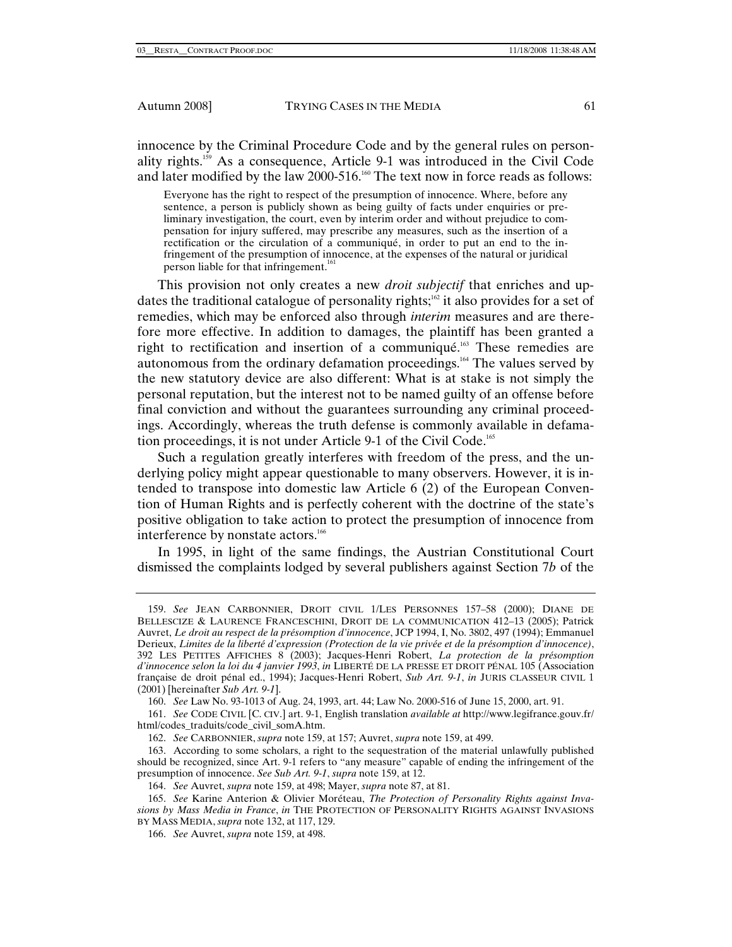innocence by the Criminal Procedure Code and by the general rules on personality rights.159 As a consequence, Article 9-1 was introduced in the Civil Code and later modified by the law 2000-516.<sup>160</sup> The text now in force reads as follows:

Everyone has the right to respect of the presumption of innocence. Where, before any sentence, a person is publicly shown as being guilty of facts under enquiries or preliminary investigation, the court, even by interim order and without prejudice to compensation for injury suffered, may prescribe any measures, such as the insertion of a rectification or the circulation of a communiqué, in order to put an end to the infringement of the presumption of innocence, at the expenses of the natural or juridical person liable for that infringement.<sup>16</sup>

This provision not only creates a new *droit subjectif* that enriches and updates the traditional catalogue of personality rights;<sup>162</sup> it also provides for a set of remedies, which may be enforced also through *interim* measures and are therefore more effective. In addition to damages, the plaintiff has been granted a right to rectification and insertion of a communiqué.163 These remedies are autonomous from the ordinary defamation proceedings.164 The values served by the new statutory device are also different: What is at stake is not simply the personal reputation, but the interest not to be named guilty of an offense before final conviction and without the guarantees surrounding any criminal proceedings. Accordingly, whereas the truth defense is commonly available in defamation proceedings, it is not under Article 9-1 of the Civil Code.165

Such a regulation greatly interferes with freedom of the press, and the underlying policy might appear questionable to many observers. However, it is intended to transpose into domestic law Article 6 (2) of the European Convention of Human Rights and is perfectly coherent with the doctrine of the state's positive obligation to take action to protect the presumption of innocence from interference by nonstate actors.<sup>166</sup>

In 1995, in light of the same findings, the Austrian Constitutional Court dismissed the complaints lodged by several publishers against Section 7*b* of the

<sup>159.</sup> *See* JEAN CARBONNIER, DROIT CIVIL 1/LES PERSONNES 157–58 (2000); DIANE DE BELLESCIZE & LAURENCE FRANCESCHINI, DROIT DE LA COMMUNICATION 412–13 (2005); Patrick Auvret, *Le droit au respect de la présomption d'innocence*, JCP 1994, I, No. 3802, 497 (1994); Emmanuel Derieux, *Limites de la liberté d'expression (Protection de la vie privée et de la présomption d'innocence)*, 392 LES PETITES AFFICHES 8 (2003); Jacques-Henri Robert, *La protection de la présomption d'innocence selon la loi du 4 janvier 1993*, *in* LIBERTÉ DE LA PRESSE ET DROIT PÉNAL 105 (Association française de droit pénal ed., 1994); Jacques-Henri Robert, *Sub Art. 9-1*, *in* JURIS CLASSEUR CIVIL 1 (2001) [hereinafter *Sub Art. 9-1*].

<sup>160.</sup> *See* Law No. 93-1013 of Aug. 24, 1993, art. 44; Law No. 2000-516 of June 15, 2000, art. 91.

<sup>161.</sup> *See* CODE CIVIL [C. CIV.] art. 9-1, English translation *available at* http://www.legifrance.gouv.fr/ html/codes\_traduits/code\_civil\_somA.htm.

<sup>162.</sup> *See* CARBONNIER, *supra* note 159, at 157; Auvret, *supra* note 159, at 499.

 <sup>163.</sup> According to some scholars, a right to the sequestration of the material unlawfully published should be recognized, since Art. 9-1 refers to "any measure" capable of ending the infringement of the presumption of innocence. *See Sub Art. 9-1*, *supra* note 159, at 12.

<sup>164.</sup> *See* Auvret, *supra* note 159, at 498; Mayer, *supra* note 87, at 81.

<sup>165.</sup> *See* Karine Anterion & Olivier Moréteau, *The Protection of Personality Rights against Invasions by Mass Media in France*, *in* THE PROTECTION OF PERSONALITY RIGHTS AGAINST INVASIONS BY MASS MEDIA, *supra* note 132, at 117, 129.

<sup>166.</sup> *See* Auvret, *supra* note 159, at 498.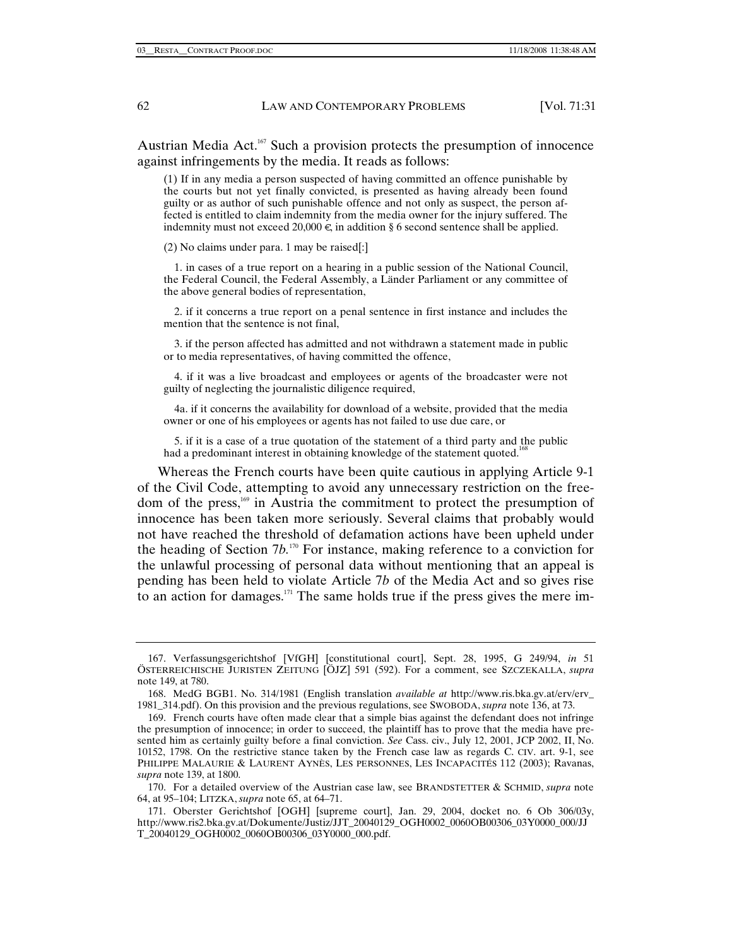Austrian Media Act.<sup>167</sup> Such a provision protects the presumption of innocence against infringements by the media. It reads as follows:

(1) If in any media a person suspected of having committed an offence punishable by the courts but not yet finally convicted, is presented as having already been found guilty or as author of such punishable offence and not only as suspect, the person affected is entitled to claim indemnity from the media owner for the injury suffered. The indemnity must not exceed 20,000  $\in$ , in addition § 6 second sentence shall be applied.

(2) No claims under para. 1 may be raised[:]

 1. in cases of a true report on a hearing in a public session of the National Council, the Federal Council, the Federal Assembly, a Länder Parliament or any committee of the above general bodies of representation,

 2. if it concerns a true report on a penal sentence in first instance and includes the mention that the sentence is not final,

 3. if the person affected has admitted and not withdrawn a statement made in public or to media representatives, of having committed the offence,

 4. if it was a live broadcast and employees or agents of the broadcaster were not guilty of neglecting the journalistic diligence required,

 4a. if it concerns the availability for download of a website, provided that the media owner or one of his employees or agents has not failed to use due care, or

 5. if it is a case of a true quotation of the statement of a third party and the public had a predominant interest in obtaining knowledge of the statement quoted.<sup>16</sup>

Whereas the French courts have been quite cautious in applying Article 9-1 of the Civil Code, attempting to avoid any unnecessary restriction on the freedom of the press,<sup>169</sup> in Austria the commitment to protect the presumption of innocence has been taken more seriously. Several claims that probably would not have reached the threshold of defamation actions have been upheld under the heading of Section 7*b.*170 For instance, making reference to a conviction for the unlawful processing of personal data without mentioning that an appeal is pending has been held to violate Article 7*b* of the Media Act and so gives rise to an action for damages.<sup>171</sup> The same holds true if the press gives the mere im-

 <sup>167.</sup> Verfassungsgerichtshof [VfGH] [constitutional court], Sept. 28, 1995, G 249/94, *in* 51 ÖSTERREICHISCHE JURISTEN ZEITUNG [ÖJZ] 591 (592). For a comment, see SZCZEKALLA, *supra*  note 149, at 780.

 <sup>168.</sup> MedG BGB1. No. 314/1981 (English translation *available at* http://www.ris.bka.gv.at/erv/erv\_ 1981\_314.pdf). On this provision and the previous regulations, see SWOBODA, *supra* note 136, at 73.

 <sup>169.</sup> French courts have often made clear that a simple bias against the defendant does not infringe the presumption of innocence; in order to succeed, the plaintiff has to prove that the media have presented him as certainly guilty before a final conviction. *See* Cass. civ., July 12, 2001, JCP 2002, II, No. 10152, 1798. On the restrictive stance taken by the French case law as regards C. CIV. art. 9-1, see PHILIPPE MALAURIE & LAURENT AYNÈS, LES PERSONNES, LES INCAPACITÉS 112 (2003); Ravanas, *supra* note 139, at 1800.

 <sup>170.</sup> For a detailed overview of the Austrian case law, see BRANDSTETTER & SCHMID, *supra* note 64, at 95–104; LITZKA, *supra* note 65, at 64–71.

 <sup>171.</sup> Oberster Gerichtshof [OGH] [supreme court], Jan. 29, 2004, docket no. 6 Ob 306/03y, http://www.ris2.bka.gv.at/Dokumente/Justiz/JJT\_20040129\_OGH0002\_0060OB00306\_03Y0000\_000/JJ T\_20040129\_OGH0002\_0060OB00306\_03Y0000\_000.pdf.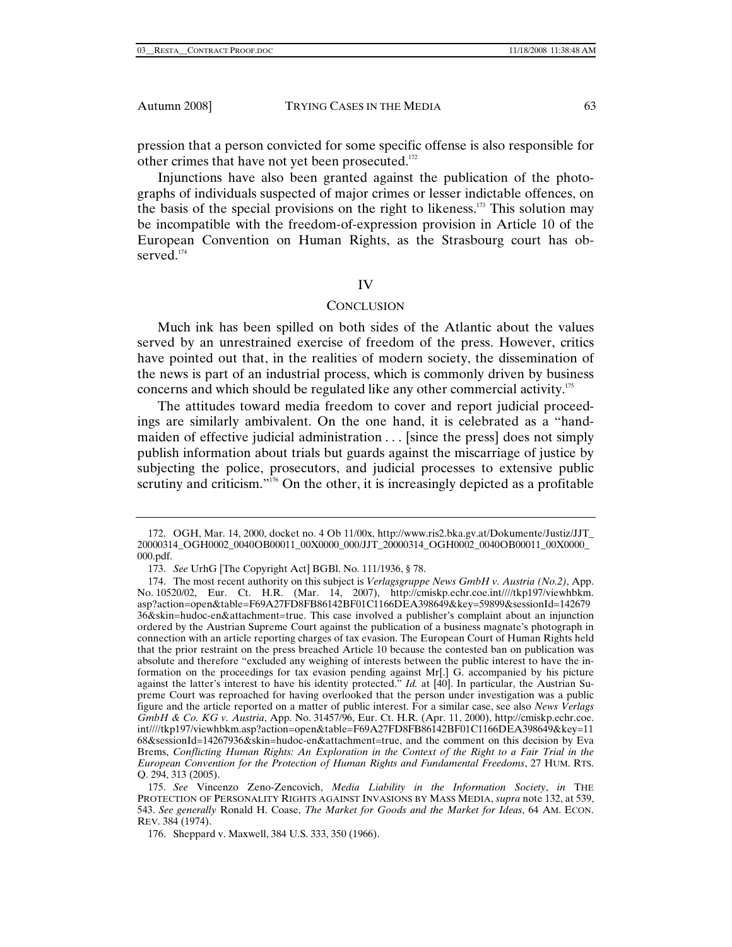pression that a person convicted for some specific offense is also responsible for other crimes that have not yet been prosecuted.<sup>172</sup>

Injunctions have also been granted against the publication of the photographs of individuals suspected of major crimes or lesser indictable offences, on the basis of the special provisions on the right to likeness.<sup>173</sup> This solution may be incompatible with the freedom-of-expression provision in Article 10 of the European Convention on Human Rights, as the Strasbourg court has observed.<sup>174</sup>

### IV

# **CONCLUSION**

Much ink has been spilled on both sides of the Atlantic about the values served by an unrestrained exercise of freedom of the press. However, critics have pointed out that, in the realities of modern society, the dissemination of the news is part of an industrial process, which is commonly driven by business concerns and which should be regulated like any other commercial activity.175

The attitudes toward media freedom to cover and report judicial proceedings are similarly ambivalent. On the one hand, it is celebrated as a "handmaiden of effective judicial administration . . . [since the press] does not simply publish information about trials but guards against the miscarriage of justice by subjecting the police, prosecutors, and judicial processes to extensive public scrutiny and criticism."<sup>176</sup> On the other, it is increasingly depicted as a profitable

 <sup>172.</sup> OGH, Mar. 14, 2000, docket no. 4 Ob 11/00x, http://www.ris2.bka.gv.at/Dokumente/Justiz/JJT\_ 20000314\_OGH0002\_0040OB00011\_00X0000\_000/JJT\_20000314\_OGH0002\_0040OB00011\_00X0000\_ 000.pdf.

<sup>173.</sup> *See* UrhG [The Copyright Act] BGBl. No. 111/1936, § 78.

 <sup>174.</sup> The most recent authority on this subject is *Verlagsgruppe News GmbH v. Austria (No.2)*, App. No. 10520/02, Eur. Ct. H.R. (Mar. 14, 2007), http://cmiskp.echr.coe.int////tkp197/viewhbkm. asp?action=open&table=F69A27FD8FB86142BF01C1166DEA398649&key=59899&sessionId=142679 36&skin=hudoc-en&attachment=true. This case involved a publisher's complaint about an injunction ordered by the Austrian Supreme Court against the publication of a business magnate's photograph in connection with an article reporting charges of tax evasion. The European Court of Human Rights held that the prior restraint on the press breached Article 10 because the contested ban on publication was absolute and therefore "excluded any weighing of interests between the public interest to have the information on the proceedings for tax evasion pending against Mr[.] G. accompanied by his picture against the latter's interest to have his identity protected." *Id.* at [40]. In particular, the Austrian Supreme Court was reproached for having overlooked that the person under investigation was a public figure and the article reported on a matter of public interest. For a similar case, see also *News Verlags GmbH & Co. KG v. Austria*, App. No. 31457/96, Eur. Ct. H.R. (Apr. 11, 2000), http://cmiskp.echr.coe. int////tkp197/viewhbkm.asp?action=open&table=F69A27FD8FB86142BF01C1166DEA398649&key=11 68&sessionId=14267936&skin=hudoc-en&attachment=true, and the comment on this decision by Eva Brems, *Conflicting Human Rights: An Exploration in the Context of the Right to a Fair Trial in the European Convention for the Protection of Human Rights and Fundamental Freedoms*, 27 HUM. RTS. Q. 294, 313 (2005).

<sup>175.</sup> *See* Vincenzo Zeno-Zencovich, *Media Liability in the Information Society*, *in* THE PROTECTION OF PERSONALITY RIGHTS AGAINST INVASIONS BY MASS MEDIA, *supra* note 132, at 539, 543. *See generally* Ronald H. Coase, *The Market for Goods and the Market for Ideas*, 64 AM. ECON. REV. 384 (1974).

 <sup>176.</sup> Sheppard v. Maxwell, 384 U.S. 333, 350 (1966).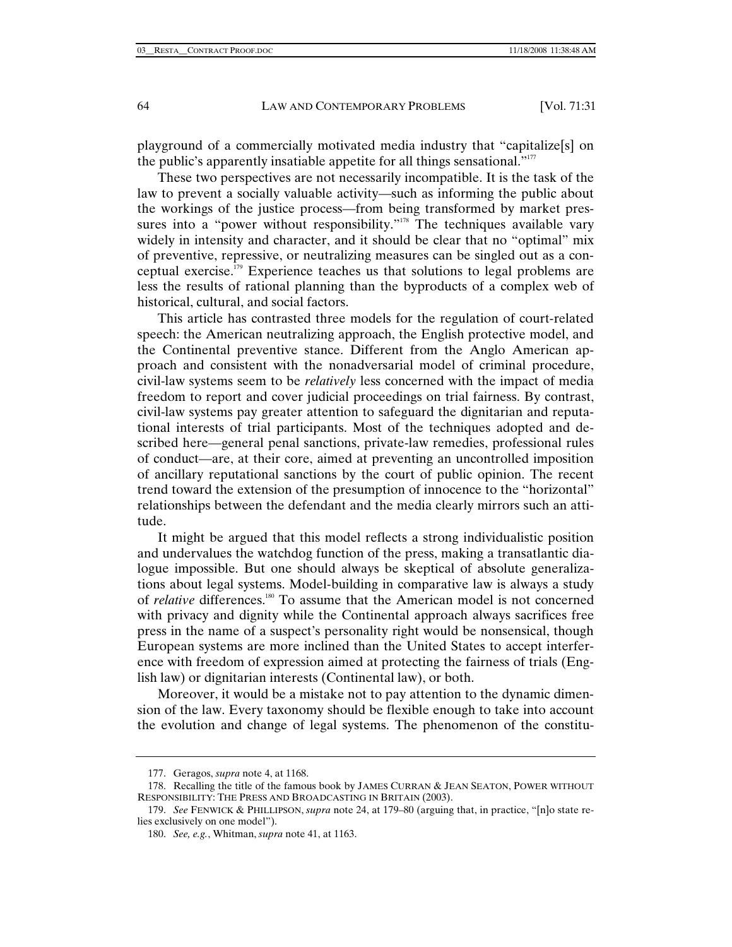playground of a commercially motivated media industry that "capitalize[s] on the public's apparently insatiable appetite for all things sensational."<sup>177</sup>

These two perspectives are not necessarily incompatible. It is the task of the law to prevent a socially valuable activity—such as informing the public about the workings of the justice process—from being transformed by market pressures into a "power without responsibility."<sup>178</sup> The techniques available vary widely in intensity and character, and it should be clear that no "optimal" mix of preventive, repressive, or neutralizing measures can be singled out as a conceptual exercise.179 Experience teaches us that solutions to legal problems are less the results of rational planning than the byproducts of a complex web of historical, cultural, and social factors.

This article has contrasted three models for the regulation of court-related speech: the American neutralizing approach, the English protective model, and the Continental preventive stance. Different from the Anglo American approach and consistent with the nonadversarial model of criminal procedure, civil-law systems seem to be *relatively* less concerned with the impact of media freedom to report and cover judicial proceedings on trial fairness. By contrast, civil-law systems pay greater attention to safeguard the dignitarian and reputational interests of trial participants. Most of the techniques adopted and described here—general penal sanctions, private-law remedies, professional rules of conduct—are, at their core, aimed at preventing an uncontrolled imposition of ancillary reputational sanctions by the court of public opinion. The recent trend toward the extension of the presumption of innocence to the "horizontal" relationships between the defendant and the media clearly mirrors such an attitude.

It might be argued that this model reflects a strong individualistic position and undervalues the watchdog function of the press, making a transatlantic dialogue impossible. But one should always be skeptical of absolute generalizations about legal systems. Model-building in comparative law is always a study of *relative* differences.<sup>180</sup> To assume that the American model is not concerned with privacy and dignity while the Continental approach always sacrifices free press in the name of a suspect's personality right would be nonsensical, though European systems are more inclined than the United States to accept interference with freedom of expression aimed at protecting the fairness of trials (English law) or dignitarian interests (Continental law), or both.

Moreover, it would be a mistake not to pay attention to the dynamic dimension of the law. Every taxonomy should be flexible enough to take into account the evolution and change of legal systems. The phenomenon of the constitu-

 <sup>177.</sup> Geragos, *supra* note 4, at 1168.

 <sup>178.</sup> Recalling the title of the famous book by JAMES CURRAN & JEAN SEATON, POWER WITHOUT RESPONSIBILITY: THE PRESS AND BROADCASTING IN BRITAIN (2003).

<sup>179.</sup> *See* FENWICK & PHILLIPSON, *supra* note 24, at 179–80 (arguing that, in practice, "[n]o state relies exclusively on one model").

<sup>180.</sup> *See, e.g.*, Whitman, *supra* note 41, at 1163.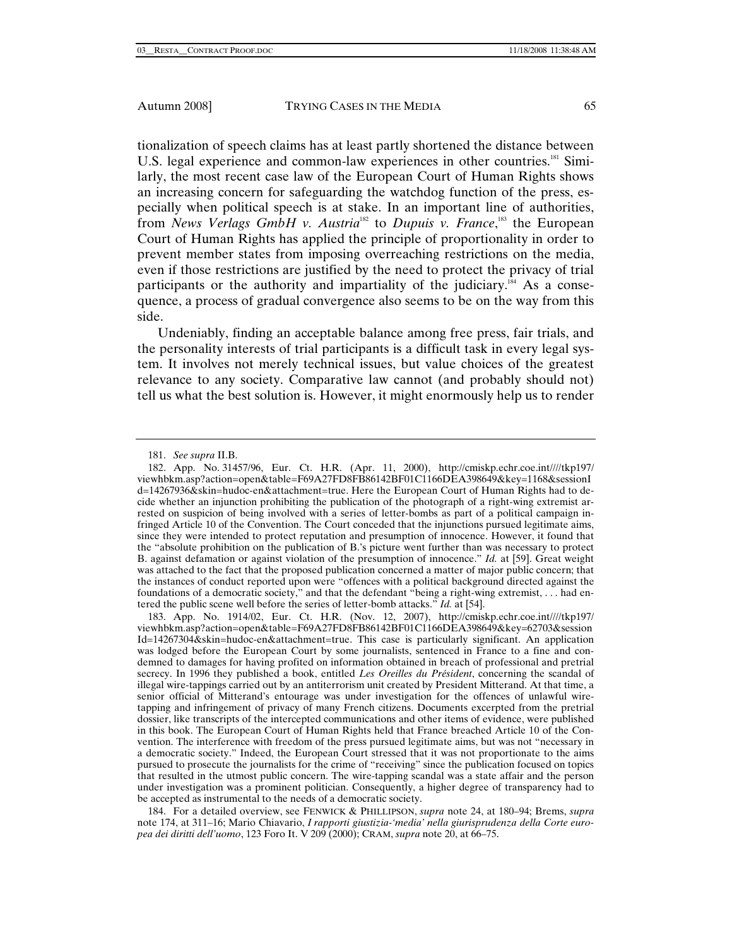tionalization of speech claims has at least partly shortened the distance between U.S. legal experience and common-law experiences in other countries.<sup>181</sup> Similarly, the most recent case law of the European Court of Human Rights shows an increasing concern for safeguarding the watchdog function of the press, especially when political speech is at stake. In an important line of authorities, from *News Verlags GmbH v. Austria*<sup>182</sup> to *Dupuis v. France*,<sup>183</sup> the European Court of Human Rights has applied the principle of proportionality in order to prevent member states from imposing overreaching restrictions on the media, even if those restrictions are justified by the need to protect the privacy of trial participants or the authority and impartiality of the judiciary.<sup>184</sup> As a consequence, a process of gradual convergence also seems to be on the way from this side.

Undeniably, finding an acceptable balance among free press, fair trials, and the personality interests of trial participants is a difficult task in every legal system. It involves not merely technical issues, but value choices of the greatest relevance to any society. Comparative law cannot (and probably should not) tell us what the best solution is. However, it might enormously help us to render

 184. For a detailed overview, see FENWICK & PHILLIPSON, *supra* note 24, at 180–94; Brems, *supra*  note 174, at 311–16; Mario Chiavario, *I rapporti giustizia-'media' nella giurisprudenza della Corte europea dei diritti dell'uomo*, 123 Foro It. V 209 (2000); CRAM, *supra* note 20, at 66–75.

<sup>181.</sup> *See supra* II.B.

<sup>182.</sup> App. No. 31457/96, Eur. Ct. H.R. (Apr. 11, 2000), http://cmiskp.echr.coe.int////tkp197/ viewhbkm.asp?action=open&table=F69A27FD8FB86142BF01C1166DEA398649&key=1168&sessionI d=14267936&skin=hudoc-en&attachment=true. Here the European Court of Human Rights had to decide whether an injunction prohibiting the publication of the photograph of a right-wing extremist arrested on suspicion of being involved with a series of letter-bombs as part of a political campaign infringed Article 10 of the Convention. The Court conceded that the injunctions pursued legitimate aims, since they were intended to protect reputation and presumption of innocence. However, it found that the "absolute prohibition on the publication of B.'s picture went further than was necessary to protect B. against defamation or against violation of the presumption of innocence." *Id.* at [59]. Great weight was attached to the fact that the proposed publication concerned a matter of major public concern; that the instances of conduct reported upon were "offences with a political background directed against the foundations of a democratic society," and that the defendant "being a right-wing extremist, . . . had entered the public scene well before the series of letter-bomb attacks." *Id.* at [54].

 <sup>183.</sup> App. No. 1914/02, Eur. Ct. H.R. (Nov. 12, 2007), http://cmiskp.echr.coe.int////tkp197/ viewhbkm.asp?action=open&table=F69A27FD8FB86142BF01C1166DEA398649&key=62703&session Id=14267304&skin=hudoc-en&attachment=true. This case is particularly significant. An application was lodged before the European Court by some journalists, sentenced in France to a fine and condemned to damages for having profited on information obtained in breach of professional and pretrial secrecy. In 1996 they published a book, entitled *Les Oreilles du Président*, concerning the scandal of illegal wire-tappings carried out by an antiterrorism unit created by President Mitterand. At that time, a senior official of Mitterand's entourage was under investigation for the offences of unlawful wiretapping and infringement of privacy of many French citizens. Documents excerpted from the pretrial dossier, like transcripts of the intercepted communications and other items of evidence, were published in this book. The European Court of Human Rights held that France breached Article 10 of the Convention. The interference with freedom of the press pursued legitimate aims, but was not "necessary in a democratic society." Indeed, the European Court stressed that it was not proportionate to the aims pursued to prosecute the journalists for the crime of "receiving" since the publication focused on topics that resulted in the utmost public concern. The wire-tapping scandal was a state affair and the person under investigation was a prominent politician. Consequently, a higher degree of transparency had to be accepted as instrumental to the needs of a democratic society.